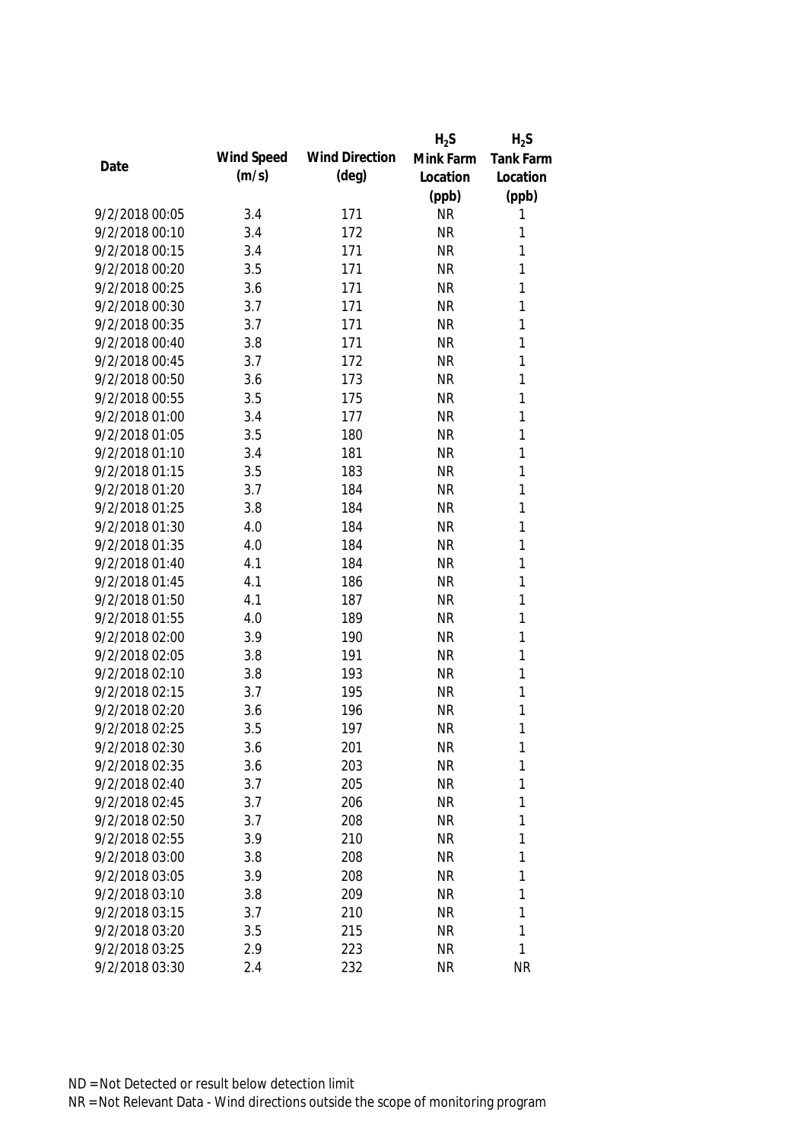|                |            |                       | $H_2S$    | $H_2S$    |
|----------------|------------|-----------------------|-----------|-----------|
| Date           | Wind Speed | <b>Wind Direction</b> | Mink Farm | Tank Farm |
|                | (m/s)      | $(\text{deg})$        | Location  | Location  |
|                |            |                       | (ppb)     | (ppb)     |
| 9/2/2018 00:05 | 3.4        | 171                   | <b>NR</b> | 1         |
| 9/2/2018 00:10 | 3.4        | 172                   | <b>NR</b> | 1         |
| 9/2/2018 00:15 | 3.4        | 171                   | <b>NR</b> | 1         |
| 9/2/2018 00:20 | 3.5        | 171                   | <b>NR</b> | 1         |
| 9/2/2018 00:25 | 3.6        | 171                   | <b>NR</b> | 1         |
| 9/2/2018 00:30 | 3.7        | 171                   | <b>NR</b> | 1         |
| 9/2/2018 00:35 | 3.7        | 171                   | <b>NR</b> | 1         |
| 9/2/2018 00:40 | 3.8        | 171                   | <b>NR</b> | 1         |
| 9/2/2018 00:45 | 3.7        | 172                   | <b>NR</b> | 1         |
| 9/2/2018 00:50 | 3.6        | 173                   | <b>NR</b> | 1         |
| 9/2/2018 00:55 | 3.5        | 175                   | <b>NR</b> | 1         |
| 9/2/2018 01:00 | 3.4        | 177                   | <b>NR</b> | 1         |
| 9/2/2018 01:05 | 3.5        | 180                   | <b>NR</b> | 1         |
| 9/2/2018 01:10 | 3.4        | 181                   | <b>NR</b> | 1         |
| 9/2/2018 01:15 | 3.5        | 183                   | <b>NR</b> | 1         |
| 9/2/2018 01:20 | 3.7        | 184                   | <b>NR</b> | 1         |
| 9/2/2018 01:25 | 3.8        | 184                   | <b>NR</b> | 1         |
| 9/2/2018 01:30 | 4.0        | 184                   | <b>NR</b> | 1         |
| 9/2/2018 01:35 | 4.0        | 184                   | <b>NR</b> | 1         |
| 9/2/2018 01:40 | 4.1        | 184                   | <b>NR</b> | 1         |
| 9/2/2018 01:45 | 4.1        | 186                   | <b>NR</b> | 1         |
| 9/2/2018 01:50 | 4.1        | 187                   | <b>NR</b> | 1         |
| 9/2/2018 01:55 | 4.0        | 189                   | <b>NR</b> | 1         |
| 9/2/2018 02:00 | 3.9        | 190                   | <b>NR</b> | 1         |
| 9/2/2018 02:05 | 3.8        | 191                   | <b>NR</b> | 1         |
| 9/2/2018 02:10 | 3.8        | 193                   | <b>NR</b> | 1         |
| 9/2/2018 02:15 | 3.7        | 195                   | <b>NR</b> | 1         |
| 9/2/2018 02:20 | 3.6        | 196                   | <b>NR</b> | 1         |
| 9/2/2018 02:25 | 3.5        | 197                   | <b>NR</b> | 1         |
| 9/2/2018 02:30 | 3.6        | 201                   | <b>NR</b> | 1         |
| 9/2/2018 02:35 | 3.6        | 203                   | <b>NR</b> | 1         |
| 9/2/2018 02:40 | 3.7        | 205                   | <b>NR</b> | 1         |
| 9/2/2018 02:45 | 3.7        | 206                   | <b>NR</b> | 1         |
| 9/2/2018 02:50 | 3.7        | 208                   | <b>NR</b> | 1         |
| 9/2/2018 02:55 | 3.9        | 210                   | <b>NR</b> | 1         |
| 9/2/2018 03:00 | 3.8        | 208                   | <b>NR</b> | 1         |
| 9/2/2018 03:05 | 3.9        | 208                   | <b>NR</b> | 1         |
| 9/2/2018 03:10 | 3.8        | 209                   | <b>NR</b> | 1         |
| 9/2/2018 03:15 | 3.7        | 210                   | <b>NR</b> | 1         |
| 9/2/2018 03:20 | 3.5        | 215                   | <b>NR</b> | 1         |
| 9/2/2018 03:25 | 2.9        | 223                   | <b>NR</b> | 1         |
| 9/2/2018 03:30 | 2.4        | 232                   | <b>NR</b> | <b>NR</b> |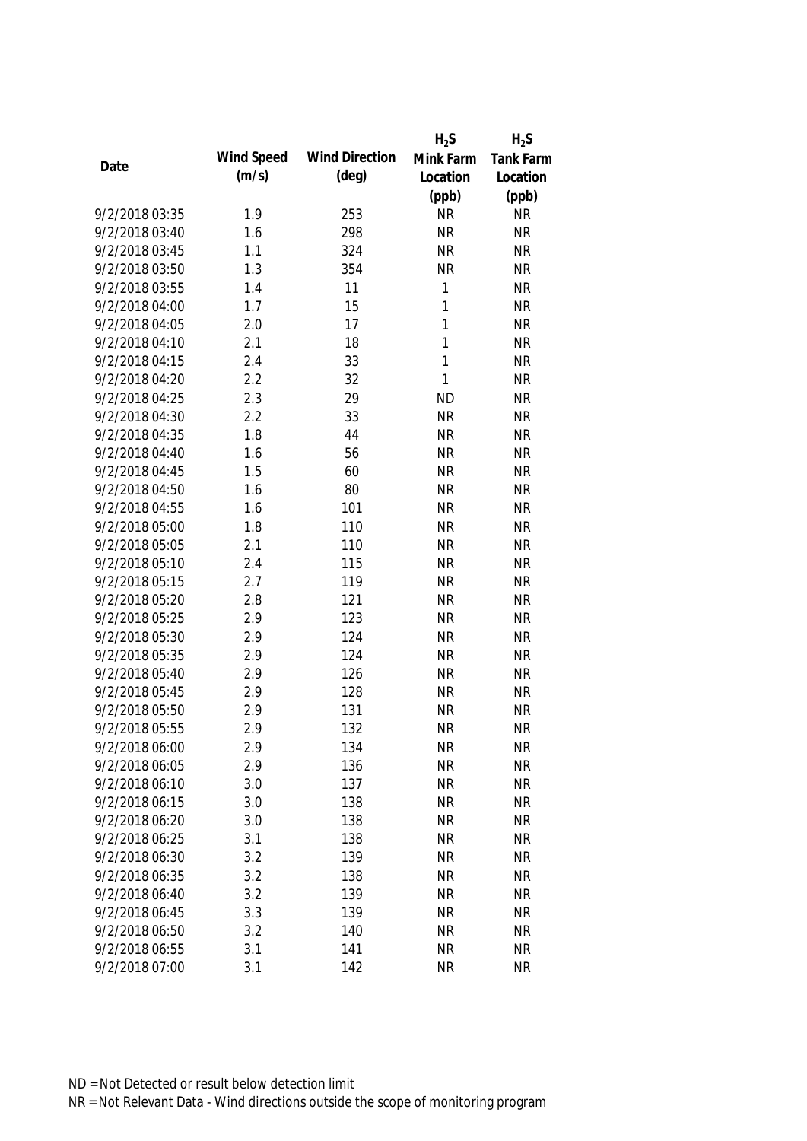|                |            |                       | $H_2S$       | $H_2S$           |
|----------------|------------|-----------------------|--------------|------------------|
|                | Wind Speed | <b>Wind Direction</b> | Mink Farm    | <b>Tank Farm</b> |
| Date           | (m/s)      | $(\text{deg})$        | Location     | Location         |
|                |            |                       | (ppb)        | (ppb)            |
| 9/2/2018 03:35 | 1.9        | 253                   | <b>NR</b>    | <b>NR</b>        |
| 9/2/2018 03:40 | 1.6        | 298                   | <b>NR</b>    | <b>NR</b>        |
| 9/2/2018 03:45 | 1.1        | 324                   | <b>NR</b>    | <b>NR</b>        |
| 9/2/2018 03:50 | 1.3        | 354                   | <b>NR</b>    | <b>NR</b>        |
| 9/2/2018 03:55 | 1.4        | 11                    | 1            | <b>NR</b>        |
| 9/2/2018 04:00 | 1.7        | 15                    | $\mathbf{1}$ | <b>NR</b>        |
| 9/2/2018 04:05 | 2.0        | 17                    | $\mathbf{1}$ | <b>NR</b>        |
| 9/2/2018 04:10 | 2.1        | 18                    | $\mathbf{1}$ | <b>NR</b>        |
| 9/2/2018 04:15 | 2.4        | 33                    | $\mathbf{1}$ | <b>NR</b>        |
| 9/2/2018 04:20 | 2.2        | 32                    | $\mathbf{1}$ | <b>NR</b>        |
| 9/2/2018 04:25 | 2.3        | 29                    | <b>ND</b>    | <b>NR</b>        |
| 9/2/2018 04:30 | 2.2        | 33                    | <b>NR</b>    | <b>NR</b>        |
| 9/2/2018 04:35 | 1.8        | 44                    | <b>NR</b>    | <b>NR</b>        |
| 9/2/2018 04:40 | 1.6        | 56                    | <b>NR</b>    | <b>NR</b>        |
| 9/2/2018 04:45 | 1.5        | 60                    | <b>NR</b>    | <b>NR</b>        |
| 9/2/2018 04:50 | 1.6        | 80                    | <b>NR</b>    | <b>NR</b>        |
| 9/2/2018 04:55 | 1.6        | 101                   | <b>NR</b>    | <b>NR</b>        |
| 9/2/2018 05:00 | 1.8        | 110                   | <b>NR</b>    | <b>NR</b>        |
| 9/2/2018 05:05 | 2.1        | 110                   | <b>NR</b>    | <b>NR</b>        |
| 9/2/2018 05:10 | 2.4        | 115                   | <b>NR</b>    | <b>NR</b>        |
| 9/2/2018 05:15 | 2.7        | 119                   | <b>NR</b>    | <b>NR</b>        |
| 9/2/2018 05:20 | 2.8        | 121                   | <b>NR</b>    | <b>NR</b>        |
| 9/2/2018 05:25 | 2.9        | 123                   | <b>NR</b>    | <b>NR</b>        |
| 9/2/2018 05:30 | 2.9        | 124                   | <b>NR</b>    | <b>NR</b>        |
| 9/2/2018 05:35 | 2.9        | 124                   | <b>NR</b>    | <b>NR</b>        |
| 9/2/2018 05:40 | 2.9        | 126                   | <b>NR</b>    | <b>NR</b>        |
| 9/2/2018 05:45 | 2.9        | 128                   | <b>NR</b>    | <b>NR</b>        |
| 9/2/2018 05:50 | 2.9        | 131                   | <b>NR</b>    | <b>NR</b>        |
| 9/2/2018 05:55 | 2.9        | 132                   | <b>NR</b>    | <b>NR</b>        |
| 9/2/2018 06:00 | 2.9        | 134                   | <b>NR</b>    | <b>NR</b>        |
| 9/2/2018 06:05 | 2.9        | 136                   | <b>NR</b>    | <b>NR</b>        |
| 9/2/2018 06:10 | 3.0        | 137                   | <b>NR</b>    | <b>NR</b>        |
| 9/2/2018 06:15 | 3.0        | 138                   | <b>NR</b>    | <b>NR</b>        |
| 9/2/2018 06:20 | 3.0        | 138                   | <b>NR</b>    | <b>NR</b>        |
| 9/2/2018 06:25 | 3.1        | 138                   | <b>NR</b>    | <b>NR</b>        |
| 9/2/2018 06:30 | 3.2        | 139                   | <b>NR</b>    | <b>NR</b>        |
| 9/2/2018 06:35 | 3.2        | 138                   | <b>NR</b>    | <b>NR</b>        |
| 9/2/2018 06:40 | 3.2        | 139                   | <b>NR</b>    | <b>NR</b>        |
| 9/2/2018 06:45 | 3.3        | 139                   | <b>NR</b>    | <b>NR</b>        |
| 9/2/2018 06:50 | 3.2        | 140                   | <b>NR</b>    | <b>NR</b>        |
| 9/2/2018 06:55 | 3.1        | 141                   | <b>NR</b>    | <b>NR</b>        |
| 9/2/2018 07:00 | 3.1        | 142                   | <b>NR</b>    | <b>NR</b>        |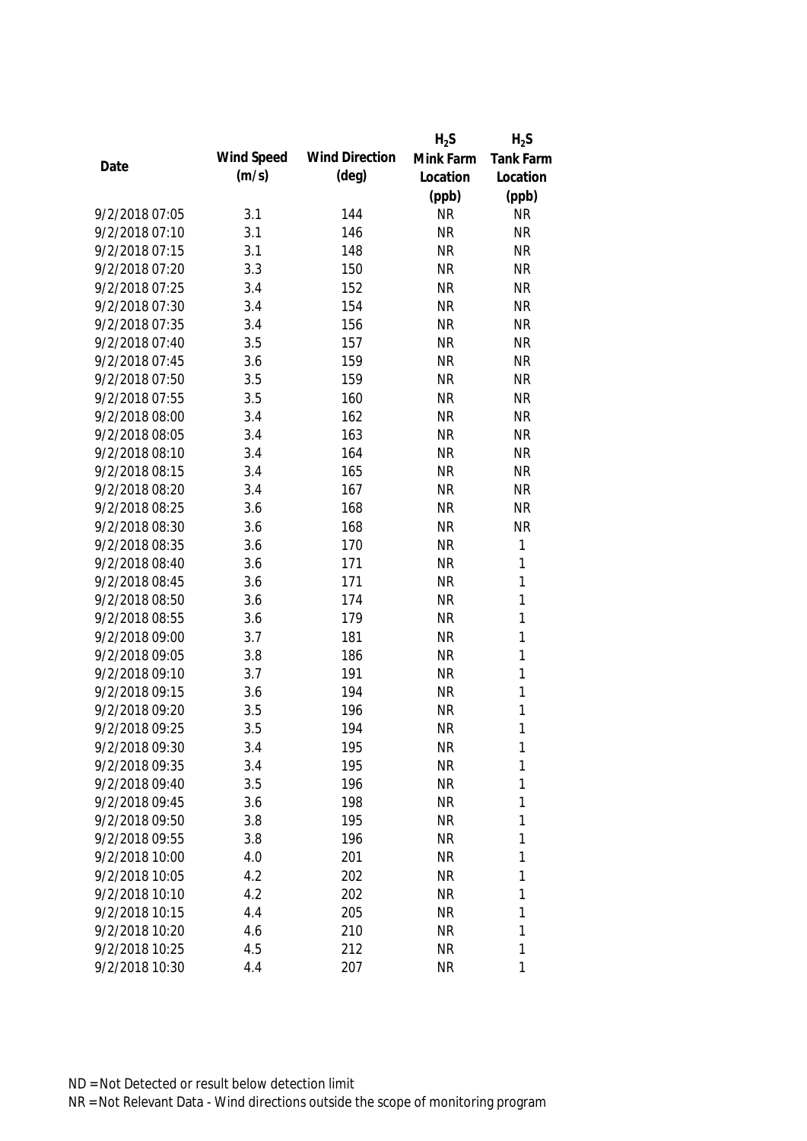|                |            |                       | $H_2S$    | $H_2S$       |
|----------------|------------|-----------------------|-----------|--------------|
| Date           | Wind Speed | <b>Wind Direction</b> | Mink Farm | Tank Farm    |
|                | (m/s)      | $(\text{deg})$        | Location  | Location     |
|                |            |                       | (ppb)     | (ppb)        |
| 9/2/2018 07:05 | 3.1        | 144                   | <b>NR</b> | <b>NR</b>    |
| 9/2/2018 07:10 | 3.1        | 146                   | <b>NR</b> | <b>NR</b>    |
| 9/2/2018 07:15 | 3.1        | 148                   | <b>NR</b> | <b>NR</b>    |
| 9/2/2018 07:20 | 3.3        | 150                   | <b>NR</b> | <b>NR</b>    |
| 9/2/2018 07:25 | 3.4        | 152                   | <b>NR</b> | <b>NR</b>    |
| 9/2/2018 07:30 | 3.4        | 154                   | <b>NR</b> | <b>NR</b>    |
| 9/2/2018 07:35 | 3.4        | 156                   | <b>NR</b> | <b>NR</b>    |
| 9/2/2018 07:40 | 3.5        | 157                   | <b>NR</b> | <b>NR</b>    |
| 9/2/2018 07:45 | 3.6        | 159                   | <b>NR</b> | <b>NR</b>    |
| 9/2/2018 07:50 | 3.5        | 159                   | <b>NR</b> | <b>NR</b>    |
| 9/2/2018 07:55 | 3.5        | 160                   | <b>NR</b> | <b>NR</b>    |
| 9/2/2018 08:00 | 3.4        | 162                   | <b>NR</b> | <b>NR</b>    |
| 9/2/2018 08:05 | 3.4        | 163                   | <b>NR</b> | <b>NR</b>    |
| 9/2/2018 08:10 | 3.4        | 164                   | <b>NR</b> | <b>NR</b>    |
| 9/2/2018 08:15 | 3.4        | 165                   | <b>NR</b> | <b>NR</b>    |
| 9/2/2018 08:20 | 3.4        | 167                   | <b>NR</b> | <b>NR</b>    |
| 9/2/2018 08:25 | 3.6        | 168                   | <b>NR</b> | <b>NR</b>    |
| 9/2/2018 08:30 | 3.6        | 168                   | <b>NR</b> | <b>NR</b>    |
| 9/2/2018 08:35 | 3.6        | 170                   | <b>NR</b> | $\mathbf{1}$ |
| 9/2/2018 08:40 | 3.6        | 171                   | <b>NR</b> | $\mathbf{1}$ |
| 9/2/2018 08:45 | 3.6        | 171                   | <b>NR</b> | 1            |
| 9/2/2018 08:50 | 3.6        | 174                   | <b>NR</b> | $\mathbf{1}$ |
| 9/2/2018 08:55 | 3.6        | 179                   | <b>NR</b> | $\mathbf{1}$ |
| 9/2/2018 09:00 | 3.7        | 181                   | <b>NR</b> | $\mathbf{1}$ |
| 9/2/2018 09:05 | 3.8        | 186                   | <b>NR</b> | $\mathbf{1}$ |
| 9/2/2018 09:10 | 3.7        | 191                   | <b>NR</b> | $\mathbf{1}$ |
| 9/2/2018 09:15 | 3.6        | 194                   | <b>NR</b> | 1            |
| 9/2/2018 09:20 | 3.5        | 196                   | <b>NR</b> | $\mathbf{1}$ |
| 9/2/2018 09:25 | 3.5        | 194                   | <b>NR</b> | 1            |
| 9/2/2018 09:30 | 3.4        | 195                   | <b>NR</b> | 1            |
| 9/2/2018 09:35 | 3.4        | 195                   | <b>NR</b> | 1            |
| 9/2/2018 09:40 | 3.5        | 196                   | <b>NR</b> | 1            |
| 9/2/2018 09:45 | 3.6        | 198                   | <b>NR</b> | 1            |
| 9/2/2018 09:50 | 3.8        | 195                   | <b>NR</b> | 1            |
| 9/2/2018 09:55 | 3.8        | 196                   | <b>NR</b> | 1            |
| 9/2/2018 10:00 | 4.0        | 201                   | <b>NR</b> | 1            |
| 9/2/2018 10:05 | 4.2        | 202                   | <b>NR</b> | 1            |
| 9/2/2018 10:10 | 4.2        | 202                   | <b>NR</b> | 1            |
| 9/2/2018 10:15 | 4.4        | 205                   | <b>NR</b> | 1            |
| 9/2/2018 10:20 | 4.6        | 210                   | <b>NR</b> | 1            |
| 9/2/2018 10:25 | 4.5        | 212                   | <b>NR</b> | 1            |
| 9/2/2018 10:30 | 4.4        | 207                   | <b>NR</b> | 1            |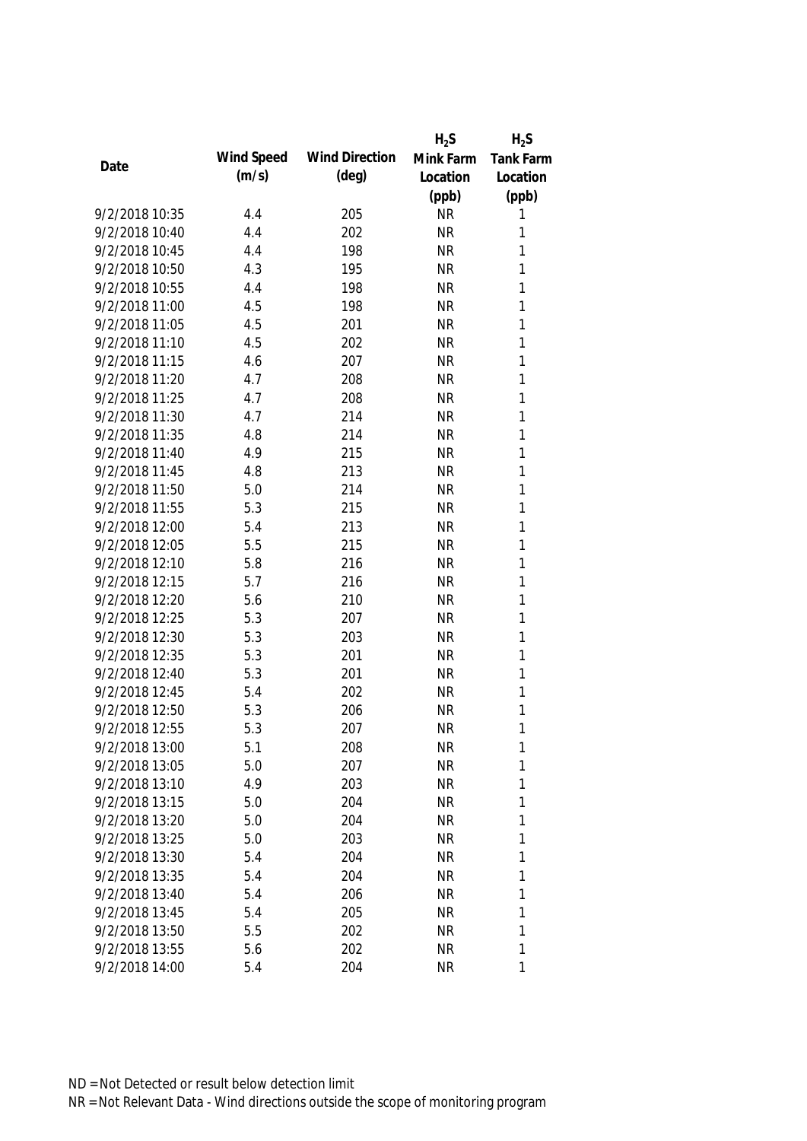|                |            |                       | $H_2S$    | $H_2S$           |
|----------------|------------|-----------------------|-----------|------------------|
| Date           | Wind Speed | <b>Wind Direction</b> | Mink Farm | <b>Tank Farm</b> |
|                | (m/s)      | $(\text{deg})$        | Location  | Location         |
|                |            |                       | (ppb)     | (ppb)            |
| 9/2/2018 10:35 | 4.4        | 205                   | <b>NR</b> | 1                |
| 9/2/2018 10:40 | 4.4        | 202                   | <b>NR</b> | 1                |
| 9/2/2018 10:45 | 4.4        | 198                   | <b>NR</b> | 1                |
| 9/2/2018 10:50 | 4.3        | 195                   | <b>NR</b> | 1                |
| 9/2/2018 10:55 | 4.4        | 198                   | <b>NR</b> | 1                |
| 9/2/2018 11:00 | 4.5        | 198                   | <b>NR</b> | 1                |
| 9/2/2018 11:05 | 4.5        | 201                   | <b>NR</b> | 1                |
| 9/2/2018 11:10 | 4.5        | 202                   | <b>NR</b> | 1                |
| 9/2/2018 11:15 | 4.6        | 207                   | <b>NR</b> | $\mathbf{1}$     |
| 9/2/2018 11:20 | 4.7        | 208                   | <b>NR</b> | 1                |
| 9/2/2018 11:25 | 4.7        | 208                   | <b>NR</b> | 1                |
| 9/2/2018 11:30 | 4.7        | 214                   | <b>NR</b> | 1                |
| 9/2/2018 11:35 | 4.8        | 214                   | <b>NR</b> | 1                |
| 9/2/2018 11:40 | 4.9        | 215                   | <b>NR</b> | 1                |
| 9/2/2018 11:45 | 4.8        | 213                   | <b>NR</b> | $\mathbf{1}$     |
| 9/2/2018 11:50 | 5.0        | 214                   | <b>NR</b> | $\mathbf{1}$     |
| 9/2/2018 11:55 | 5.3        | 215                   | <b>NR</b> | 1                |
| 9/2/2018 12:00 | 5.4        | 213                   | <b>NR</b> | $\mathbf{1}$     |
| 9/2/2018 12:05 | 5.5        | 215                   | <b>NR</b> | $\mathbf{1}$     |
| 9/2/2018 12:10 | 5.8        | 216                   | <b>NR</b> | $\mathbf{1}$     |
| 9/2/2018 12:15 | 5.7        | 216                   | <b>NR</b> | 1                |
| 9/2/2018 12:20 | 5.6        | 210                   | <b>NR</b> | 1                |
| 9/2/2018 12:25 | 5.3        | 207                   | <b>NR</b> | 1                |
| 9/2/2018 12:30 | 5.3        | 203                   | <b>NR</b> | 1                |
| 9/2/2018 12:35 | 5.3        | 201                   | <b>NR</b> | 1                |
| 9/2/2018 12:40 | 5.3        | 201                   | <b>NR</b> | 1                |
| 9/2/2018 12:45 | 5.4        | 202                   | <b>NR</b> | 1                |
| 9/2/2018 12:50 | 5.3        | 206                   | <b>NR</b> | 1                |
| 9/2/2018 12:55 | 5.3        | 207                   | <b>NR</b> | 1                |
| 9/2/2018 13:00 | 5.1        | 208                   | <b>NR</b> | 1                |
| 9/2/2018 13:05 | 5.0        | 207                   | <b>NR</b> | 1                |
| 9/2/2018 13:10 | 4.9        | 203                   | <b>NR</b> | 1                |
| 9/2/2018 13:15 | 5.0        | 204                   | <b>NR</b> | 1                |
| 9/2/2018 13:20 | 5.0        | 204                   | <b>NR</b> | 1                |
| 9/2/2018 13:25 | 5.0        | 203                   | <b>NR</b> | 1                |
| 9/2/2018 13:30 | 5.4        | 204                   | <b>NR</b> | 1                |
| 9/2/2018 13:35 | 5.4        | 204                   | <b>NR</b> | 1                |
| 9/2/2018 13:40 | 5.4        | 206                   | <b>NR</b> | 1                |
| 9/2/2018 13:45 | 5.4        | 205                   | <b>NR</b> | 1                |
| 9/2/2018 13:50 | 5.5        | 202                   | <b>NR</b> | 1                |
| 9/2/2018 13:55 | 5.6        | 202                   | <b>NR</b> | 1                |
| 9/2/2018 14:00 | 5.4        | 204                   | <b>NR</b> | 1                |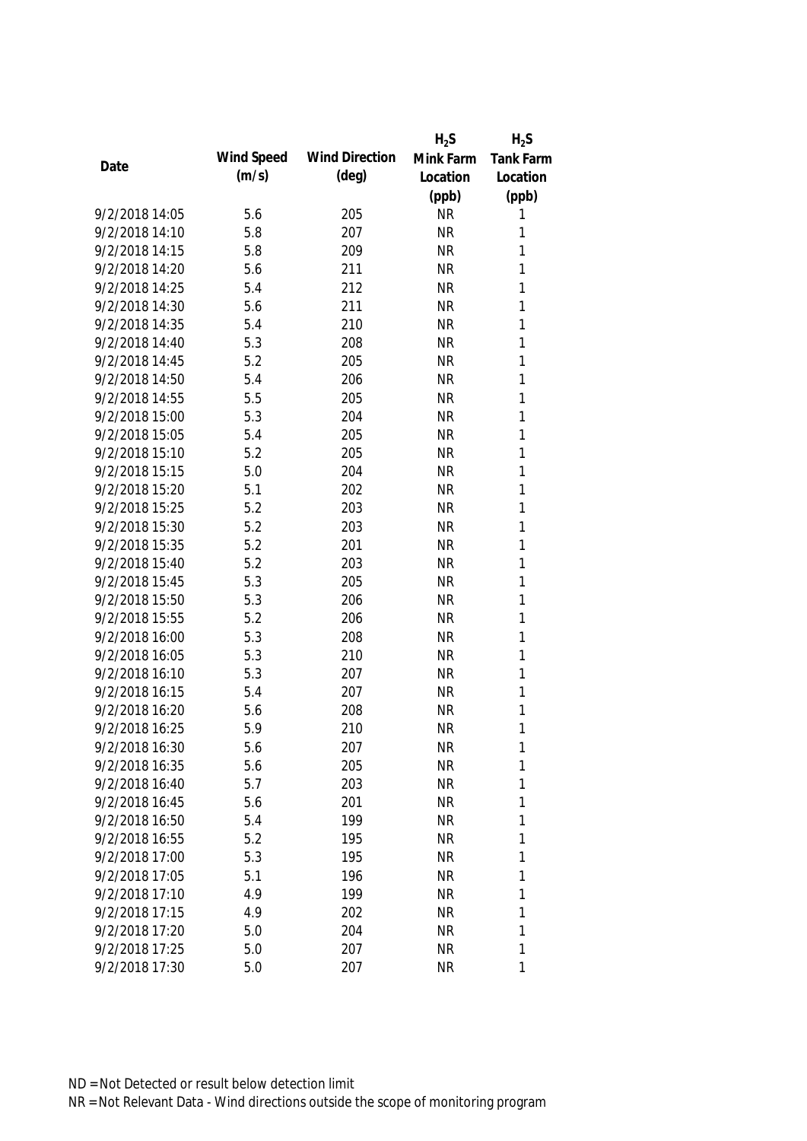|                |            |                       | $H_2S$    | $H_2S$           |
|----------------|------------|-----------------------|-----------|------------------|
| Date           | Wind Speed | <b>Wind Direction</b> | Mink Farm | <b>Tank Farm</b> |
|                | (m/s)      | $(\text{deg})$        | Location  | Location         |
|                |            |                       | (ppb)     | (ppb)            |
| 9/2/2018 14:05 | 5.6        | 205                   | <b>NR</b> | 1                |
| 9/2/2018 14:10 | 5.8        | 207                   | <b>NR</b> | 1                |
| 9/2/2018 14:15 | 5.8        | 209                   | <b>NR</b> | 1                |
| 9/2/2018 14:20 | 5.6        | 211                   | <b>NR</b> | 1                |
| 9/2/2018 14:25 | 5.4        | 212                   | <b>NR</b> | 1                |
| 9/2/2018 14:30 | 5.6        | 211                   | <b>NR</b> | 1                |
| 9/2/2018 14:35 | 5.4        | 210                   | <b>NR</b> | 1                |
| 9/2/2018 14:40 | 5.3        | 208                   | <b>NR</b> | 1                |
| 9/2/2018 14:45 | 5.2        | 205                   | <b>NR</b> | $\mathbf{1}$     |
| 9/2/2018 14:50 | 5.4        | 206                   | <b>NR</b> | 1                |
| 9/2/2018 14:55 | 5.5        | 205                   | <b>NR</b> | 1                |
| 9/2/2018 15:00 | 5.3        | 204                   | <b>NR</b> | 1                |
| 9/2/2018 15:05 | 5.4        | 205                   | <b>NR</b> | 1                |
| 9/2/2018 15:10 | 5.2        | 205                   | <b>NR</b> | 1                |
| 9/2/2018 15:15 | 5.0        | 204                   | <b>NR</b> | $\mathbf{1}$     |
| 9/2/2018 15:20 | 5.1        | 202                   | <b>NR</b> | $\mathbf{1}$     |
| 9/2/2018 15:25 | 5.2        | 203                   | <b>NR</b> | 1                |
| 9/2/2018 15:30 | 5.2        | 203                   | <b>NR</b> | $\mathbf{1}$     |
| 9/2/2018 15:35 | 5.2        | 201                   | <b>NR</b> | $\mathbf{1}$     |
| 9/2/2018 15:40 | 5.2        | 203                   | <b>NR</b> | $\mathbf{1}$     |
| 9/2/2018 15:45 | 5.3        | 205                   | <b>NR</b> | 1                |
| 9/2/2018 15:50 | 5.3        | 206                   | <b>NR</b> | 1                |
| 9/2/2018 15:55 | 5.2        | 206                   | <b>NR</b> | 1                |
| 9/2/2018 16:00 | 5.3        | 208                   | <b>NR</b> | 1                |
| 9/2/2018 16:05 | 5.3        | 210                   | <b>NR</b> | 1                |
| 9/2/2018 16:10 | 5.3        | 207                   | <b>NR</b> | 1                |
| 9/2/2018 16:15 | 5.4        | 207                   | <b>NR</b> | 1                |
| 9/2/2018 16:20 | 5.6        | 208                   | <b>NR</b> | 1                |
| 9/2/2018 16:25 | 5.9        | 210                   | <b>NR</b> | 1                |
| 9/2/2018 16:30 | 5.6        | 207                   | <b>NR</b> | 1                |
| 9/2/2018 16:35 | 5.6        | 205                   | <b>NR</b> | 1                |
| 9/2/2018 16:40 | 5.7        | 203                   | <b>NR</b> | 1                |
| 9/2/2018 16:45 | 5.6        | 201                   | <b>NR</b> | 1                |
| 9/2/2018 16:50 | 5.4        | 199                   | <b>NR</b> | 1                |
| 9/2/2018 16:55 | 5.2        | 195                   | <b>NR</b> | 1                |
| 9/2/2018 17:00 | 5.3        | 195                   | <b>NR</b> | 1                |
| 9/2/2018 17:05 | 5.1        | 196                   | <b>NR</b> | 1                |
| 9/2/2018 17:10 | 4.9        | 199                   | <b>NR</b> | 1                |
| 9/2/2018 17:15 | 4.9        | 202                   | <b>NR</b> | 1                |
| 9/2/2018 17:20 | 5.0        | 204                   | <b>NR</b> | 1                |
| 9/2/2018 17:25 | 5.0        | 207                   | <b>NR</b> | 1                |
| 9/2/2018 17:30 | 5.0        | 207                   | <b>NR</b> | 1                |
|                |            |                       |           |                  |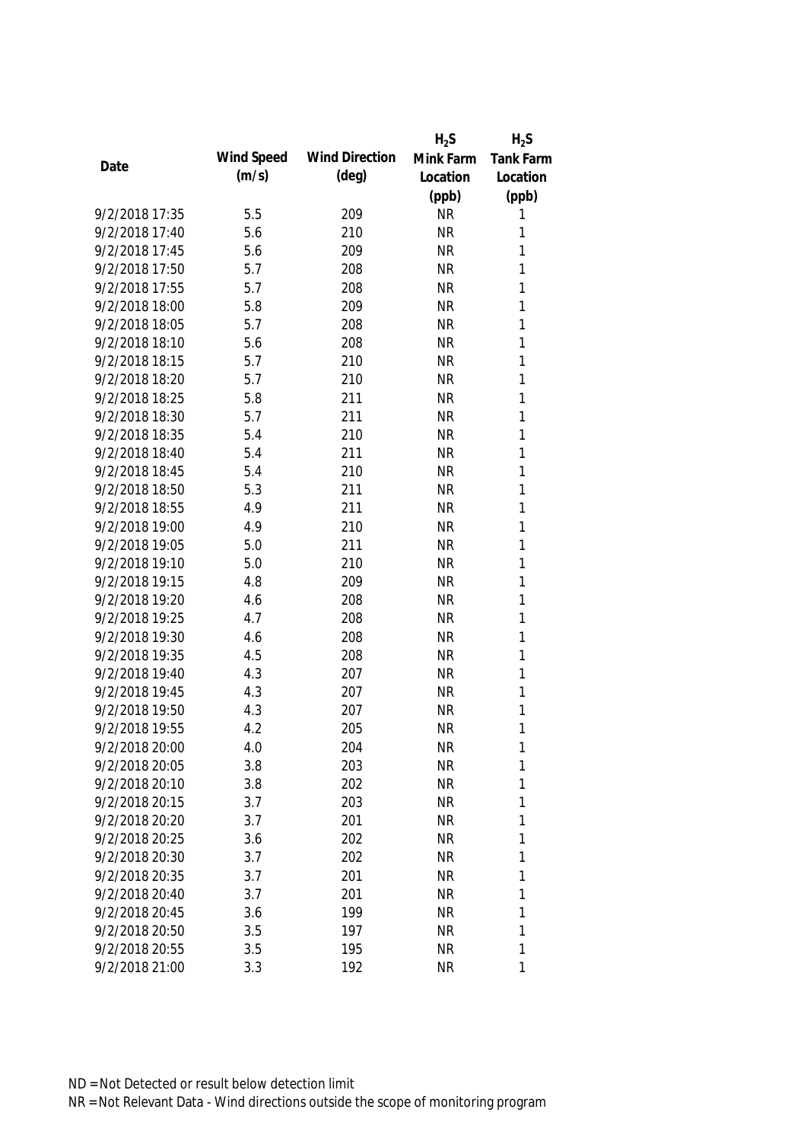|                |            |                       | $H_2S$    | $H_2S$           |
|----------------|------------|-----------------------|-----------|------------------|
| Date           | Wind Speed | <b>Wind Direction</b> | Mink Farm | <b>Tank Farm</b> |
|                | (m/s)      | $(\text{deg})$        | Location  | Location         |
|                |            |                       | (ppb)     | (ppb)            |
| 9/2/2018 17:35 | 5.5        | 209                   | <b>NR</b> | 1                |
| 9/2/2018 17:40 | 5.6        | 210                   | <b>NR</b> | 1                |
| 9/2/2018 17:45 | 5.6        | 209                   | <b>NR</b> | 1                |
| 9/2/2018 17:50 | 5.7        | 208                   | <b>NR</b> | 1                |
| 9/2/2018 17:55 | 5.7        | 208                   | <b>NR</b> | 1                |
| 9/2/2018 18:00 | 5.8        | 209                   | <b>NR</b> | 1                |
| 9/2/2018 18:05 | 5.7        | 208                   | <b>NR</b> | 1                |
| 9/2/2018 18:10 | 5.6        | 208                   | <b>NR</b> | 1                |
| 9/2/2018 18:15 | 5.7        | 210                   | <b>NR</b> | $\mathbf{1}$     |
| 9/2/2018 18:20 | 5.7        | 210                   | <b>NR</b> | 1                |
| 9/2/2018 18:25 | 5.8        | 211                   | <b>NR</b> | 1                |
| 9/2/2018 18:30 | 5.7        | 211                   | <b>NR</b> | 1                |
| 9/2/2018 18:35 | 5.4        | 210                   | <b>NR</b> | 1                |
| 9/2/2018 18:40 | 5.4        | 211                   | <b>NR</b> | 1                |
| 9/2/2018 18:45 | 5.4        | 210                   | <b>NR</b> | $\mathbf{1}$     |
| 9/2/2018 18:50 | 5.3        | 211                   | <b>NR</b> | $\mathbf{1}$     |
| 9/2/2018 18:55 | 4.9        | 211                   | <b>NR</b> | 1                |
| 9/2/2018 19:00 | 4.9        | 210                   | <b>NR</b> | $\mathbf{1}$     |
| 9/2/2018 19:05 | 5.0        | 211                   | <b>NR</b> | $\mathbf{1}$     |
| 9/2/2018 19:10 | 5.0        | 210                   | <b>NR</b> | $\mathbf{1}$     |
| 9/2/2018 19:15 | 4.8        | 209                   | <b>NR</b> | 1                |
| 9/2/2018 19:20 | 4.6        | 208                   | <b>NR</b> | 1                |
| 9/2/2018 19:25 | 4.7        | 208                   | <b>NR</b> | 1                |
| 9/2/2018 19:30 | 4.6        | 208                   | <b>NR</b> | 1                |
| 9/2/2018 19:35 | 4.5        | 208                   | <b>NR</b> | 1                |
| 9/2/2018 19:40 | 4.3        | 207                   | <b>NR</b> | 1                |
| 9/2/2018 19:45 | 4.3        | 207                   | <b>NR</b> | 1                |
| 9/2/2018 19:50 | 4.3        | 207                   | <b>NR</b> | 1                |
| 9/2/2018 19:55 | 4.2        | 205                   | <b>NR</b> | 1                |
| 9/2/2018 20:00 | 4.0        | 204                   | <b>NR</b> | 1                |
| 9/2/2018 20:05 | 3.8        | 203                   | <b>NR</b> | 1                |
| 9/2/2018 20:10 | 3.8        | 202                   | <b>NR</b> | 1                |
| 9/2/2018 20:15 | 3.7        | 203                   | <b>NR</b> | 1                |
| 9/2/2018 20:20 | 3.7        | 201                   | <b>NR</b> | 1                |
| 9/2/2018 20:25 | 3.6        | 202                   | <b>NR</b> | 1                |
| 9/2/2018 20:30 | 3.7        | 202                   | <b>NR</b> | 1                |
| 9/2/2018 20:35 | 3.7        | 201                   | <b>NR</b> | 1                |
| 9/2/2018 20:40 | 3.7        | 201                   | <b>NR</b> | 1                |
| 9/2/2018 20:45 | 3.6        | 199                   | <b>NR</b> | 1                |
| 9/2/2018 20:50 | 3.5        | 197                   | <b>NR</b> | 1                |
| 9/2/2018 20:55 | 3.5        | 195                   | <b>NR</b> | 1                |
| 9/2/2018 21:00 | 3.3        | 192                   | <b>NR</b> | 1                |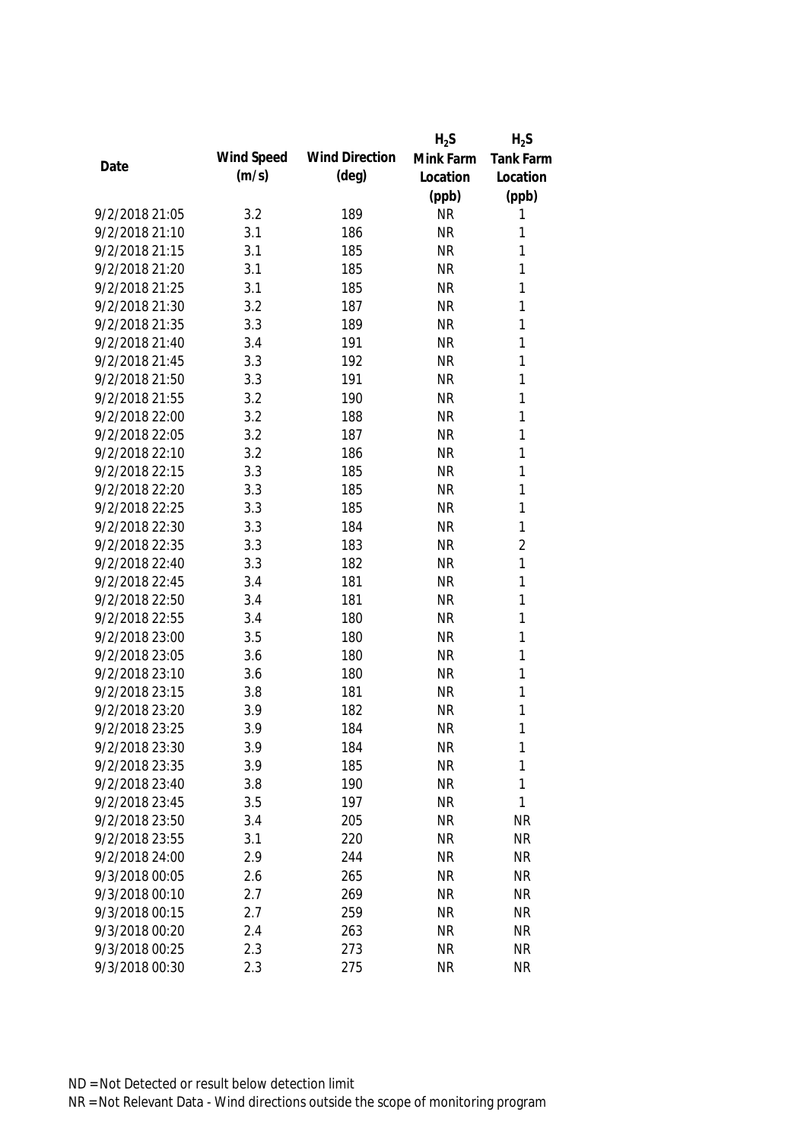|                |            |                       | $H_2S$    | $H_2S$           |
|----------------|------------|-----------------------|-----------|------------------|
| Date           | Wind Speed | <b>Wind Direction</b> | Mink Farm | <b>Tank Farm</b> |
|                | (m/s)      | $(\text{deg})$        | Location  | Location         |
|                |            |                       | (ppb)     | (ppb)            |
| 9/2/2018 21:05 | 3.2        | 189                   | <b>NR</b> | 1                |
| 9/2/2018 21:10 | 3.1        | 186                   | <b>NR</b> | 1                |
| 9/2/2018 21:15 | 3.1        | 185                   | <b>NR</b> | 1                |
| 9/2/2018 21:20 | 3.1        | 185                   | <b>NR</b> | 1                |
| 9/2/2018 21:25 | 3.1        | 185                   | <b>NR</b> | 1                |
| 9/2/2018 21:30 | 3.2        | 187                   | <b>NR</b> | 1                |
| 9/2/2018 21:35 | 3.3        | 189                   | <b>NR</b> | 1                |
| 9/2/2018 21:40 | 3.4        | 191                   | <b>NR</b> | 1                |
| 9/2/2018 21:45 | 3.3        | 192                   | <b>NR</b> | 1                |
| 9/2/2018 21:50 | 3.3        | 191                   | <b>NR</b> | 1                |
| 9/2/2018 21:55 | 3.2        | 190                   | <b>NR</b> | 1                |
| 9/2/2018 22:00 | 3.2        | 188                   | <b>NR</b> | 1                |
| 9/2/2018 22:05 | 3.2        | 187                   | <b>NR</b> | 1                |
| 9/2/2018 22:10 | 3.2        | 186                   | <b>NR</b> | 1                |
| 9/2/2018 22:15 | 3.3        | 185                   | <b>NR</b> | 1                |
| 9/2/2018 22:20 | 3.3        | 185                   | <b>NR</b> | 1                |
| 9/2/2018 22:25 | 3.3        | 185                   | <b>NR</b> | 1                |
| 9/2/2018 22:30 | 3.3        | 184                   | <b>NR</b> | 1                |
| 9/2/2018 22:35 | 3.3        | 183                   | <b>NR</b> | $\overline{2}$   |
| 9/2/2018 22:40 | 3.3        | 182                   | <b>NR</b> | 1                |
| 9/2/2018 22:45 | 3.4        | 181                   | <b>NR</b> | 1                |
| 9/2/2018 22:50 | 3.4        | 181                   | <b>NR</b> | 1                |
| 9/2/2018 22:55 | 3.4        | 180                   | <b>NR</b> | 1                |
| 9/2/2018 23:00 | 3.5        | 180                   | <b>NR</b> | 1                |
| 9/2/2018 23:05 | 3.6        | 180                   | <b>NR</b> | 1                |
| 9/2/2018 23:10 | 3.6        | 180                   | <b>NR</b> | 1                |
| 9/2/2018 23:15 | 3.8        | 181                   | <b>NR</b> | 1                |
| 9/2/2018 23:20 | 3.9        | 182                   | <b>NR</b> | 1                |
| 9/2/2018 23:25 | 3.9        | 184                   | <b>NR</b> | 1                |
| 9/2/2018 23:30 | 3.9        | 184                   | <b>NR</b> | 1                |
| 9/2/2018 23:35 | 3.9        | 185                   | <b>NR</b> | 1                |
| 9/2/2018 23:40 | 3.8        | 190                   | <b>NR</b> | 1                |
| 9/2/2018 23:45 | 3.5        | 197                   | <b>NR</b> | $\mathbf{1}$     |
| 9/2/2018 23:50 | 3.4        | 205                   | <b>NR</b> | <b>NR</b>        |
| 9/2/2018 23:55 | 3.1        | 220                   | <b>NR</b> | <b>NR</b>        |
| 9/2/2018 24:00 | 2.9        | 244                   | <b>NR</b> | <b>NR</b>        |
| 9/3/2018 00:05 | 2.6        | 265                   | <b>NR</b> | <b>NR</b>        |
| 9/3/2018 00:10 | 2.7        | 269                   | <b>NR</b> | <b>NR</b>        |
| 9/3/2018 00:15 | 2.7        | 259                   | <b>NR</b> | <b>NR</b>        |
| 9/3/2018 00:20 | 2.4        | 263                   | <b>NR</b> | <b>NR</b>        |
| 9/3/2018 00:25 | 2.3        | 273                   | <b>NR</b> | <b>NR</b>        |
| 9/3/2018 00:30 | 2.3        | 275                   | <b>NR</b> | <b>NR</b>        |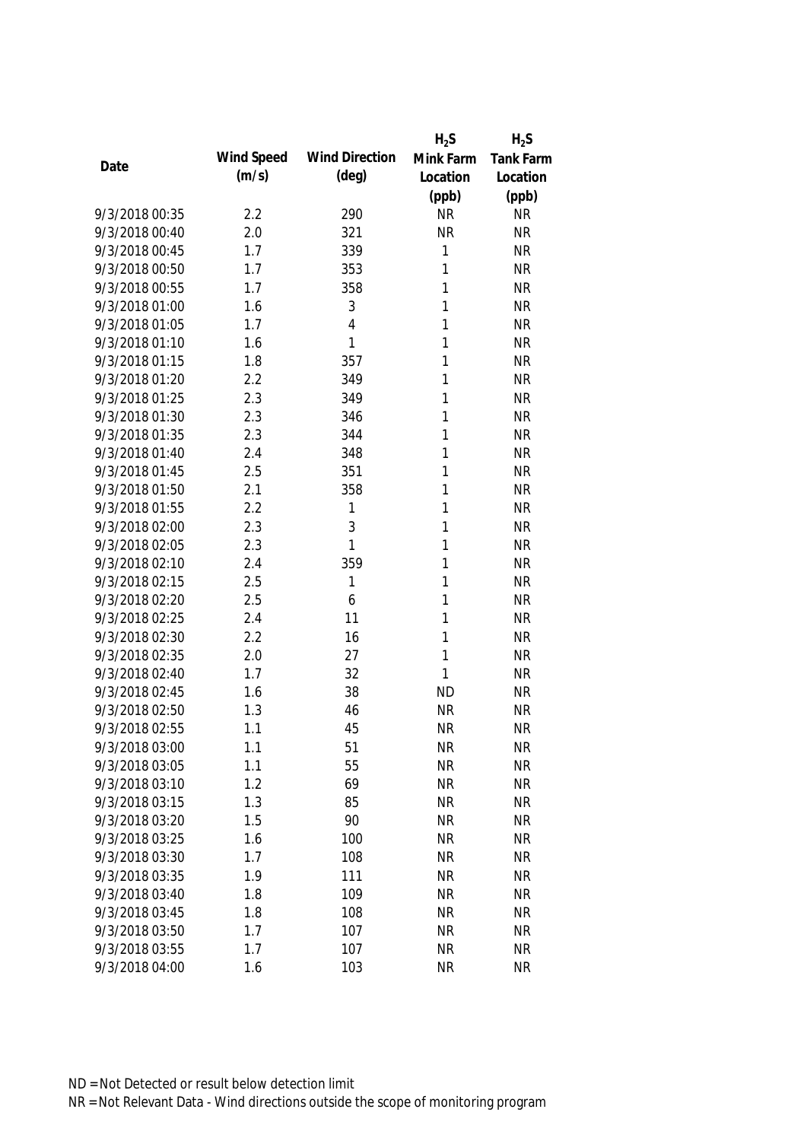|                |            |                       | $H_2S$       | $H_2S$           |
|----------------|------------|-----------------------|--------------|------------------|
| Date           | Wind Speed | <b>Wind Direction</b> | Mink Farm    | <b>Tank Farm</b> |
|                | (m/s)      | $(\text{deg})$        | Location     | Location         |
|                |            |                       | (ppb)        | (ppb)            |
| 9/3/2018 00:35 | 2.2        | 290                   | <b>NR</b>    | <b>NR</b>        |
| 9/3/2018 00:40 | 2.0        | 321                   | <b>NR</b>    | <b>NR</b>        |
| 9/3/2018 00:45 | 1.7        | 339                   | 1            | <b>NR</b>        |
| 9/3/2018 00:50 | 1.7        | 353                   | 1            | <b>NR</b>        |
| 9/3/2018 00:55 | 1.7        | 358                   | 1            | <b>NR</b>        |
| 9/3/2018 01:00 | 1.6        | 3                     | 1            | <b>NR</b>        |
| 9/3/2018 01:05 | 1.7        | $\overline{4}$        | 1            | <b>NR</b>        |
| 9/3/2018 01:10 | 1.6        | 1                     | 1            | <b>NR</b>        |
| 9/3/2018 01:15 | 1.8        | 357                   | 1            | <b>NR</b>        |
| 9/3/2018 01:20 | 2.2        | 349                   | 1            | <b>NR</b>        |
| 9/3/2018 01:25 | 2.3        | 349                   | 1            | <b>NR</b>        |
| 9/3/2018 01:30 | 2.3        | 346                   | 1            | <b>NR</b>        |
| 9/3/2018 01:35 | 2.3        | 344                   | 1            | <b>NR</b>        |
| 9/3/2018 01:40 | 2.4        | 348                   | 1            | <b>NR</b>        |
| 9/3/2018 01:45 | 2.5        | 351                   | 1            | <b>NR</b>        |
| 9/3/2018 01:50 | 2.1        | 358                   | $\mathbf{1}$ | <b>NR</b>        |
| 9/3/2018 01:55 | 2.2        | 1                     | 1            | <b>NR</b>        |
| 9/3/2018 02:00 | 2.3        | 3                     | 1            | <b>NR</b>        |
| 9/3/2018 02:05 | 2.3        | 1                     | 1            | <b>NR</b>        |
| 9/3/2018 02:10 | 2.4        | 359                   | 1            | <b>NR</b>        |
| 9/3/2018 02:15 | 2.5        | 1                     | 1            | <b>NR</b>        |
| 9/3/2018 02:20 | 2.5        | 6                     | 1            | <b>NR</b>        |
| 9/3/2018 02:25 | 2.4        | 11                    | 1            | <b>NR</b>        |
| 9/3/2018 02:30 | 2.2        | 16                    | 1            | <b>NR</b>        |
| 9/3/2018 02:35 | 2.0        | 27                    | 1            | <b>NR</b>        |
| 9/3/2018 02:40 | 1.7        | 32                    | 1            | <b>NR</b>        |
| 9/3/2018 02:45 | 1.6        | 38                    | <b>ND</b>    | <b>NR</b>        |
| 9/3/2018 02:50 | 1.3        | 46                    | <b>NR</b>    | <b>NR</b>        |
| 9/3/2018 02:55 | 1.1        | 45                    | <b>NR</b>    | <b>NR</b>        |
| 9/3/2018 03:00 | 1.1        | 51                    | <b>NR</b>    | <b>NR</b>        |
| 9/3/2018 03:05 | 1.1        | 55                    | <b>NR</b>    | <b>NR</b>        |
| 9/3/2018 03:10 | 1.2        | 69                    | <b>NR</b>    | <b>NR</b>        |
| 9/3/2018 03:15 | 1.3        | 85                    | <b>NR</b>    | <b>NR</b>        |
| 9/3/2018 03:20 | 1.5        | 90                    | <b>NR</b>    | <b>NR</b>        |
| 9/3/2018 03:25 | 1.6        | 100                   | <b>NR</b>    | <b>NR</b>        |
| 9/3/2018 03:30 | 1.7        | 108                   | <b>NR</b>    | <b>NR</b>        |
| 9/3/2018 03:35 | 1.9        | 111                   | <b>NR</b>    | <b>NR</b>        |
| 9/3/2018 03:40 | 1.8        | 109                   | <b>NR</b>    | <b>NR</b>        |
| 9/3/2018 03:45 | 1.8        | 108                   | <b>NR</b>    | <b>NR</b>        |
| 9/3/2018 03:50 | 1.7        | 107                   | <b>NR</b>    | <b>NR</b>        |
| 9/3/2018 03:55 | 1.7        | 107                   | <b>NR</b>    | <b>NR</b>        |
| 9/3/2018 04:00 | 1.6        | 103                   | <b>NR</b>    | <b>NR</b>        |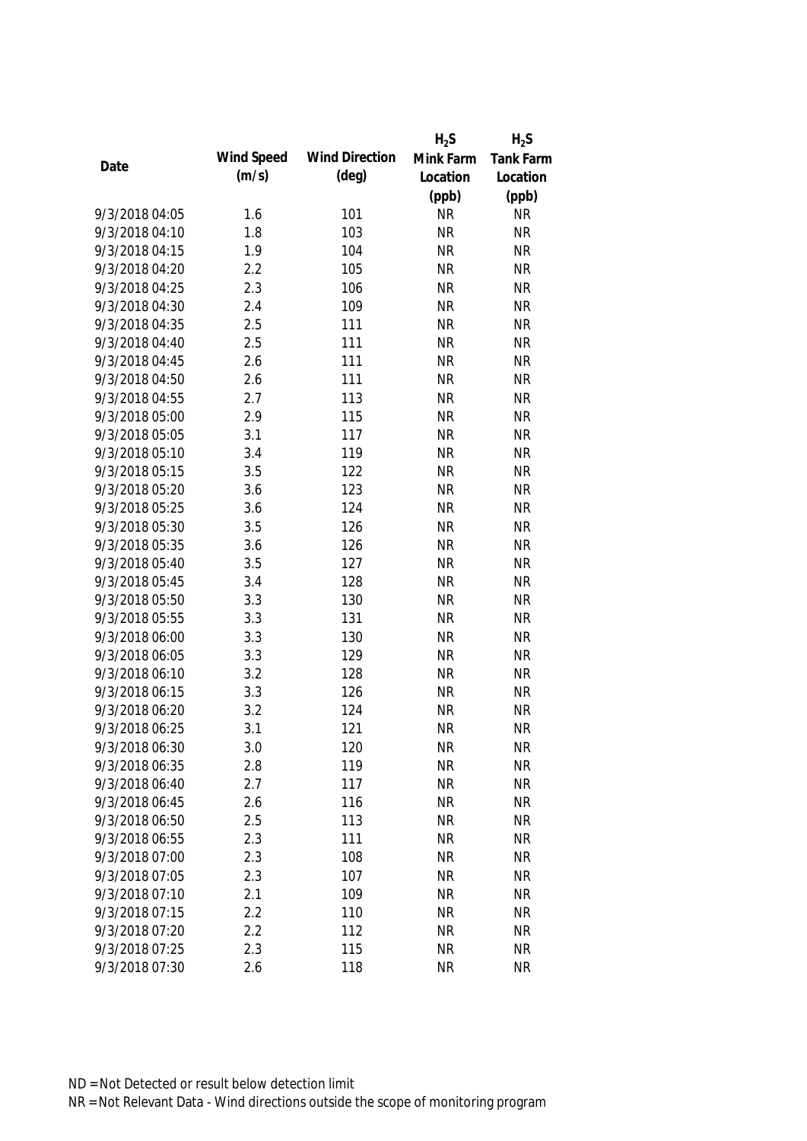|                |            |                       | $H_2S$    | $H_2S$    |
|----------------|------------|-----------------------|-----------|-----------|
|                | Wind Speed | <b>Wind Direction</b> | Mink Farm | Tank Farm |
| Date           | (m/s)      | (deg)                 | Location  | Location  |
|                |            |                       | (ppb)     | (ppb)     |
| 9/3/2018 04:05 | 1.6        | 101                   | <b>NR</b> | <b>NR</b> |
| 9/3/2018 04:10 | 1.8        | 103                   | <b>NR</b> | <b>NR</b> |
| 9/3/2018 04:15 | 1.9        | 104                   | <b>NR</b> | <b>NR</b> |
| 9/3/2018 04:20 | 2.2        | 105                   | <b>NR</b> | <b>NR</b> |
| 9/3/2018 04:25 | 2.3        | 106                   | <b>NR</b> | <b>NR</b> |
| 9/3/2018 04:30 | 2.4        | 109                   | <b>NR</b> | <b>NR</b> |
| 9/3/2018 04:35 | 2.5        | 111                   | <b>NR</b> | <b>NR</b> |
| 9/3/2018 04:40 | 2.5        | 111                   | <b>NR</b> | <b>NR</b> |
| 9/3/2018 04:45 | 2.6        | 111                   | <b>NR</b> | <b>NR</b> |
| 9/3/2018 04:50 | 2.6        | 111                   | <b>NR</b> | <b>NR</b> |
| 9/3/2018 04:55 | 2.7        | 113                   | <b>NR</b> | <b>NR</b> |
| 9/3/2018 05:00 | 2.9        | 115                   | <b>NR</b> | <b>NR</b> |
| 9/3/2018 05:05 | 3.1        | 117                   | <b>NR</b> | <b>NR</b> |
| 9/3/2018 05:10 | 3.4        | 119                   | <b>NR</b> | <b>NR</b> |
| 9/3/2018 05:15 | 3.5        | 122                   | <b>NR</b> | <b>NR</b> |
| 9/3/2018 05:20 | 3.6        | 123                   | <b>NR</b> | <b>NR</b> |
| 9/3/2018 05:25 | 3.6        | 124                   | <b>NR</b> | <b>NR</b> |
| 9/3/2018 05:30 | 3.5        | 126                   | <b>NR</b> | <b>NR</b> |
| 9/3/2018 05:35 | 3.6        | 126                   | <b>NR</b> | <b>NR</b> |
| 9/3/2018 05:40 | 3.5        | 127                   | <b>NR</b> | <b>NR</b> |
| 9/3/2018 05:45 | 3.4        | 128                   | <b>NR</b> | <b>NR</b> |
| 9/3/2018 05:50 | 3.3        | 130                   | <b>NR</b> | <b>NR</b> |
| 9/3/2018 05:55 | 3.3        | 131                   | <b>NR</b> | <b>NR</b> |
| 9/3/2018 06:00 | 3.3        | 130                   | <b>NR</b> | <b>NR</b> |
| 9/3/2018 06:05 | 3.3        | 129                   | <b>NR</b> | <b>NR</b> |
| 9/3/2018 06:10 | 3.2        | 128                   | <b>NR</b> | <b>NR</b> |
| 9/3/2018 06:15 | 3.3        | 126                   | <b>NR</b> | <b>NR</b> |
| 9/3/2018 06:20 | 3.2        | 124                   | <b>NR</b> | <b>NR</b> |
| 9/3/2018 06:25 | 3.1        | 121                   | <b>NR</b> | <b>NR</b> |
| 9/3/2018 06:30 | 3.0        | 120                   | <b>NR</b> | <b>NR</b> |
| 9/3/2018 06:35 | 2.8        | 119                   | <b>NR</b> | <b>NR</b> |
| 9/3/2018 06:40 | 2.7        | 117                   | <b>NR</b> | <b>NR</b> |
| 9/3/2018 06:45 | 2.6        | 116                   | <b>NR</b> | <b>NR</b> |
| 9/3/2018 06:50 | 2.5        | 113                   | <b>NR</b> | <b>NR</b> |
| 9/3/2018 06:55 | 2.3        | 111                   | <b>NR</b> | <b>NR</b> |
| 9/3/2018 07:00 | 2.3        | 108                   | <b>NR</b> | <b>NR</b> |
| 9/3/2018 07:05 | 2.3        | 107                   | <b>NR</b> | <b>NR</b> |
| 9/3/2018 07:10 | 2.1        | 109                   | <b>NR</b> | <b>NR</b> |
| 9/3/2018 07:15 | 2.2        | 110                   | <b>NR</b> | <b>NR</b> |
| 9/3/2018 07:20 | 2.2        | 112                   | <b>NR</b> | <b>NR</b> |
| 9/3/2018 07:25 | 2.3        | 115                   | <b>NR</b> | <b>NR</b> |
| 9/3/2018 07:30 | 2.6        | 118                   | <b>NR</b> | <b>NR</b> |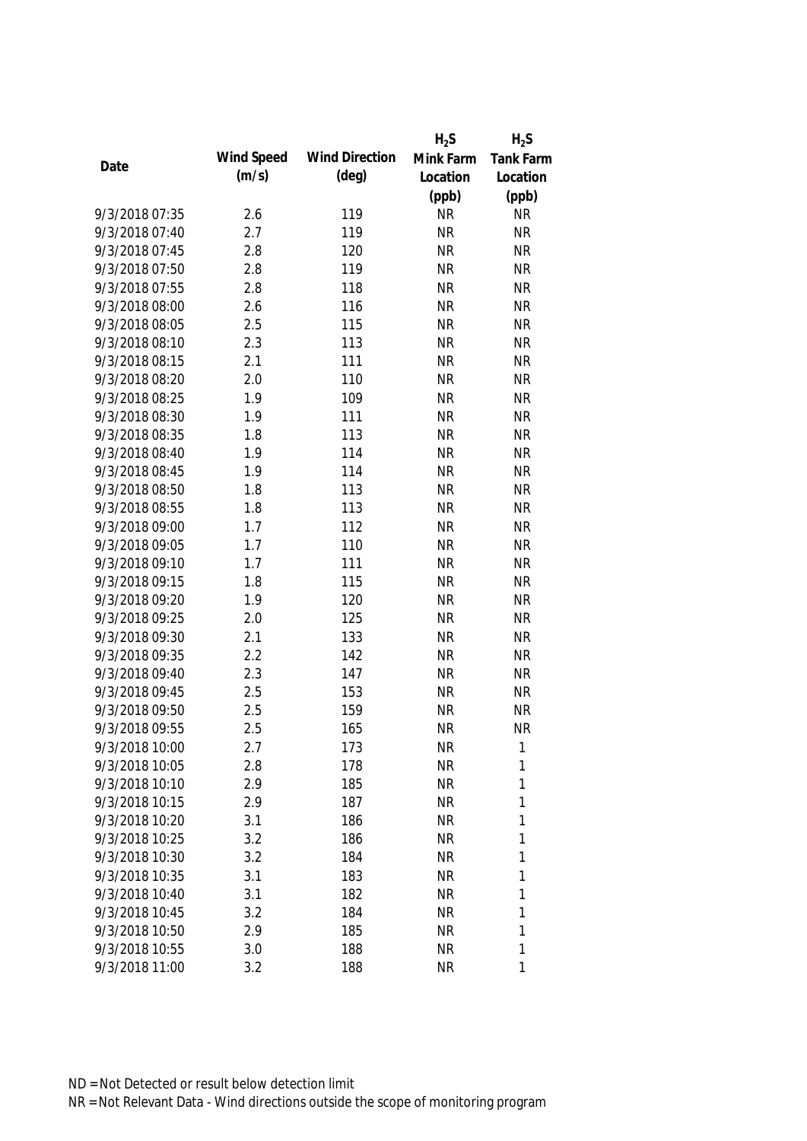|                |            |                       | $H_2S$    | $H_2S$           |
|----------------|------------|-----------------------|-----------|------------------|
| Date           | Wind Speed | <b>Wind Direction</b> | Mink Farm | <b>Tank Farm</b> |
|                | (m/s)      | (deg)                 | Location  | Location         |
|                |            |                       | (ppb)     | (ppb)            |
| 9/3/2018 07:35 | 2.6        | 119                   | <b>NR</b> | <b>NR</b>        |
| 9/3/2018 07:40 | 2.7        | 119                   | <b>NR</b> | <b>NR</b>        |
| 9/3/2018 07:45 | 2.8        | 120                   | <b>NR</b> | <b>NR</b>        |
| 9/3/2018 07:50 | 2.8        | 119                   | <b>NR</b> | <b>NR</b>        |
| 9/3/2018 07:55 | 2.8        | 118                   | <b>NR</b> | <b>NR</b>        |
| 9/3/2018 08:00 | 2.6        | 116                   | <b>NR</b> | <b>NR</b>        |
| 9/3/2018 08:05 | 2.5        | 115                   | <b>NR</b> | <b>NR</b>        |
| 9/3/2018 08:10 | 2.3        | 113                   | <b>NR</b> | <b>NR</b>        |
| 9/3/2018 08:15 | 2.1        | 111                   | <b>NR</b> | <b>NR</b>        |
| 9/3/2018 08:20 | 2.0        | 110                   | <b>NR</b> | <b>NR</b>        |
| 9/3/2018 08:25 | 1.9        | 109                   | <b>NR</b> | <b>NR</b>        |
| 9/3/2018 08:30 | 1.9        | 111                   | <b>NR</b> | <b>NR</b>        |
| 9/3/2018 08:35 | 1.8        | 113                   | <b>NR</b> | <b>NR</b>        |
| 9/3/2018 08:40 | 1.9        | 114                   | <b>NR</b> | <b>NR</b>        |
| 9/3/2018 08:45 | 1.9        | 114                   | <b>NR</b> | <b>NR</b>        |
| 9/3/2018 08:50 | 1.8        | 113                   | <b>NR</b> | <b>NR</b>        |
| 9/3/2018 08:55 | 1.8        | 113                   | <b>NR</b> | <b>NR</b>        |
| 9/3/2018 09:00 | 1.7        | 112                   | <b>NR</b> | <b>NR</b>        |
| 9/3/2018 09:05 | 1.7        | 110                   | <b>NR</b> | <b>NR</b>        |
| 9/3/2018 09:10 | 1.7        | 111                   | <b>NR</b> | <b>NR</b>        |
| 9/3/2018 09:15 | 1.8        | 115                   | <b>NR</b> | <b>NR</b>        |
| 9/3/2018 09:20 | 1.9        | 120                   | <b>NR</b> | <b>NR</b>        |
| 9/3/2018 09:25 | 2.0        | 125                   | <b>NR</b> | <b>NR</b>        |
| 9/3/2018 09:30 | 2.1        | 133                   | <b>NR</b> | <b>NR</b>        |
| 9/3/2018 09:35 | 2.2        | 142                   | <b>NR</b> | <b>NR</b>        |
| 9/3/2018 09:40 | 2.3        | 147                   | <b>NR</b> | <b>NR</b>        |
| 9/3/2018 09:45 | 2.5        | 153                   | <b>NR</b> | <b>NR</b>        |
| 9/3/2018 09:50 | 2.5        | 159                   | <b>NR</b> | <b>NR</b>        |
| 9/3/2018 09:55 | 2.5        | 165                   | <b>NR</b> | <b>NR</b>        |
| 9/3/2018 10:00 | 2.7        | 173                   | <b>NR</b> | 1                |
| 9/3/2018 10:05 | 2.8        | 178                   | <b>NR</b> | 1                |
| 9/3/2018 10:10 | 2.9        | 185                   | <b>NR</b> | 1                |
| 9/3/2018 10:15 | 2.9        | 187                   | <b>NR</b> | 1                |
| 9/3/2018 10:20 | 3.1        | 186                   | <b>NR</b> | 1                |
| 9/3/2018 10:25 | 3.2        | 186                   | <b>NR</b> | 1                |
| 9/3/2018 10:30 | 3.2        | 184                   | <b>NR</b> | $\mathbf{1}$     |
| 9/3/2018 10:35 | 3.1        | 183                   | <b>NR</b> | 1                |
| 9/3/2018 10:40 | 3.1        | 182                   | <b>NR</b> | 1                |
| 9/3/2018 10:45 | 3.2        | 184                   | <b>NR</b> | 1                |
| 9/3/2018 10:50 | 2.9        | 185                   | <b>NR</b> | 1                |
| 9/3/2018 10:55 | 3.0        | 188                   | <b>NR</b> | 1                |
| 9/3/2018 11:00 | 3.2        | 188                   | <b>NR</b> | 1                |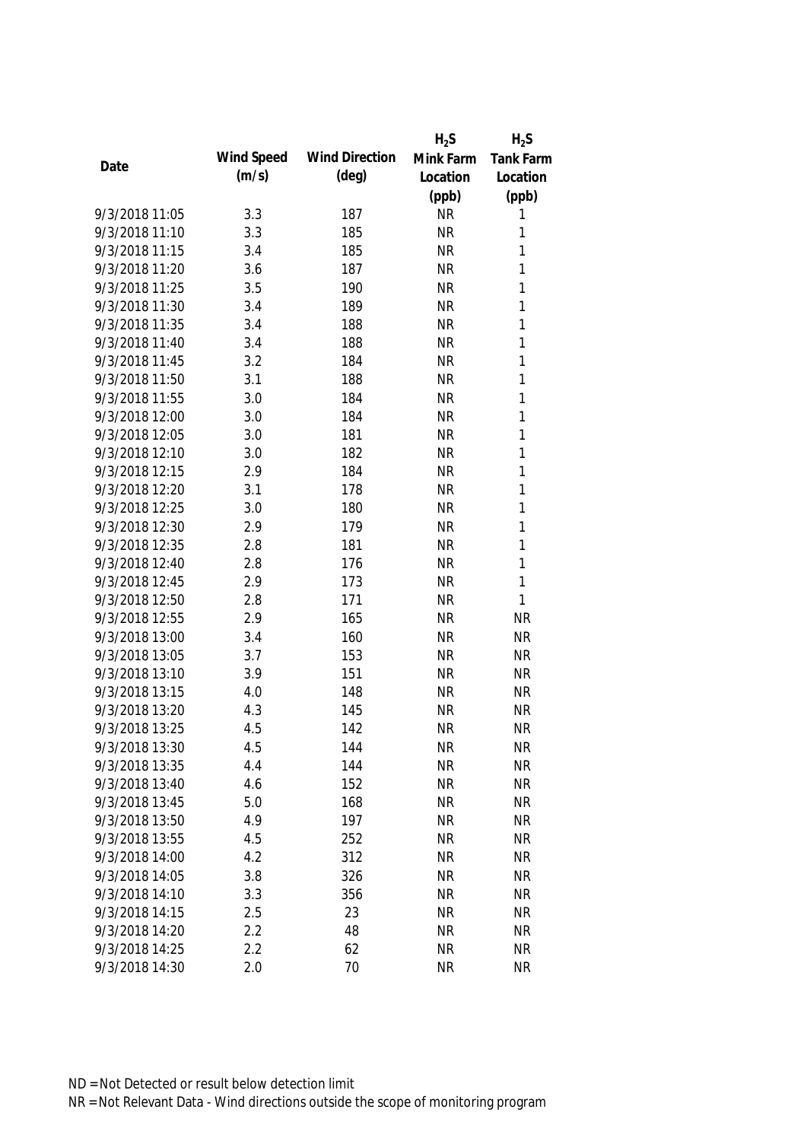|                |            |                       | $H_2S$    | $H_2S$           |
|----------------|------------|-----------------------|-----------|------------------|
|                | Wind Speed | <b>Wind Direction</b> | Mink Farm | <b>Tank Farm</b> |
| Date           | (m/s)      | $(\text{deg})$        | Location  | Location         |
|                |            |                       | (ppb)     | (ppb)            |
| 9/3/2018 11:05 | 3.3        | 187                   | <b>NR</b> | 1                |
| 9/3/2018 11:10 | 3.3        | 185                   | <b>NR</b> | 1                |
| 9/3/2018 11:15 | 3.4        | 185                   | <b>NR</b> | 1                |
| 9/3/2018 11:20 | 3.6        | 187                   | <b>NR</b> | 1                |
| 9/3/2018 11:25 | 3.5        | 190                   | <b>NR</b> | 1                |
| 9/3/2018 11:30 | 3.4        | 189                   | <b>NR</b> | 1                |
| 9/3/2018 11:35 | 3.4        | 188                   | <b>NR</b> | 1                |
| 9/3/2018 11:40 | 3.4        | 188                   | <b>NR</b> | 1                |
| 9/3/2018 11:45 | 3.2        | 184                   | <b>NR</b> | 1                |
| 9/3/2018 11:50 | 3.1        | 188                   | <b>NR</b> | 1                |
| 9/3/2018 11:55 | 3.0        | 184                   | <b>NR</b> | 1                |
| 9/3/2018 12:00 | 3.0        | 184                   | <b>NR</b> | 1                |
| 9/3/2018 12:05 | 3.0        | 181                   | <b>NR</b> | 1                |
| 9/3/2018 12:10 | 3.0        | 182                   | <b>NR</b> | 1                |
| 9/3/2018 12:15 | 2.9        | 184                   | <b>NR</b> | 1                |
| 9/3/2018 12:20 | 3.1        | 178                   | <b>NR</b> | 1                |
| 9/3/2018 12:25 | 3.0        | 180                   | <b>NR</b> | 1                |
| 9/3/2018 12:30 | 2.9        | 179                   | <b>NR</b> | 1                |
| 9/3/2018 12:35 | 2.8        | 181                   | <b>NR</b> | 1                |
| 9/3/2018 12:40 | 2.8        | 176                   | <b>NR</b> | 1                |
| 9/3/2018 12:45 | 2.9        | 173                   | <b>NR</b> | 1                |
| 9/3/2018 12:50 | 2.8        | 171                   | <b>NR</b> | $\mathbf{1}$     |
| 9/3/2018 12:55 | 2.9        | 165                   | <b>NR</b> | <b>NR</b>        |
| 9/3/2018 13:00 | 3.4        | 160                   | <b>NR</b> | <b>NR</b>        |
| 9/3/2018 13:05 | 3.7        | 153                   | <b>NR</b> | <b>NR</b>        |
| 9/3/2018 13:10 | 3.9        | 151                   | <b>NR</b> | <b>NR</b>        |
| 9/3/2018 13:15 | 4.0        | 148                   | <b>NR</b> | <b>NR</b>        |
| 9/3/2018 13:20 | 4.3        | 145                   | <b>NR</b> | <b>NR</b>        |
| 9/3/2018 13:25 | 4.5        | 142                   | <b>NR</b> | <b>NR</b>        |
| 9/3/2018 13:30 | 4.5        | 144                   | <b>NR</b> | <b>NR</b>        |
| 9/3/2018 13:35 | 4.4        | 144                   | <b>NR</b> | <b>NR</b>        |
| 9/3/2018 13:40 | 4.6        | 152                   | <b>NR</b> | <b>NR</b>        |
| 9/3/2018 13:45 | 5.0        | 168                   | <b>NR</b> | <b>NR</b>        |
| 9/3/2018 13:50 | 4.9        | 197                   | <b>NR</b> | <b>NR</b>        |
| 9/3/2018 13:55 | 4.5        | 252                   | <b>NR</b> | <b>NR</b>        |
| 9/3/2018 14:00 | 4.2        | 312                   | <b>NR</b> | <b>NR</b>        |
| 9/3/2018 14:05 | 3.8        | 326                   | <b>NR</b> | <b>NR</b>        |
| 9/3/2018 14:10 | 3.3        | 356                   | <b>NR</b> | <b>NR</b>        |
| 9/3/2018 14:15 | 2.5        | 23                    | <b>NR</b> | <b>NR</b>        |
| 9/3/2018 14:20 | 2.2        | 48                    | <b>NR</b> | <b>NR</b>        |
| 9/3/2018 14:25 | 2.2        | 62                    | <b>NR</b> | <b>NR</b>        |
| 9/3/2018 14:30 | 2.0        | 70                    | <b>NR</b> | <b>NR</b>        |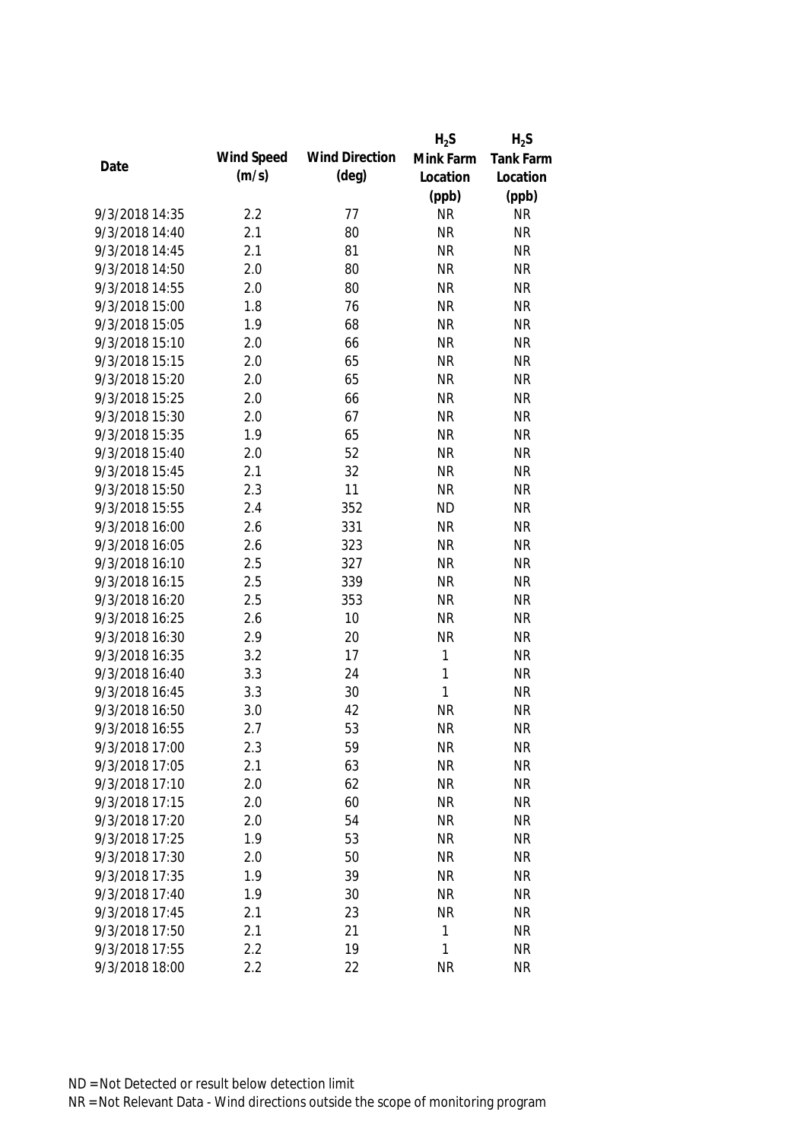|                |            |                       | $H_2S$      | $H_2S$    |
|----------------|------------|-----------------------|-------------|-----------|
|                | Wind Speed | <b>Wind Direction</b> | Mink Farm   | Tank Farm |
| Date           | (m/s)      | $(\text{deg})$        | Location    | Location  |
|                |            |                       | (ppb)       | (ppb)     |
| 9/3/2018 14:35 | 2.2        | 77                    | <b>NR</b>   | <b>NR</b> |
| 9/3/2018 14:40 | 2.1        | 80                    | <b>NR</b>   | <b>NR</b> |
| 9/3/2018 14:45 | 2.1        | 81                    | <b>NR</b>   | <b>NR</b> |
| 9/3/2018 14:50 | 2.0        | 80                    | <b>NR</b>   | <b>NR</b> |
| 9/3/2018 14:55 | 2.0        | 80                    | <b>NR</b>   | <b>NR</b> |
| 9/3/2018 15:00 | 1.8        | 76                    | <b>NR</b>   | <b>NR</b> |
| 9/3/2018 15:05 | 1.9        | 68                    | <b>NR</b>   | <b>NR</b> |
| 9/3/2018 15:10 | 2.0        | 66                    | <b>NR</b>   | <b>NR</b> |
| 9/3/2018 15:15 | 2.0        | 65                    | <b>NR</b>   | <b>NR</b> |
| 9/3/2018 15:20 | 2.0        | 65                    | <b>NR</b>   | <b>NR</b> |
| 9/3/2018 15:25 | 2.0        | 66                    | <b>NR</b>   | <b>NR</b> |
| 9/3/2018 15:30 | 2.0        | 67                    | <b>NR</b>   | <b>NR</b> |
| 9/3/2018 15:35 | 1.9        | 65                    | <b>NR</b>   | <b>NR</b> |
| 9/3/2018 15:40 | 2.0        | 52                    | <b>NR</b>   | <b>NR</b> |
| 9/3/2018 15:45 | 2.1        | 32                    | <b>NR</b>   | <b>NR</b> |
| 9/3/2018 15:50 | 2.3        | 11                    | <b>NR</b>   | <b>NR</b> |
| 9/3/2018 15:55 | 2.4        | 352                   | <b>ND</b>   | <b>NR</b> |
| 9/3/2018 16:00 | 2.6        | 331                   | <b>NR</b>   | <b>NR</b> |
| 9/3/2018 16:05 | 2.6        | 323                   | <b>NR</b>   | <b>NR</b> |
| 9/3/2018 16:10 | 2.5        | 327                   | <b>NR</b>   | <b>NR</b> |
| 9/3/2018 16:15 | 2.5        | 339                   | <b>NR</b>   | <b>NR</b> |
| 9/3/2018 16:20 | 2.5        | 353                   | <b>NR</b>   | <b>NR</b> |
| 9/3/2018 16:25 | 2.6        | 10                    | <b>NR</b>   | <b>NR</b> |
| 9/3/2018 16:30 | 2.9        | 20                    | <b>NR</b>   | <b>NR</b> |
| 9/3/2018 16:35 | 3.2        | 17                    | $\mathbf 1$ | <b>NR</b> |
| 9/3/2018 16:40 | 3.3        | 24                    | 1           | <b>NR</b> |
| 9/3/2018 16:45 | 3.3        | 30                    | 1           | <b>NR</b> |
| 9/3/2018 16:50 | 3.0        | 42                    | <b>NR</b>   | <b>NR</b> |
| 9/3/2018 16:55 | 2.7        | 53                    | <b>NR</b>   | <b>NR</b> |
| 9/3/2018 17:00 | 2.3        | 59                    | <b>NR</b>   | <b>NR</b> |
| 9/3/2018 17:05 | 2.1        | 63                    | <b>NR</b>   | <b>NR</b> |
| 9/3/2018 17:10 | 2.0        | 62                    | <b>NR</b>   | <b>NR</b> |
| 9/3/2018 17:15 | 2.0        | 60                    | <b>NR</b>   | <b>NR</b> |
| 9/3/2018 17:20 | 2.0        | 54                    | <b>NR</b>   | <b>NR</b> |
| 9/3/2018 17:25 | 1.9        | 53                    | <b>NR</b>   | <b>NR</b> |
| 9/3/2018 17:30 | 2.0        | 50                    | <b>NR</b>   | <b>NR</b> |
| 9/3/2018 17:35 | 1.9        | 39                    | <b>NR</b>   | <b>NR</b> |
| 9/3/2018 17:40 | 1.9        | 30                    | <b>NR</b>   | <b>NR</b> |
| 9/3/2018 17:45 | 2.1        | 23                    | <b>NR</b>   | <b>NR</b> |
| 9/3/2018 17:50 | 2.1        | 21                    | 1           | <b>NR</b> |
| 9/3/2018 17:55 | 2.2        | 19                    | 1           | <b>NR</b> |
| 9/3/2018 18:00 | 2.2        | 22                    | <b>NR</b>   | <b>NR</b> |
|                |            |                       |             |           |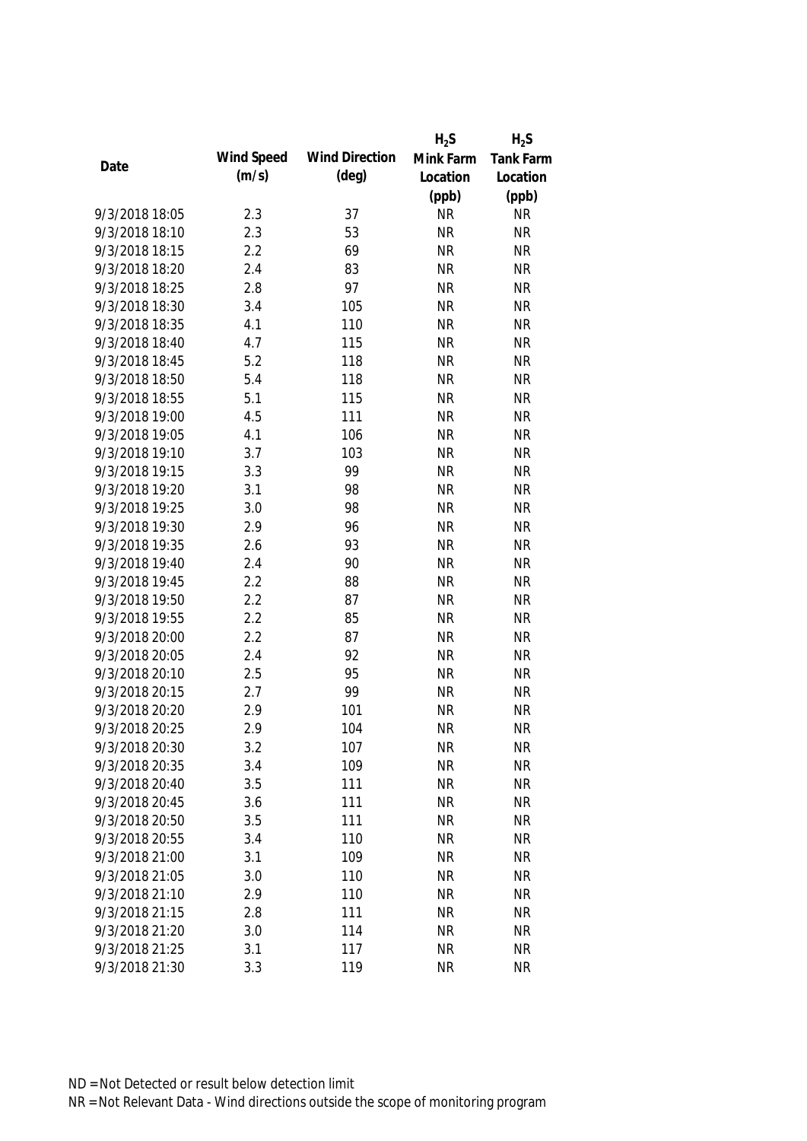|                |            |                       | $H_2S$    | $H_2S$    |
|----------------|------------|-----------------------|-----------|-----------|
|                | Wind Speed | <b>Wind Direction</b> | Mink Farm | Tank Farm |
| Date           | (m/s)      | $(\text{deg})$        | Location  | Location  |
|                |            |                       | (ppb)     | (ppb)     |
| 9/3/2018 18:05 | 2.3        | 37                    | <b>NR</b> | <b>NR</b> |
| 9/3/2018 18:10 | 2.3        | 53                    | <b>NR</b> | <b>NR</b> |
| 9/3/2018 18:15 | 2.2        | 69                    | <b>NR</b> | <b>NR</b> |
| 9/3/2018 18:20 | 2.4        | 83                    | <b>NR</b> | <b>NR</b> |
| 9/3/2018 18:25 | 2.8        | 97                    | <b>NR</b> | <b>NR</b> |
| 9/3/2018 18:30 | 3.4        | 105                   | <b>NR</b> | <b>NR</b> |
| 9/3/2018 18:35 | 4.1        | 110                   | <b>NR</b> | <b>NR</b> |
| 9/3/2018 18:40 | 4.7        | 115                   | <b>NR</b> | <b>NR</b> |
| 9/3/2018 18:45 | 5.2        | 118                   | <b>NR</b> | <b>NR</b> |
| 9/3/2018 18:50 | 5.4        | 118                   | <b>NR</b> | <b>NR</b> |
| 9/3/2018 18:55 | 5.1        | 115                   | <b>NR</b> | <b>NR</b> |
| 9/3/2018 19:00 | 4.5        | 111                   | <b>NR</b> | <b>NR</b> |
| 9/3/2018 19:05 | 4.1        | 106                   | <b>NR</b> | <b>NR</b> |
| 9/3/2018 19:10 | 3.7        | 103                   | <b>NR</b> | <b>NR</b> |
| 9/3/2018 19:15 | 3.3        | 99                    | <b>NR</b> | <b>NR</b> |
| 9/3/2018 19:20 | 3.1        | 98                    | <b>NR</b> | <b>NR</b> |
| 9/3/2018 19:25 | 3.0        | 98                    | <b>NR</b> | <b>NR</b> |
| 9/3/2018 19:30 | 2.9        | 96                    | <b>NR</b> | <b>NR</b> |
| 9/3/2018 19:35 | 2.6        | 93                    | <b>NR</b> | <b>NR</b> |
| 9/3/2018 19:40 | 2.4        | 90                    | <b>NR</b> | <b>NR</b> |
| 9/3/2018 19:45 | 2.2        | 88                    | <b>NR</b> | <b>NR</b> |
| 9/3/2018 19:50 | 2.2        | 87                    | <b>NR</b> | <b>NR</b> |
| 9/3/2018 19:55 | 2.2        | 85                    | <b>NR</b> | <b>NR</b> |
| 9/3/2018 20:00 | 2.2        | 87                    | <b>NR</b> | <b>NR</b> |
| 9/3/2018 20:05 | 2.4        | 92                    | <b>NR</b> | <b>NR</b> |
| 9/3/2018 20:10 | 2.5        | 95                    | <b>NR</b> | <b>NR</b> |
| 9/3/2018 20:15 | 2.7        | 99                    | <b>NR</b> | <b>NR</b> |
| 9/3/2018 20:20 | 2.9        | 101                   | <b>NR</b> | <b>NR</b> |
| 9/3/2018 20:25 | 2.9        | 104                   | <b>NR</b> | <b>NR</b> |
| 9/3/2018 20:30 | 3.2        | 107                   | <b>NR</b> | <b>NR</b> |
| 9/3/2018 20:35 | 3.4        | 109                   | <b>NR</b> | <b>NR</b> |
| 9/3/2018 20:40 | 3.5        | 111                   | <b>NR</b> | <b>NR</b> |
| 9/3/2018 20:45 | 3.6        | 111                   | <b>NR</b> | <b>NR</b> |
| 9/3/2018 20:50 | 3.5        | 111                   | <b>NR</b> | <b>NR</b> |
| 9/3/2018 20:55 | 3.4        | 110                   | <b>NR</b> | <b>NR</b> |
| 9/3/2018 21:00 | 3.1        | 109                   | <b>NR</b> | <b>NR</b> |
| 9/3/2018 21:05 | 3.0        | 110                   | <b>NR</b> | <b>NR</b> |
| 9/3/2018 21:10 | 2.9        | 110                   | <b>NR</b> | <b>NR</b> |
| 9/3/2018 21:15 | 2.8        | 111                   | <b>NR</b> | <b>NR</b> |
| 9/3/2018 21:20 | 3.0        | 114                   | <b>NR</b> | <b>NR</b> |
| 9/3/2018 21:25 | 3.1        | 117                   | <b>NR</b> | <b>NR</b> |
| 9/3/2018 21:30 | 3.3        | 119                   | <b>NR</b> | <b>NR</b> |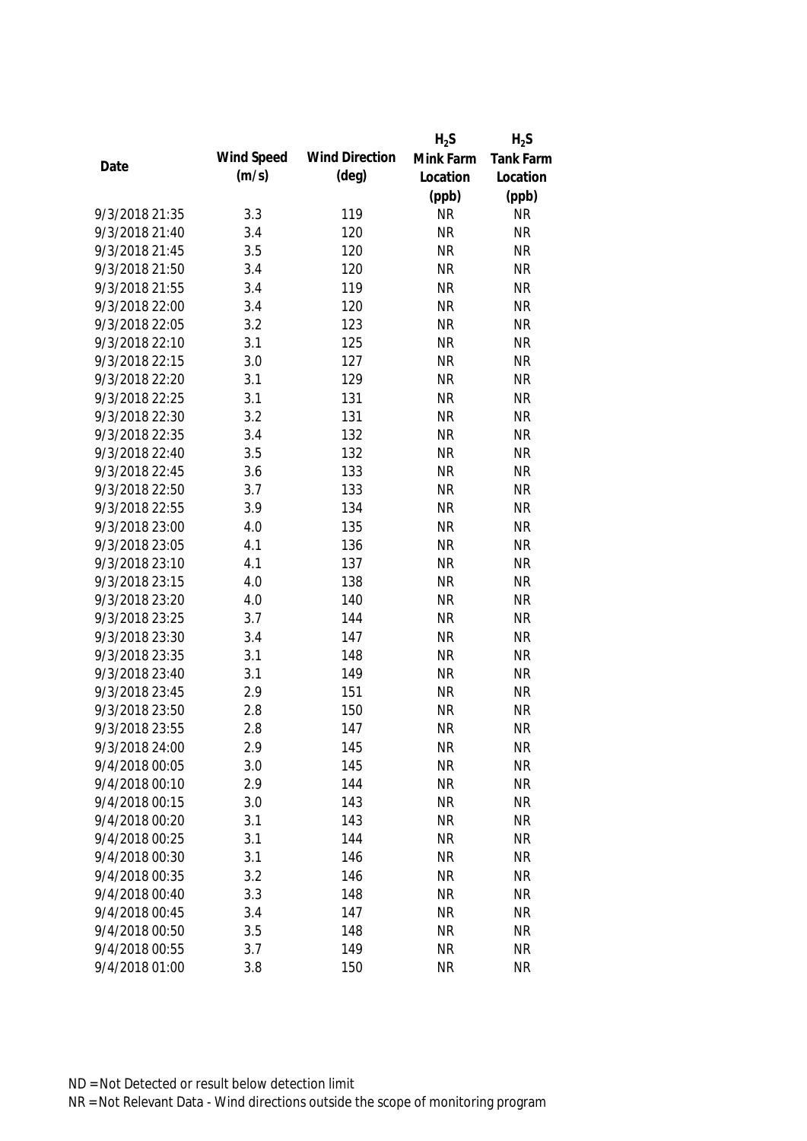|                |            |                       | $H_2S$    | $H_2S$    |
|----------------|------------|-----------------------|-----------|-----------|
|                | Wind Speed | <b>Wind Direction</b> | Mink Farm | Tank Farm |
| Date           | (m/s)      | $(\text{deg})$        | Location  | Location  |
|                |            |                       | (ppb)     | (ppb)     |
| 9/3/2018 21:35 | 3.3        | 119                   | <b>NR</b> | <b>NR</b> |
| 9/3/2018 21:40 | 3.4        | 120                   | <b>NR</b> | <b>NR</b> |
| 9/3/2018 21:45 | 3.5        | 120                   | <b>NR</b> | <b>NR</b> |
| 9/3/2018 21:50 | 3.4        | 120                   | <b>NR</b> | <b>NR</b> |
| 9/3/2018 21:55 | 3.4        | 119                   | <b>NR</b> | <b>NR</b> |
| 9/3/2018 22:00 | 3.4        | 120                   | <b>NR</b> | <b>NR</b> |
| 9/3/2018 22:05 | 3.2        | 123                   | <b>NR</b> | <b>NR</b> |
| 9/3/2018 22:10 | 3.1        | 125                   | <b>NR</b> | <b>NR</b> |
| 9/3/2018 22:15 | 3.0        | 127                   | <b>NR</b> | <b>NR</b> |
| 9/3/2018 22:20 | 3.1        | 129                   | <b>NR</b> | <b>NR</b> |
| 9/3/2018 22:25 | 3.1        | 131                   | <b>NR</b> | <b>NR</b> |
| 9/3/2018 22:30 | 3.2        | 131                   | <b>NR</b> | <b>NR</b> |
| 9/3/2018 22:35 | 3.4        | 132                   | <b>NR</b> | <b>NR</b> |
| 9/3/2018 22:40 | 3.5        | 132                   | <b>NR</b> | <b>NR</b> |
| 9/3/2018 22:45 | 3.6        | 133                   | <b>NR</b> | <b>NR</b> |
| 9/3/2018 22:50 | 3.7        | 133                   | <b>NR</b> | <b>NR</b> |
| 9/3/2018 22:55 | 3.9        | 134                   | <b>NR</b> | <b>NR</b> |
| 9/3/2018 23:00 | 4.0        | 135                   | <b>NR</b> | <b>NR</b> |
| 9/3/2018 23:05 | 4.1        | 136                   | <b>NR</b> | <b>NR</b> |
| 9/3/2018 23:10 | 4.1        | 137                   | <b>NR</b> | <b>NR</b> |
| 9/3/2018 23:15 | 4.0        | 138                   | <b>NR</b> | <b>NR</b> |
| 9/3/2018 23:20 | 4.0        | 140                   | <b>NR</b> | <b>NR</b> |
| 9/3/2018 23:25 | 3.7        | 144                   | <b>NR</b> | <b>NR</b> |
| 9/3/2018 23:30 | 3.4        | 147                   | <b>NR</b> | <b>NR</b> |
| 9/3/2018 23:35 | 3.1        | 148                   | <b>NR</b> | <b>NR</b> |
| 9/3/2018 23:40 | 3.1        | 149                   | <b>NR</b> | <b>NR</b> |
| 9/3/2018 23:45 | 2.9        | 151                   | <b>NR</b> | <b>NR</b> |
| 9/3/2018 23:50 | 2.8        | 150                   | <b>NR</b> | <b>NR</b> |
| 9/3/2018 23:55 | 2.8        | 147                   | <b>NR</b> | <b>NR</b> |
| 9/3/2018 24:00 | 2.9        | 145                   | <b>NR</b> | <b>NR</b> |
| 9/4/2018 00:05 | 3.0        | 145                   | <b>NR</b> | <b>NR</b> |
| 9/4/2018 00:10 | 2.9        | 144                   | <b>NR</b> | <b>NR</b> |
| 9/4/2018 00:15 | 3.0        | 143                   | <b>NR</b> | <b>NR</b> |
| 9/4/2018 00:20 | 3.1        | 143                   | <b>NR</b> | <b>NR</b> |
| 9/4/2018 00:25 | 3.1        | 144                   | <b>NR</b> | <b>NR</b> |
| 9/4/2018 00:30 | 3.1        | 146                   | <b>NR</b> | <b>NR</b> |
| 9/4/2018 00:35 | 3.2        | 146                   | <b>NR</b> | <b>NR</b> |
| 9/4/2018 00:40 | 3.3        | 148                   | <b>NR</b> | <b>NR</b> |
| 9/4/2018 00:45 | 3.4        | 147                   | <b>NR</b> | <b>NR</b> |
| 9/4/2018 00:50 | 3.5        | 148                   | <b>NR</b> | <b>NR</b> |
| 9/4/2018 00:55 | 3.7        | 149                   | <b>NR</b> | <b>NR</b> |
| 9/4/2018 01:00 | 3.8        | 150                   | <b>NR</b> | <b>NR</b> |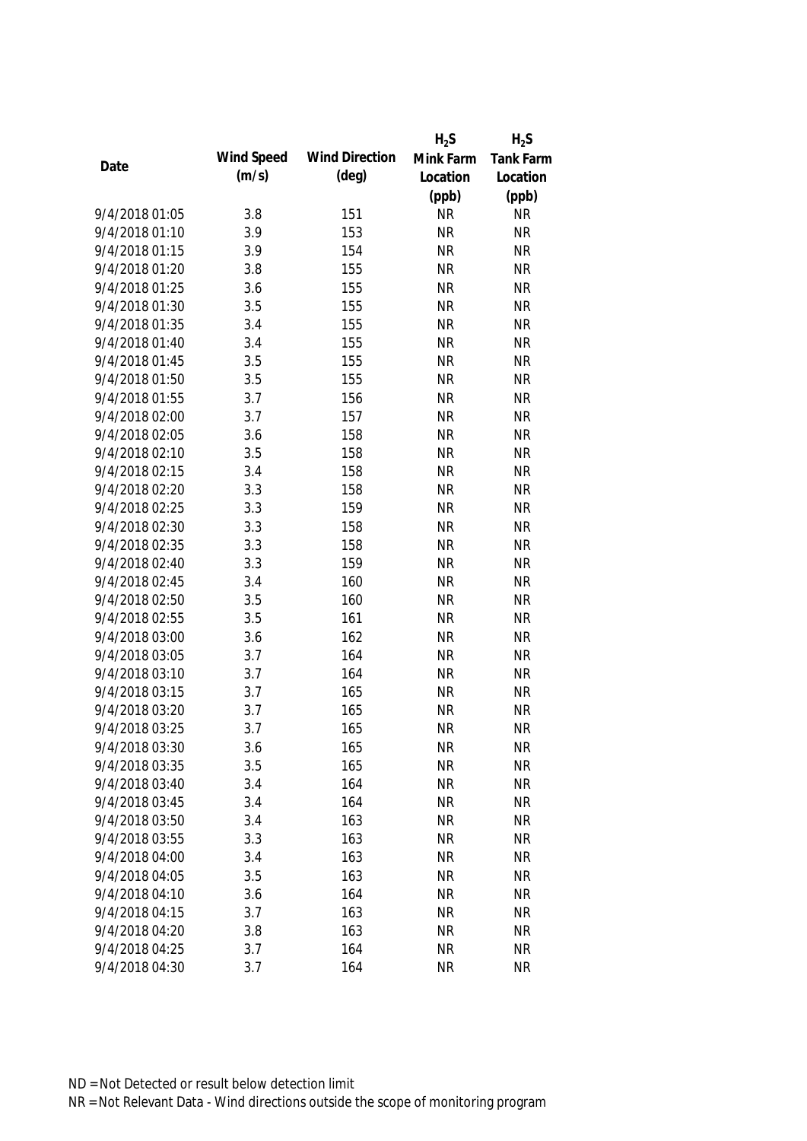|                |            |                       | $H_2S$    | $H_2S$    |
|----------------|------------|-----------------------|-----------|-----------|
|                | Wind Speed | <b>Wind Direction</b> | Mink Farm | Tank Farm |
| Date           | (m/s)      | $(\text{deg})$        | Location  | Location  |
|                |            |                       | (ppb)     | (ppb)     |
| 9/4/2018 01:05 | 3.8        | 151                   | <b>NR</b> | <b>NR</b> |
| 9/4/2018 01:10 | 3.9        | 153                   | <b>NR</b> | <b>NR</b> |
| 9/4/2018 01:15 | 3.9        | 154                   | <b>NR</b> | <b>NR</b> |
| 9/4/2018 01:20 | 3.8        | 155                   | <b>NR</b> | <b>NR</b> |
| 9/4/2018 01:25 | 3.6        | 155                   | <b>NR</b> | <b>NR</b> |
| 9/4/2018 01:30 | 3.5        | 155                   | <b>NR</b> | <b>NR</b> |
| 9/4/2018 01:35 | 3.4        | 155                   | <b>NR</b> | <b>NR</b> |
| 9/4/2018 01:40 | 3.4        | 155                   | <b>NR</b> | <b>NR</b> |
| 9/4/2018 01:45 | 3.5        | 155                   | <b>NR</b> | <b>NR</b> |
| 9/4/2018 01:50 | 3.5        | 155                   | <b>NR</b> | <b>NR</b> |
| 9/4/2018 01:55 | 3.7        | 156                   | <b>NR</b> | <b>NR</b> |
| 9/4/2018 02:00 | 3.7        | 157                   | <b>NR</b> | <b>NR</b> |
| 9/4/2018 02:05 | 3.6        | 158                   | <b>NR</b> | <b>NR</b> |
| 9/4/2018 02:10 | 3.5        | 158                   | <b>NR</b> | <b>NR</b> |
| 9/4/2018 02:15 | 3.4        | 158                   | <b>NR</b> | <b>NR</b> |
| 9/4/2018 02:20 | 3.3        | 158                   | <b>NR</b> | <b>NR</b> |
| 9/4/2018 02:25 | 3.3        | 159                   | <b>NR</b> | <b>NR</b> |
| 9/4/2018 02:30 | 3.3        | 158                   | <b>NR</b> | <b>NR</b> |
| 9/4/2018 02:35 | 3.3        | 158                   | <b>NR</b> | <b>NR</b> |
| 9/4/2018 02:40 | 3.3        | 159                   | <b>NR</b> | <b>NR</b> |
| 9/4/2018 02:45 | 3.4        | 160                   | <b>NR</b> | <b>NR</b> |
| 9/4/2018 02:50 | 3.5        | 160                   | <b>NR</b> | <b>NR</b> |
| 9/4/2018 02:55 | 3.5        | 161                   | <b>NR</b> | <b>NR</b> |
| 9/4/2018 03:00 | 3.6        | 162                   | <b>NR</b> | <b>NR</b> |
| 9/4/2018 03:05 | 3.7        | 164                   | <b>NR</b> | <b>NR</b> |
| 9/4/2018 03:10 | 3.7        | 164                   | <b>NR</b> | <b>NR</b> |
| 9/4/2018 03:15 | 3.7        | 165                   | <b>NR</b> | <b>NR</b> |
| 9/4/2018 03:20 | 3.7        | 165                   | <b>NR</b> | <b>NR</b> |
| 9/4/2018 03:25 | 3.7        | 165                   | <b>NR</b> | <b>NR</b> |
| 9/4/2018 03:30 | 3.6        | 165                   | <b>NR</b> | <b>NR</b> |
| 9/4/2018 03:35 | 3.5        | 165                   | <b>NR</b> | <b>NR</b> |
| 9/4/2018 03:40 | 3.4        | 164                   | <b>NR</b> | <b>NR</b> |
| 9/4/2018 03:45 | 3.4        | 164                   | <b>NR</b> | <b>NR</b> |
| 9/4/2018 03:50 | 3.4        | 163                   | <b>NR</b> | <b>NR</b> |
| 9/4/2018 03:55 | 3.3        | 163                   | <b>NR</b> | <b>NR</b> |
| 9/4/2018 04:00 | 3.4        | 163                   | <b>NR</b> | <b>NR</b> |
| 9/4/2018 04:05 | 3.5        | 163                   | <b>NR</b> | <b>NR</b> |
| 9/4/2018 04:10 | 3.6        | 164                   | <b>NR</b> | <b>NR</b> |
| 9/4/2018 04:15 | 3.7        | 163                   | <b>NR</b> | <b>NR</b> |
| 9/4/2018 04:20 | 3.8        | 163                   | <b>NR</b> | <b>NR</b> |
| 9/4/2018 04:25 | 3.7        | 164                   | <b>NR</b> | <b>NR</b> |
| 9/4/2018 04:30 | 3.7        | 164                   | <b>NR</b> | <b>NR</b> |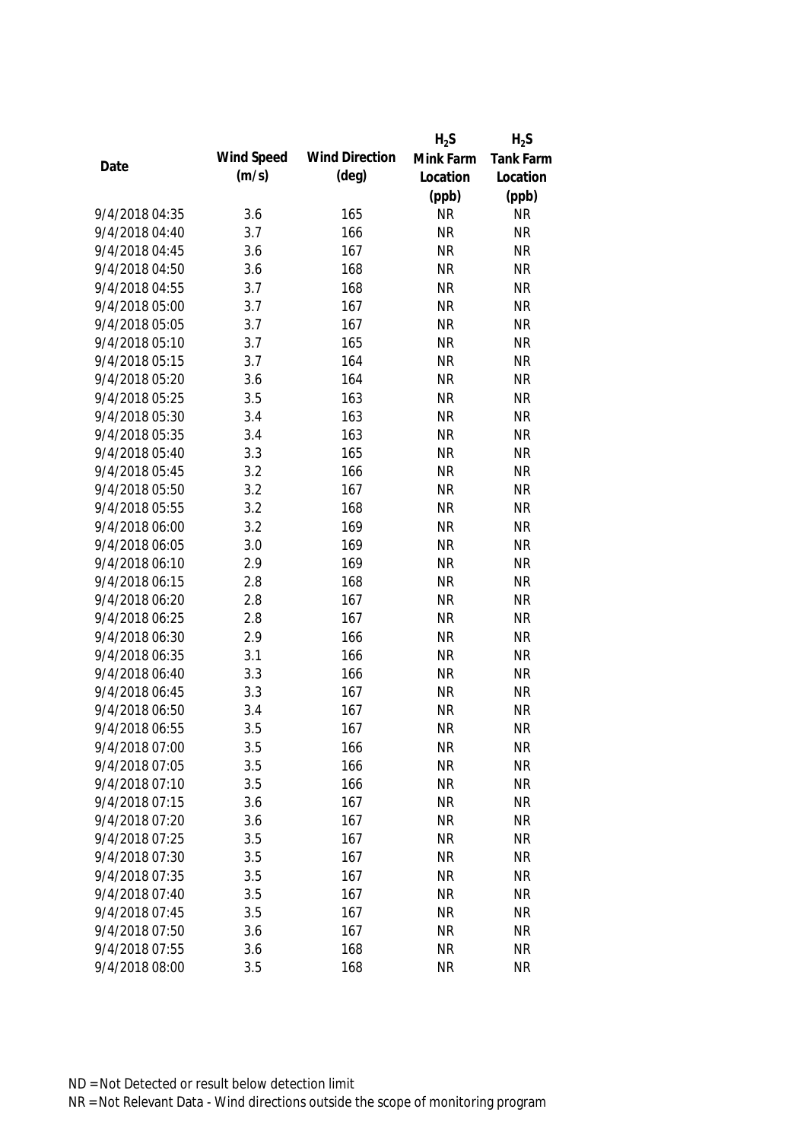|                |            |                       | $H_2S$    | $H_2S$           |
|----------------|------------|-----------------------|-----------|------------------|
|                | Wind Speed | <b>Wind Direction</b> | Mink Farm | <b>Tank Farm</b> |
| Date           | (m/s)      | (deg)                 | Location  | Location         |
|                |            |                       | (ppb)     | (ppb)            |
| 9/4/2018 04:35 | 3.6        | 165                   | <b>NR</b> | <b>NR</b>        |
| 9/4/2018 04:40 | 3.7        | 166                   | <b>NR</b> | <b>NR</b>        |
| 9/4/2018 04:45 | 3.6        | 167                   | <b>NR</b> | <b>NR</b>        |
| 9/4/2018 04:50 | 3.6        | 168                   | <b>NR</b> | <b>NR</b>        |
| 9/4/2018 04:55 | 3.7        | 168                   | <b>NR</b> | <b>NR</b>        |
| 9/4/2018 05:00 | 3.7        | 167                   | <b>NR</b> | <b>NR</b>        |
| 9/4/2018 05:05 | 3.7        | 167                   | <b>NR</b> | <b>NR</b>        |
| 9/4/2018 05:10 | 3.7        | 165                   | <b>NR</b> | <b>NR</b>        |
| 9/4/2018 05:15 | 3.7        | 164                   | <b>NR</b> | <b>NR</b>        |
| 9/4/2018 05:20 | 3.6        | 164                   | <b>NR</b> | <b>NR</b>        |
| 9/4/2018 05:25 | 3.5        | 163                   | <b>NR</b> | <b>NR</b>        |
| 9/4/2018 05:30 | 3.4        | 163                   | <b>NR</b> | <b>NR</b>        |
| 9/4/2018 05:35 | 3.4        | 163                   | <b>NR</b> | <b>NR</b>        |
| 9/4/2018 05:40 | 3.3        | 165                   | <b>NR</b> | <b>NR</b>        |
| 9/4/2018 05:45 | 3.2        | 166                   | <b>NR</b> | <b>NR</b>        |
| 9/4/2018 05:50 | 3.2        | 167                   | <b>NR</b> | <b>NR</b>        |
| 9/4/2018 05:55 | 3.2        | 168                   | <b>NR</b> | <b>NR</b>        |
| 9/4/2018 06:00 | 3.2        | 169                   | <b>NR</b> | <b>NR</b>        |
| 9/4/2018 06:05 | 3.0        | 169                   | <b>NR</b> | <b>NR</b>        |
| 9/4/2018 06:10 | 2.9        | 169                   | <b>NR</b> | <b>NR</b>        |
| 9/4/2018 06:15 | 2.8        | 168                   | <b>NR</b> | <b>NR</b>        |
| 9/4/2018 06:20 | 2.8        | 167                   | <b>NR</b> | <b>NR</b>        |
| 9/4/2018 06:25 | 2.8        | 167                   | <b>NR</b> | <b>NR</b>        |
| 9/4/2018 06:30 | 2.9        | 166                   | <b>NR</b> | <b>NR</b>        |
| 9/4/2018 06:35 | 3.1        | 166                   | <b>NR</b> | <b>NR</b>        |
| 9/4/2018 06:40 | 3.3        | 166                   | <b>NR</b> | <b>NR</b>        |
| 9/4/2018 06:45 | 3.3        | 167                   | <b>NR</b> | <b>NR</b>        |
| 9/4/2018 06:50 | 3.4        | 167                   | <b>NR</b> | <b>NR</b>        |
| 9/4/2018 06:55 | 3.5        | 167                   | <b>NR</b> | <b>NR</b>        |
| 9/4/2018 07:00 | 3.5        | 166                   | <b>NR</b> | <b>NR</b>        |
| 9/4/2018 07:05 | 3.5        | 166                   | <b>NR</b> | <b>NR</b>        |
| 9/4/2018 07:10 | 3.5        | 166                   | <b>NR</b> | <b>NR</b>        |
| 9/4/2018 07:15 | 3.6        | 167                   | <b>NR</b> | <b>NR</b>        |
| 9/4/2018 07:20 | 3.6        | 167                   | <b>NR</b> | <b>NR</b>        |
| 9/4/2018 07:25 | 3.5        | 167                   | <b>NR</b> | <b>NR</b>        |
| 9/4/2018 07:30 | 3.5        | 167                   | <b>NR</b> | <b>NR</b>        |
| 9/4/2018 07:35 | 3.5        | 167                   | <b>NR</b> | <b>NR</b>        |
| 9/4/2018 07:40 | 3.5        | 167                   | <b>NR</b> | <b>NR</b>        |
| 9/4/2018 07:45 | 3.5        | 167                   | <b>NR</b> | <b>NR</b>        |
| 9/4/2018 07:50 | 3.6        | 167                   | <b>NR</b> | <b>NR</b>        |
| 9/4/2018 07:55 | 3.6        | 168                   | <b>NR</b> | <b>NR</b>        |
| 9/4/2018 08:00 | 3.5        | 168                   | <b>NR</b> | <b>NR</b>        |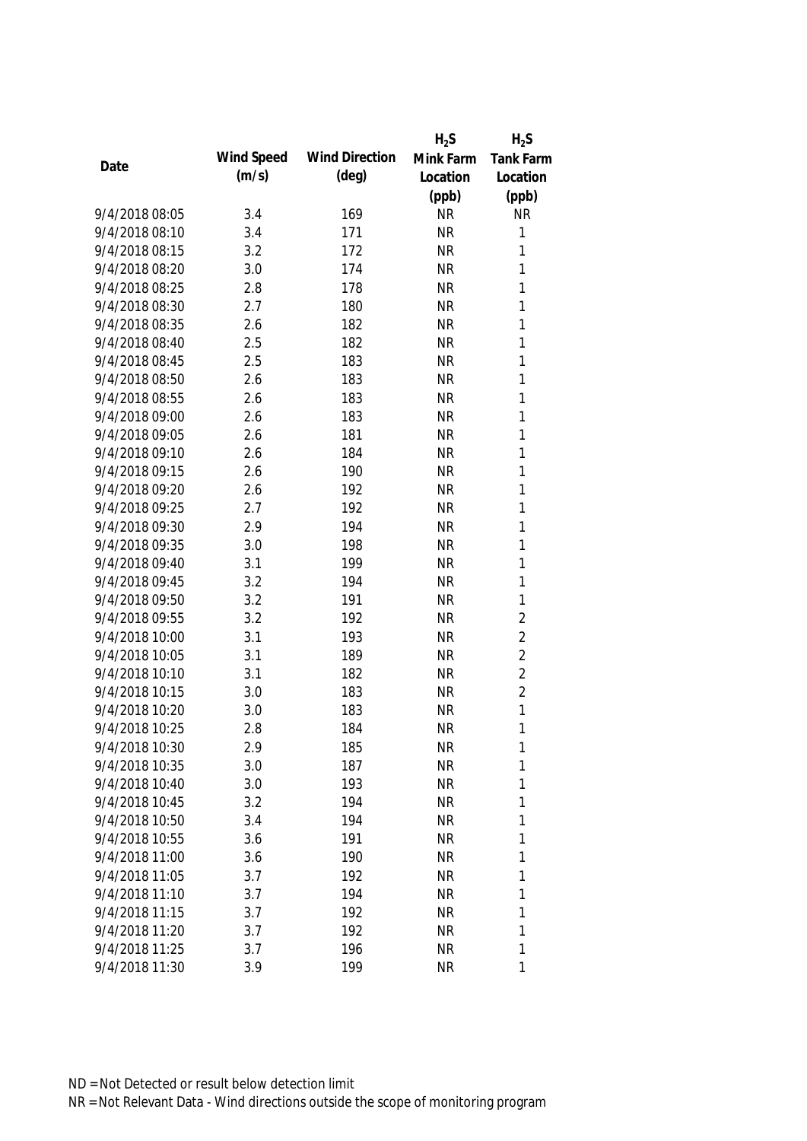|                |            |                       | $H_2S$    | $H_2S$         |
|----------------|------------|-----------------------|-----------|----------------|
| Date           | Wind Speed | <b>Wind Direction</b> | Mink Farm | Tank Farm      |
|                | (m/s)      | (deg)                 | Location  | Location       |
|                |            |                       | (ppb)     | (ppb)          |
| 9/4/2018 08:05 | 3.4        | 169                   | <b>NR</b> | <b>NR</b>      |
| 9/4/2018 08:10 | 3.4        | 171                   | <b>NR</b> | 1              |
| 9/4/2018 08:15 | 3.2        | 172                   | <b>NR</b> | 1              |
| 9/4/2018 08:20 | 3.0        | 174                   | <b>NR</b> | 1              |
| 9/4/2018 08:25 | 2.8        | 178                   | <b>NR</b> | 1              |
| 9/4/2018 08:30 | 2.7        | 180                   | <b>NR</b> | 1              |
| 9/4/2018 08:35 | 2.6        | 182                   | <b>NR</b> | 1              |
| 9/4/2018 08:40 | 2.5        | 182                   | <b>NR</b> | 1              |
| 9/4/2018 08:45 | 2.5        | 183                   | <b>NR</b> | 1              |
| 9/4/2018 08:50 | 2.6        | 183                   | <b>NR</b> | 1              |
| 9/4/2018 08:55 | 2.6        | 183                   | <b>NR</b> | 1              |
| 9/4/2018 09:00 | 2.6        | 183                   | <b>NR</b> | 1              |
| 9/4/2018 09:05 | 2.6        | 181                   | <b>NR</b> | 1              |
| 9/4/2018 09:10 | 2.6        | 184                   | <b>NR</b> | 1              |
| 9/4/2018 09:15 | 2.6        | 190                   | <b>NR</b> | $\mathbf{1}$   |
| 9/4/2018 09:20 | 2.6        | 192                   | <b>NR</b> | 1              |
| 9/4/2018 09:25 | 2.7        | 192                   | <b>NR</b> | 1              |
| 9/4/2018 09:30 | 2.9        | 194                   | <b>NR</b> | 1              |
| 9/4/2018 09:35 | 3.0        | 198                   | <b>NR</b> | 1              |
| 9/4/2018 09:40 | 3.1        | 199                   | <b>NR</b> | 1              |
| 9/4/2018 09:45 | 3.2        | 194                   | <b>NR</b> | 1              |
| 9/4/2018 09:50 | 3.2        | 191                   | <b>NR</b> | 1              |
| 9/4/2018 09:55 | 3.2        | 192                   | <b>NR</b> | $\overline{2}$ |
| 9/4/2018 10:00 | 3.1        | 193                   | <b>NR</b> | $\overline{2}$ |
| 9/4/2018 10:05 | 3.1        | 189                   | <b>NR</b> | $\overline{2}$ |
| 9/4/2018 10:10 | 3.1        | 182                   | <b>NR</b> | $\overline{2}$ |
| 9/4/2018 10:15 | 3.0        | 183                   | <b>NR</b> | $\overline{2}$ |
| 9/4/2018 10:20 | 3.0        | 183                   | <b>NR</b> | 1              |
| 9/4/2018 10:25 | 2.8        | 184                   | <b>NR</b> | 1              |
| 9/4/2018 10:30 | 2.9        | 185                   | <b>NR</b> | 1              |
| 9/4/2018 10:35 | 3.0        | 187                   | <b>NR</b> | 1              |
| 9/4/2018 10:40 | 3.0        | 193                   | <b>NR</b> | 1              |
| 9/4/2018 10:45 | 3.2        | 194                   | <b>NR</b> | 1              |
| 9/4/2018 10:50 | 3.4        | 194                   | <b>NR</b> | 1              |
| 9/4/2018 10:55 | 3.6        | 191                   | <b>NR</b> | 1              |
| 9/4/2018 11:00 | 3.6        | 190                   | <b>NR</b> | 1              |
| 9/4/2018 11:05 | 3.7        | 192                   | <b>NR</b> | 1              |
| 9/4/2018 11:10 | 3.7        | 194                   | <b>NR</b> | 1              |
| 9/4/2018 11:15 | 3.7        | 192                   | <b>NR</b> | 1              |
| 9/4/2018 11:20 | 3.7        | 192                   | <b>NR</b> | 1              |
| 9/4/2018 11:25 | 3.7        | 196                   | <b>NR</b> | 1              |
| 9/4/2018 11:30 | 3.9        | 199                   | <b>NR</b> | 1              |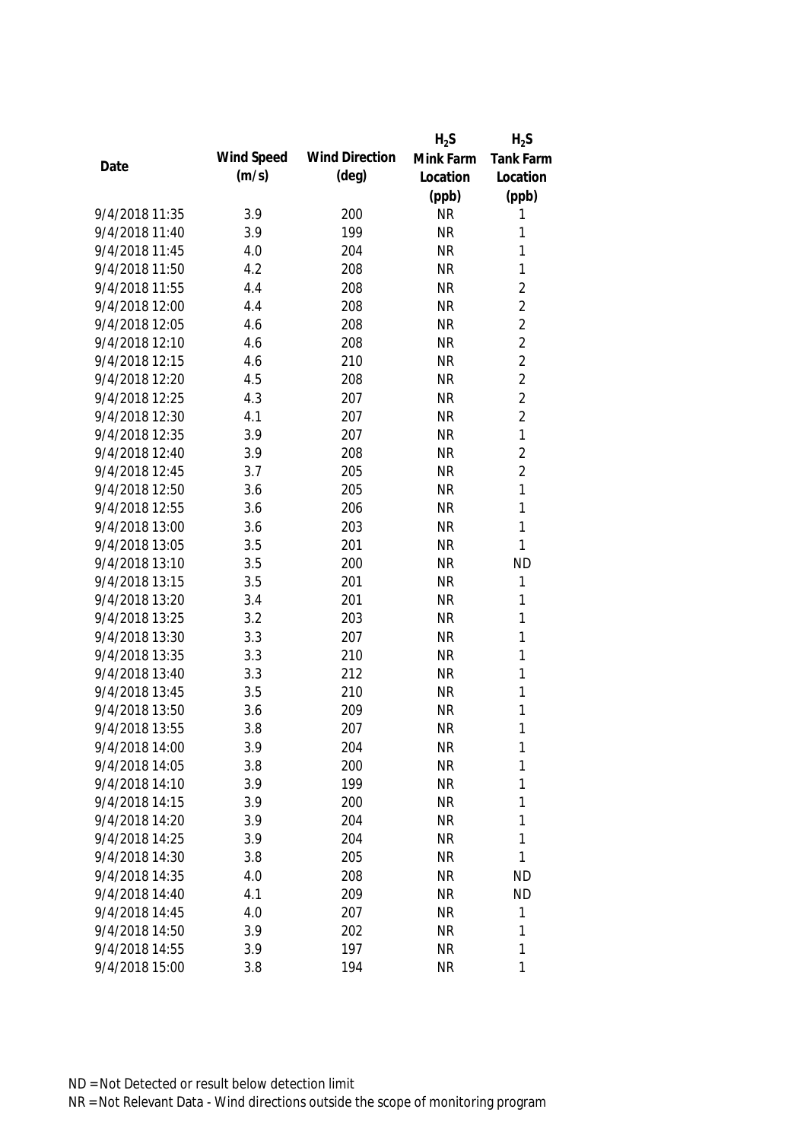|                |            |                       | $H_2S$    | $H_2S$           |
|----------------|------------|-----------------------|-----------|------------------|
| Date           | Wind Speed | <b>Wind Direction</b> | Mink Farm | <b>Tank Farm</b> |
|                | (m/s)      | $(\text{deg})$        | Location  | Location         |
|                |            |                       | (ppb)     | (ppb)            |
| 9/4/2018 11:35 | 3.9        | 200                   | <b>NR</b> | 1                |
| 9/4/2018 11:40 | 3.9        | 199                   | <b>NR</b> | 1                |
| 9/4/2018 11:45 | 4.0        | 204                   | <b>NR</b> | 1                |
| 9/4/2018 11:50 | 4.2        | 208                   | <b>NR</b> | 1                |
| 9/4/2018 11:55 | 4.4        | 208                   | <b>NR</b> | $\overline{2}$   |
| 9/4/2018 12:00 | 4.4        | 208                   | <b>NR</b> | $\overline{2}$   |
| 9/4/2018 12:05 | 4.6        | 208                   | <b>NR</b> | $\overline{2}$   |
| 9/4/2018 12:10 | 4.6        | 208                   | <b>NR</b> | $\overline{2}$   |
| 9/4/2018 12:15 | 4.6        | 210                   | <b>NR</b> | $\overline{2}$   |
| 9/4/2018 12:20 | 4.5        | 208                   | <b>NR</b> | $\overline{2}$   |
| 9/4/2018 12:25 | 4.3        | 207                   | <b>NR</b> | $\overline{2}$   |
| 9/4/2018 12:30 | 4.1        | 207                   | <b>NR</b> | $\overline{2}$   |
| 9/4/2018 12:35 | 3.9        | 207                   | <b>NR</b> | 1                |
| 9/4/2018 12:40 | 3.9        | 208                   | <b>NR</b> | $\overline{2}$   |
| 9/4/2018 12:45 | 3.7        | 205                   | <b>NR</b> | $\overline{2}$   |
| 9/4/2018 12:50 | 3.6        | 205                   | <b>NR</b> | $\mathbf{1}$     |
| 9/4/2018 12:55 | 3.6        | 206                   | <b>NR</b> | 1                |
| 9/4/2018 13:00 | 3.6        | 203                   | <b>NR</b> | $\mathbf{1}$     |
| 9/4/2018 13:05 | 3.5        | 201                   | <b>NR</b> | 1                |
| 9/4/2018 13:10 | 3.5        | 200                   | <b>NR</b> | <b>ND</b>        |
| 9/4/2018 13:15 | 3.5        | 201                   | <b>NR</b> | 1                |
| 9/4/2018 13:20 | 3.4        | 201                   | <b>NR</b> | 1                |
| 9/4/2018 13:25 | 3.2        | 203                   | <b>NR</b> | 1                |
| 9/4/2018 13:30 | 3.3        | 207                   | <b>NR</b> | $\mathbf{1}$     |
| 9/4/2018 13:35 | 3.3        | 210                   | <b>NR</b> | 1                |
| 9/4/2018 13:40 | 3.3        | 212                   | <b>NR</b> | 1                |
| 9/4/2018 13:45 | 3.5        | 210                   | <b>NR</b> | 1                |
| 9/4/2018 13:50 | 3.6        | 209                   | <b>NR</b> | 1                |
| 9/4/2018 13:55 | 3.8        | 207                   | <b>NR</b> | 1                |
| 9/4/2018 14:00 | 3.9        | 204                   | <b>NR</b> | 1                |
| 9/4/2018 14:05 | 3.8        | 200                   | <b>NR</b> | 1                |
| 9/4/2018 14:10 | 3.9        | 199                   | <b>NR</b> | 1                |
| 9/4/2018 14:15 | 3.9        | 200                   | <b>NR</b> | 1                |
| 9/4/2018 14:20 | 3.9        | 204                   | <b>NR</b> | 1                |
| 9/4/2018 14:25 | 3.9        | 204                   | <b>NR</b> | $\mathbf{1}$     |
| 9/4/2018 14:30 | 3.8        | 205                   | <b>NR</b> | 1                |
| 9/4/2018 14:35 | 4.0        | 208                   | <b>NR</b> | <b>ND</b>        |
| 9/4/2018 14:40 | 4.1        | 209                   | <b>NR</b> | <b>ND</b>        |
| 9/4/2018 14:45 | 4.0        | 207                   | <b>NR</b> | 1                |
| 9/4/2018 14:50 | 3.9        | 202                   | <b>NR</b> | 1                |
| 9/4/2018 14:55 | 3.9        | 197                   | <b>NR</b> | 1                |
| 9/4/2018 15:00 | 3.8        | 194                   | <b>NR</b> | 1                |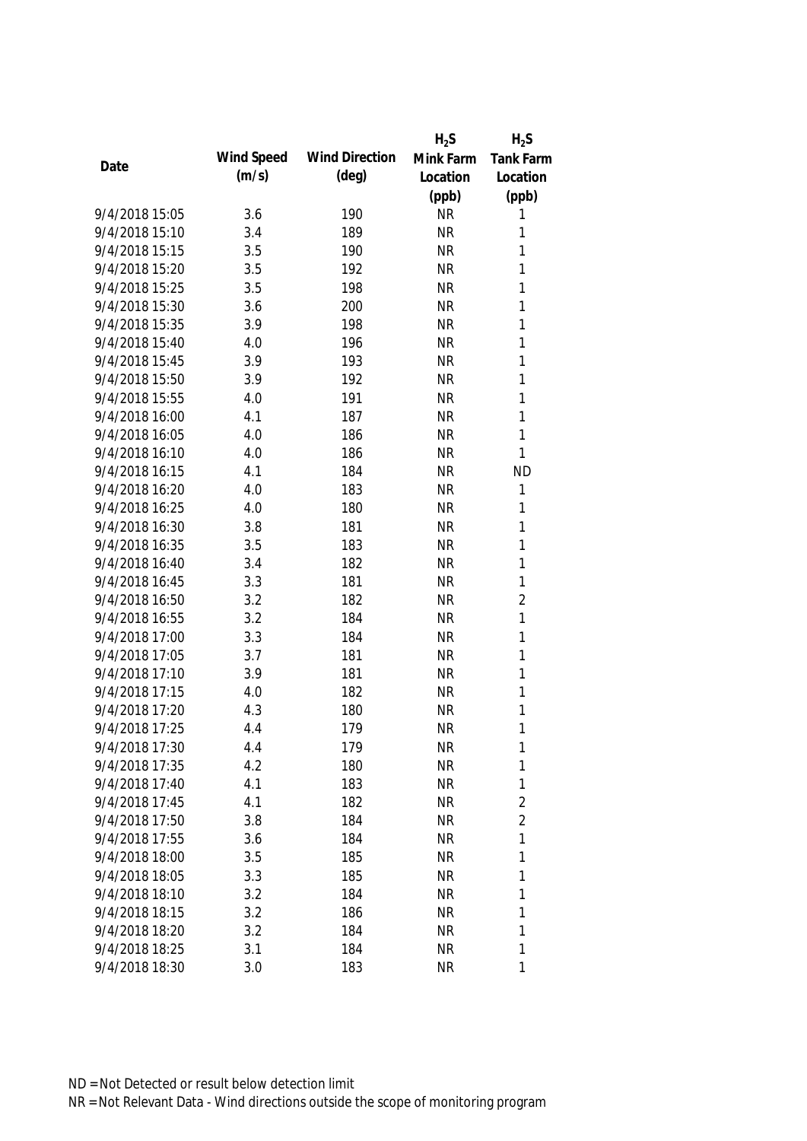|                |            |                       | $H_2S$    | $H_2S$           |
|----------------|------------|-----------------------|-----------|------------------|
| Date           | Wind Speed | <b>Wind Direction</b> | Mink Farm | <b>Tank Farm</b> |
|                | (m/s)      | $(\text{deg})$        | Location  | Location         |
|                |            |                       | (ppb)     | (ppb)            |
| 9/4/2018 15:05 | 3.6        | 190                   | <b>NR</b> | 1                |
| 9/4/2018 15:10 | 3.4        | 189                   | <b>NR</b> | 1                |
| 9/4/2018 15:15 | 3.5        | 190                   | <b>NR</b> | 1                |
| 9/4/2018 15:20 | 3.5        | 192                   | <b>NR</b> | 1                |
| 9/4/2018 15:25 | 3.5        | 198                   | <b>NR</b> | 1                |
| 9/4/2018 15:30 | 3.6        | 200                   | <b>NR</b> | 1                |
| 9/4/2018 15:35 | 3.9        | 198                   | <b>NR</b> | $\mathbf{1}$     |
| 9/4/2018 15:40 | 4.0        | 196                   | <b>NR</b> | $\mathbf{1}$     |
| 9/4/2018 15:45 | 3.9        | 193                   | <b>NR</b> | $\mathbf{1}$     |
| 9/4/2018 15:50 | 3.9        | 192                   | <b>NR</b> | 1                |
| 9/4/2018 15:55 | 4.0        | 191                   | <b>NR</b> | $\mathbf{1}$     |
| 9/4/2018 16:00 | 4.1        | 187                   | <b>NR</b> | $\mathbf{1}$     |
| 9/4/2018 16:05 | 4.0        | 186                   | <b>NR</b> | $\mathbf{1}$     |
| 9/4/2018 16:10 | 4.0        | 186                   | <b>NR</b> | $\mathbf{1}$     |
| 9/4/2018 16:15 | 4.1        | 184                   | <b>NR</b> | <b>ND</b>        |
| 9/4/2018 16:20 | 4.0        | 183                   | <b>NR</b> | $\mathbf{1}$     |
| 9/4/2018 16:25 | 4.0        | 180                   | <b>NR</b> | 1                |
| 9/4/2018 16:30 | 3.8        | 181                   | <b>NR</b> | 1                |
| 9/4/2018 16:35 | 3.5        | 183                   | <b>NR</b> | 1                |
| 9/4/2018 16:40 | 3.4        | 182                   | <b>NR</b> | 1                |
| 9/4/2018 16:45 | 3.3        | 181                   | <b>NR</b> | 1                |
| 9/4/2018 16:50 | 3.2        | 182                   | <b>NR</b> | $\overline{2}$   |
| 9/4/2018 16:55 | 3.2        | 184                   | <b>NR</b> | $\mathbf{1}$     |
| 9/4/2018 17:00 | 3.3        | 184                   | <b>NR</b> | $\mathbf{1}$     |
| 9/4/2018 17:05 | 3.7        | 181                   | <b>NR</b> | 1                |
| 9/4/2018 17:10 | 3.9        | 181                   | <b>NR</b> | $\mathbf{1}$     |
| 9/4/2018 17:15 | 4.0        | 182                   | <b>NR</b> | 1                |
| 9/4/2018 17:20 | 4.3        | 180                   | <b>NR</b> | 1                |
| 9/4/2018 17:25 | 4.4        | 179                   | <b>NR</b> | $\mathbf{1}$     |
| 9/4/2018 17:30 | 4.4        | 179                   | <b>NR</b> | 1                |
| 9/4/2018 17:35 | 4.2        | 180                   | <b>NR</b> | $\mathbf{1}$     |
| 9/4/2018 17:40 | 4.1        | 183                   | <b>NR</b> | 1                |
| 9/4/2018 17:45 | 4.1        | 182                   | <b>NR</b> | 2                |
| 9/4/2018 17:50 | 3.8        | 184                   | <b>NR</b> | $\overline{2}$   |
| 9/4/2018 17:55 | 3.6        | 184                   | <b>NR</b> | $\mathbf{1}$     |
| 9/4/2018 18:00 | 3.5        | 185                   | <b>NR</b> | 1                |
| 9/4/2018 18:05 | 3.3        | 185                   | <b>NR</b> | 1                |
| 9/4/2018 18:10 | 3.2        | 184                   | <b>NR</b> | 1                |
| 9/4/2018 18:15 | 3.2        | 186                   | <b>NR</b> | 1                |
| 9/4/2018 18:20 | 3.2        | 184                   | <b>NR</b> | 1                |
| 9/4/2018 18:25 | 3.1        | 184                   | <b>NR</b> | 1                |
| 9/4/2018 18:30 | 3.0        | 183                   | <b>NR</b> | 1                |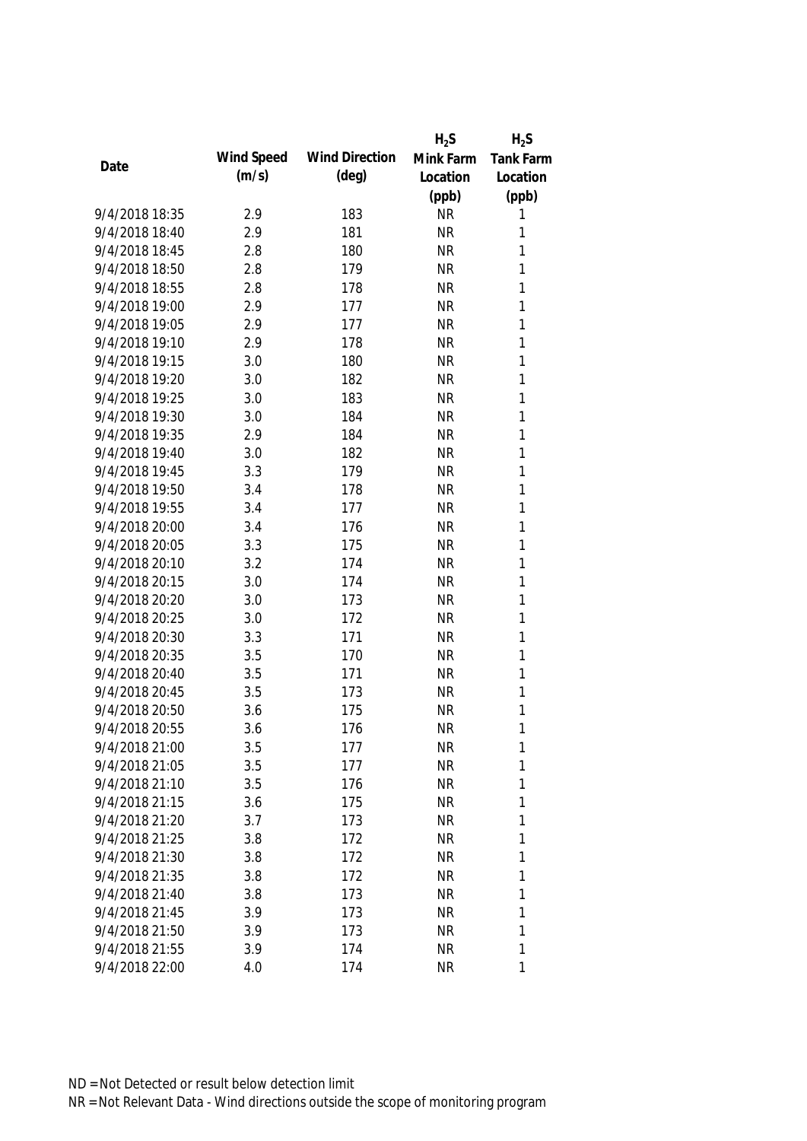|                |            |                       | $H_2S$    | $H_2S$           |
|----------------|------------|-----------------------|-----------|------------------|
| Date           | Wind Speed | <b>Wind Direction</b> | Mink Farm | <b>Tank Farm</b> |
|                | (m/s)      | $(\text{deg})$        | Location  | Location         |
|                |            |                       | (ppb)     | (ppb)            |
| 9/4/2018 18:35 | 2.9        | 183                   | <b>NR</b> | 1                |
| 9/4/2018 18:40 | 2.9        | 181                   | <b>NR</b> | 1                |
| 9/4/2018 18:45 | 2.8        | 180                   | <b>NR</b> | 1                |
| 9/4/2018 18:50 | 2.8        | 179                   | <b>NR</b> | 1                |
| 9/4/2018 18:55 | 2.8        | 178                   | <b>NR</b> | 1                |
| 9/4/2018 19:00 | 2.9        | 177                   | <b>NR</b> | 1                |
| 9/4/2018 19:05 | 2.9        | 177                   | <b>NR</b> | 1                |
| 9/4/2018 19:10 | 2.9        | 178                   | <b>NR</b> | 1                |
| 9/4/2018 19:15 | 3.0        | 180                   | <b>NR</b> | $\mathbf{1}$     |
| 9/4/2018 19:20 | 3.0        | 182                   | <b>NR</b> | 1                |
| 9/4/2018 19:25 | 3.0        | 183                   | <b>NR</b> | $\mathbf{1}$     |
| 9/4/2018 19:30 | 3.0        | 184                   | <b>NR</b> | 1                |
| 9/4/2018 19:35 | 2.9        | 184                   | <b>NR</b> | 1                |
| 9/4/2018 19:40 | 3.0        | 182                   | <b>NR</b> | 1                |
| 9/4/2018 19:45 | 3.3        | 179                   | <b>NR</b> | $\mathbf{1}$     |
| 9/4/2018 19:50 | 3.4        | 178                   | <b>NR</b> | $\mathbf{1}$     |
| 9/4/2018 19:55 | 3.4        | 177                   | <b>NR</b> | 1                |
| 9/4/2018 20:00 | 3.4        | 176                   | <b>NR</b> | 1                |
| 9/4/2018 20:05 | 3.3        | 175                   | <b>NR</b> | 1                |
| 9/4/2018 20:10 | 3.2        | 174                   | <b>NR</b> | 1                |
| 9/4/2018 20:15 | 3.0        | 174                   | <b>NR</b> | 1                |
| 9/4/2018 20:20 | 3.0        | 173                   | <b>NR</b> | $\mathbf{1}$     |
| 9/4/2018 20:25 | 3.0        | 172                   | <b>NR</b> | $\mathbf{1}$     |
| 9/4/2018 20:30 | 3.3        | 171                   | <b>NR</b> | 1                |
| 9/4/2018 20:35 | 3.5        | 170                   | <b>NR</b> | 1                |
| 9/4/2018 20:40 | 3.5        | 171                   | <b>NR</b> | 1                |
| 9/4/2018 20:45 | 3.5        | 173                   | <b>NR</b> | 1                |
| 9/4/2018 20:50 | 3.6        | 175                   | <b>NR</b> | 1                |
| 9/4/2018 20:55 | 3.6        | 176                   | <b>NR</b> | 1                |
| 9/4/2018 21:00 | 3.5        | 177                   | <b>NR</b> | 1                |
| 9/4/2018 21:05 | 3.5        | 177                   | <b>NR</b> | 1                |
| 9/4/2018 21:10 | 3.5        | 176                   | <b>NR</b> | 1                |
| 9/4/2018 21:15 | 3.6        | 175                   | <b>NR</b> | 1                |
| 9/4/2018 21:20 | 3.7        | 173                   | <b>NR</b> | 1                |
| 9/4/2018 21:25 | 3.8        | 172                   | <b>NR</b> | 1                |
| 9/4/2018 21:30 | 3.8        | 172                   | <b>NR</b> | 1                |
| 9/4/2018 21:35 | 3.8        | 172                   | <b>NR</b> | 1                |
| 9/4/2018 21:40 | 3.8        | 173                   | <b>NR</b> | 1                |
| 9/4/2018 21:45 | 3.9        | 173                   | <b>NR</b> | 1                |
| 9/4/2018 21:50 | 3.9        | 173                   | <b>NR</b> | 1                |
| 9/4/2018 21:55 | 3.9        | 174                   | <b>NR</b> | 1                |
| 9/4/2018 22:00 | 4.0        | 174                   | <b>NR</b> | 1                |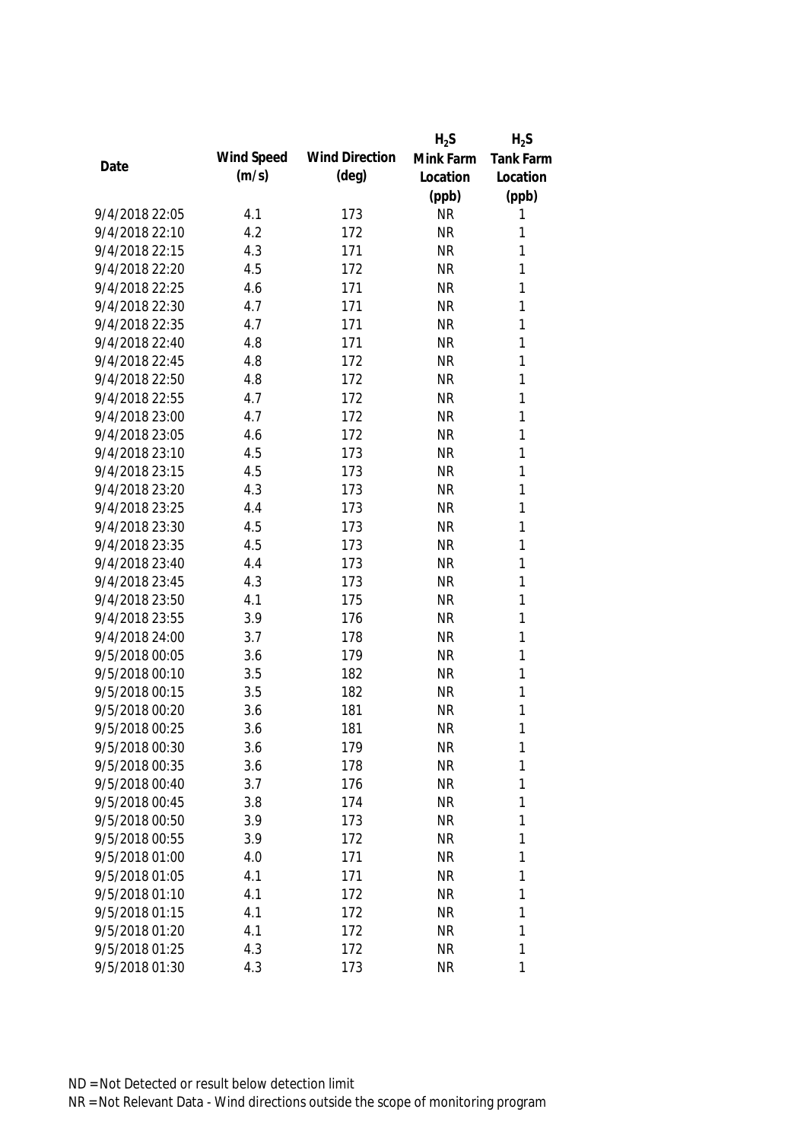|                |            |                       | $H_2S$    | $H_2S$           |
|----------------|------------|-----------------------|-----------|------------------|
| Date           | Wind Speed | <b>Wind Direction</b> | Mink Farm | <b>Tank Farm</b> |
|                | (m/s)      | $(\text{deg})$        | Location  | Location         |
|                |            |                       | (ppb)     | (ppb)            |
| 9/4/2018 22:05 | 4.1        | 173                   | <b>NR</b> | 1                |
| 9/4/2018 22:10 | 4.2        | 172                   | <b>NR</b> | 1                |
| 9/4/2018 22:15 | 4.3        | 171                   | <b>NR</b> | 1                |
| 9/4/2018 22:20 | 4.5        | 172                   | <b>NR</b> | 1                |
| 9/4/2018 22:25 | 4.6        | 171                   | <b>NR</b> | 1                |
| 9/4/2018 22:30 | 4.7        | 171                   | <b>NR</b> | 1                |
| 9/4/2018 22:35 | 4.7        | 171                   | <b>NR</b> | $\mathbf{1}$     |
| 9/4/2018 22:40 | 4.8        | 171                   | <b>NR</b> | $\mathbf{1}$     |
| 9/4/2018 22:45 | 4.8        | 172                   | <b>NR</b> | $\mathbf{1}$     |
| 9/4/2018 22:50 | 4.8        | 172                   | <b>NR</b> | 1                |
| 9/4/2018 22:55 | 4.7        | 172                   | <b>NR</b> | 1                |
| 9/4/2018 23:00 | 4.7        | 172                   | <b>NR</b> | 1                |
| 9/4/2018 23:05 | 4.6        | 172                   | <b>NR</b> | 1                |
| 9/4/2018 23:10 | 4.5        | 173                   | <b>NR</b> | 1                |
| 9/4/2018 23:15 | 4.5        | 173                   | <b>NR</b> | 1                |
| 9/4/2018 23:20 | 4.3        | 173                   | <b>NR</b> | 1                |
| 9/4/2018 23:25 | 4.4        | 173                   | <b>NR</b> | 1                |
| 9/4/2018 23:30 | 4.5        | 173                   | <b>NR</b> | 1                |
| 9/4/2018 23:35 | 4.5        | 173                   | <b>NR</b> | 1                |
| 9/4/2018 23:40 | 4.4        | 173                   | <b>NR</b> | 1                |
| 9/4/2018 23:45 | 4.3        | 173                   | <b>NR</b> | 1                |
| 9/4/2018 23:50 | 4.1        | 175                   | <b>NR</b> | 1                |
| 9/4/2018 23:55 | 3.9        | 176                   | <b>NR</b> | 1                |
| 9/4/2018 24:00 | 3.7        | 178                   | <b>NR</b> | $\mathbf{1}$     |
| 9/5/2018 00:05 | 3.6        | 179                   | <b>NR</b> | 1                |
| 9/5/2018 00:10 | 3.5        | 182                   | <b>NR</b> | 1                |
| 9/5/2018 00:15 | 3.5        | 182                   | <b>NR</b> | 1                |
| 9/5/2018 00:20 | 3.6        | 181                   | <b>NR</b> | 1                |
| 9/5/2018 00:25 | 3.6        | 181                   | <b>NR</b> | 1                |
| 9/5/2018 00:30 | 3.6        | 179                   | <b>NR</b> | 1                |
| 9/5/2018 00:35 | 3.6        | 178                   | <b>NR</b> | 1                |
| 9/5/2018 00:40 | 3.7        | 176                   | <b>NR</b> | 1                |
| 9/5/2018 00:45 | 3.8        | 174                   | <b>NR</b> | 1                |
| 9/5/2018 00:50 | 3.9        | 173                   | <b>NR</b> | 1                |
| 9/5/2018 00:55 | 3.9        | 172                   | <b>NR</b> | 1                |
| 9/5/2018 01:00 | 4.0        | 171                   | <b>NR</b> | 1                |
| 9/5/2018 01:05 | 4.1        | 171                   | <b>NR</b> | 1                |
| 9/5/2018 01:10 | 4.1        | 172                   | <b>NR</b> | 1                |
| 9/5/2018 01:15 | 4.1        | 172                   | <b>NR</b> | 1                |
| 9/5/2018 01:20 | 4.1        | 172                   | <b>NR</b> | 1                |
| 9/5/2018 01:25 | 4.3        | 172                   | <b>NR</b> | 1                |
| 9/5/2018 01:30 | 4.3        | 173                   | <b>NR</b> | 1                |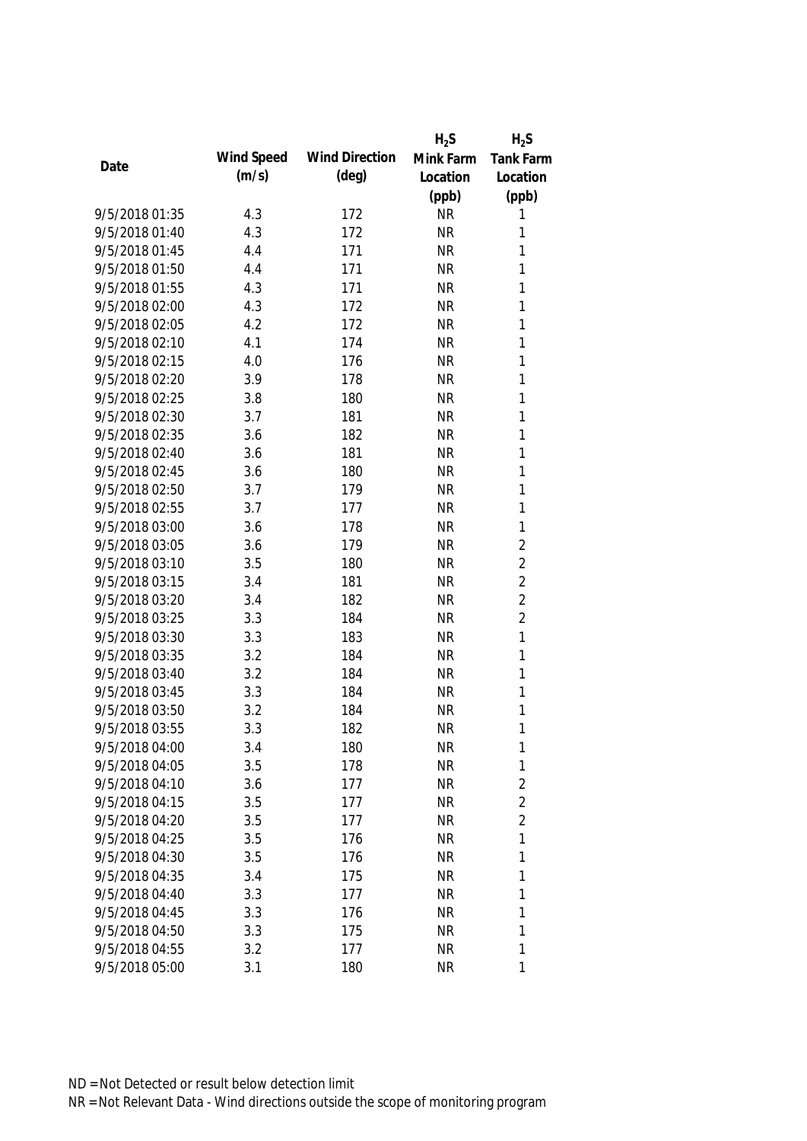|                |            |                       | $H_2S$    | $H_2S$           |
|----------------|------------|-----------------------|-----------|------------------|
| Date           | Wind Speed | <b>Wind Direction</b> | Mink Farm | <b>Tank Farm</b> |
|                | (m/s)      | $(\text{deg})$        | Location  | Location         |
|                |            |                       | (ppb)     | (ppb)            |
| 9/5/2018 01:35 | 4.3        | 172                   | <b>NR</b> | 1                |
| 9/5/2018 01:40 | 4.3        | 172                   | <b>NR</b> | 1                |
| 9/5/2018 01:45 | 4.4        | 171                   | <b>NR</b> | 1                |
| 9/5/2018 01:50 | 4.4        | 171                   | <b>NR</b> | 1                |
| 9/5/2018 01:55 | 4.3        | 171                   | <b>NR</b> | 1                |
| 9/5/2018 02:00 | 4.3        | 172                   | <b>NR</b> | $\mathbf{1}$     |
| 9/5/2018 02:05 | 4.2        | 172                   | <b>NR</b> | $\mathbf{1}$     |
| 9/5/2018 02:10 | 4.1        | 174                   | <b>NR</b> | $\mathbf{1}$     |
| 9/5/2018 02:15 | 4.0        | 176                   | <b>NR</b> | $\mathbf{1}$     |
| 9/5/2018 02:20 | 3.9        | 178                   | <b>NR</b> | 1                |
| 9/5/2018 02:25 | 3.8        | 180                   | <b>NR</b> | 1                |
| 9/5/2018 02:30 | 3.7        | 181                   | <b>NR</b> | 1                |
| 9/5/2018 02:35 | 3.6        | 182                   | <b>NR</b> | 1                |
| 9/5/2018 02:40 | 3.6        | 181                   | <b>NR</b> | 1                |
| 9/5/2018 02:45 | 3.6        | 180                   | <b>NR</b> | 1                |
| 9/5/2018 02:50 | 3.7        | 179                   | <b>NR</b> | $\mathbf{1}$     |
| 9/5/2018 02:55 | 3.7        | 177                   | <b>NR</b> | 1                |
| 9/5/2018 03:00 | 3.6        | 178                   | <b>NR</b> | 1                |
| 9/5/2018 03:05 | 3.6        | 179                   | <b>NR</b> | $\overline{2}$   |
| 9/5/2018 03:10 | 3.5        | 180                   | <b>NR</b> | $\overline{2}$   |
| 9/5/2018 03:15 | 3.4        | 181                   | <b>NR</b> | $\overline{2}$   |
| 9/5/2018 03:20 | 3.4        | 182                   | <b>NR</b> | $\overline{2}$   |
| 9/5/2018 03:25 | 3.3        | 184                   | <b>NR</b> | $\overline{2}$   |
| 9/5/2018 03:30 | 3.3        | 183                   | <b>NR</b> | $\mathbf{1}$     |
| 9/5/2018 03:35 | 3.2        | 184                   | <b>NR</b> | 1                |
| 9/5/2018 03:40 | 3.2        | 184                   | <b>NR</b> | 1                |
| 9/5/2018 03:45 | 3.3        | 184                   | <b>NR</b> | 1                |
| 9/5/2018 03:50 | 3.2        | 184                   | <b>NR</b> | 1                |
| 9/5/2018 03:55 | 3.3        | 182                   | <b>NR</b> | 1                |
| 9/5/2018 04:00 | 3.4        | 180                   | <b>NR</b> | 1                |
| 9/5/2018 04:05 | 3.5        | 178                   | <b>NR</b> | $\mathbf{1}$     |
| 9/5/2018 04:10 | 3.6        | 177                   | <b>NR</b> | $\overline{2}$   |
| 9/5/2018 04:15 | 3.5        | 177                   | <b>NR</b> | $\overline{2}$   |
| 9/5/2018 04:20 | 3.5        | 177                   | <b>NR</b> | $\overline{2}$   |
| 9/5/2018 04:25 | 3.5        | 176                   | <b>NR</b> | 1                |
| 9/5/2018 04:30 | 3.5        | 176                   | <b>NR</b> | 1                |
| 9/5/2018 04:35 | 3.4        | 175                   | <b>NR</b> | 1                |
| 9/5/2018 04:40 | 3.3        | 177                   | <b>NR</b> | 1                |
| 9/5/2018 04:45 | 3.3        | 176                   | <b>NR</b> | 1                |
| 9/5/2018 04:50 | 3.3        | 175                   | <b>NR</b> | 1                |
| 9/5/2018 04:55 | 3.2        | 177                   | <b>NR</b> | 1                |
| 9/5/2018 05:00 | 3.1        | 180                   | <b>NR</b> | 1                |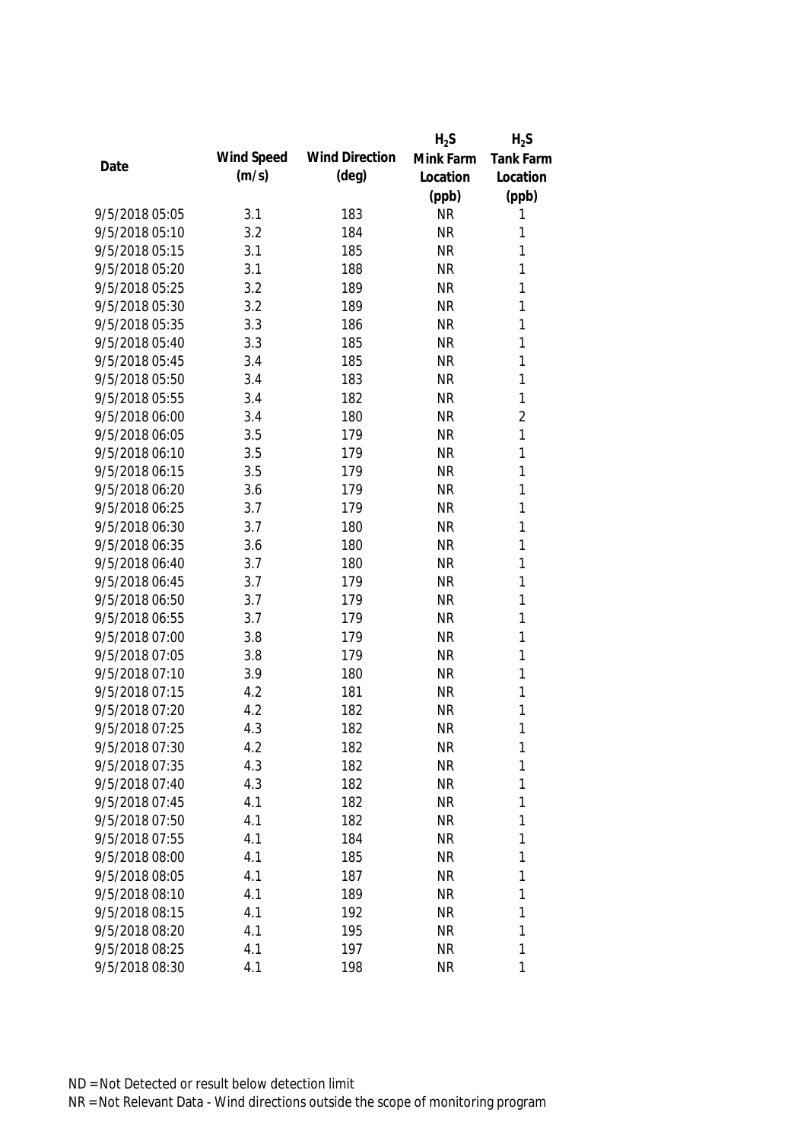|                |            |                       | $H_2S$    | $H_2S$           |
|----------------|------------|-----------------------|-----------|------------------|
|                | Wind Speed | <b>Wind Direction</b> | Mink Farm | <b>Tank Farm</b> |
| Date           | (m/s)      | $(\text{deg})$        | Location  | Location         |
|                |            |                       | (ppb)     | (ppb)            |
| 9/5/2018 05:05 | 3.1        | 183                   | <b>NR</b> | 1                |
| 9/5/2018 05:10 | 3.2        | 184                   | <b>NR</b> | 1                |
| 9/5/2018 05:15 | 3.1        | 185                   | <b>NR</b> | 1                |
| 9/5/2018 05:20 | 3.1        | 188                   | <b>NR</b> | 1                |
| 9/5/2018 05:25 | 3.2        | 189                   | <b>NR</b> | 1                |
| 9/5/2018 05:30 | 3.2        | 189                   | <b>NR</b> | 1                |
| 9/5/2018 05:35 | 3.3        | 186                   | <b>NR</b> | $\mathbf{1}$     |
| 9/5/2018 05:40 | 3.3        | 185                   | <b>NR</b> | $\mathbf{1}$     |
| 9/5/2018 05:45 | 3.4        | 185                   | <b>NR</b> | $\mathbf{1}$     |
| 9/5/2018 05:50 | 3.4        | 183                   | <b>NR</b> | $\mathbf{1}$     |
| 9/5/2018 05:55 | 3.4        | 182                   | <b>NR</b> | $\mathbf{1}$     |
| 9/5/2018 06:00 | 3.4        | 180                   | <b>NR</b> | $\overline{2}$   |
| 9/5/2018 06:05 | 3.5        | 179                   | <b>NR</b> | 1                |
| 9/5/2018 06:10 | 3.5        | 179                   | <b>NR</b> | 1                |
| 9/5/2018 06:15 | 3.5        | 179                   | <b>NR</b> | $\mathbf{1}$     |
| 9/5/2018 06:20 | 3.6        | 179                   | <b>NR</b> | $\mathbf{1}$     |
| 9/5/2018 06:25 | 3.7        | 179                   | <b>NR</b> | $\mathbf{1}$     |
| 9/5/2018 06:30 | 3.7        | 180                   | <b>NR</b> | $\mathbf{1}$     |
| 9/5/2018 06:35 | 3.6        | 180                   | <b>NR</b> | $\mathbf{1}$     |
| 9/5/2018 06:40 | 3.7        | 180                   | <b>NR</b> | $\mathbf{1}$     |
| 9/5/2018 06:45 | 3.7        | 179                   | <b>NR</b> | $\mathbf{1}$     |
| 9/5/2018 06:50 | 3.7        | 179                   | <b>NR</b> | $\mathbf{1}$     |
| 9/5/2018 06:55 | 3.7        | 179                   | <b>NR</b> | $\mathbf{1}$     |
| 9/5/2018 07:00 | 3.8        | 179                   | <b>NR</b> | 1                |
| 9/5/2018 07:05 | 3.8        | 179                   | <b>NR</b> | 1                |
| 9/5/2018 07:10 | 3.9        | 180                   | <b>NR</b> | 1                |
| 9/5/2018 07:15 | 4.2        | 181                   | <b>NR</b> | 1                |
| 9/5/2018 07:20 | 4.2        | 182                   | <b>NR</b> | 1                |
| 9/5/2018 07:25 | 4.3        | 182                   | <b>NR</b> | 1                |
| 9/5/2018 07:30 | 4.2        | 182                   | <b>NR</b> | 1                |
| 9/5/2018 07:35 | 4.3        | 182                   | <b>NR</b> | 1                |
| 9/5/2018 07:40 | 4.3        | 182                   | <b>NR</b> | 1                |
| 9/5/2018 07:45 | 4.1        | 182                   | <b>NR</b> | 1                |
| 9/5/2018 07:50 | 4.1        | 182                   | <b>NR</b> | 1                |
| 9/5/2018 07:55 | 4.1        | 184                   | <b>NR</b> | 1                |
| 9/5/2018 08:00 | 4.1        | 185                   | <b>NR</b> | 1                |
| 9/5/2018 08:05 | 4.1        | 187                   | <b>NR</b> | 1                |
| 9/5/2018 08:10 | 4.1        | 189                   | <b>NR</b> | 1                |
| 9/5/2018 08:15 | 4.1        | 192                   | <b>NR</b> | 1                |
| 9/5/2018 08:20 | 4.1        | 195                   | <b>NR</b> | 1                |
| 9/5/2018 08:25 | 4.1        | 197                   | <b>NR</b> | 1                |
| 9/5/2018 08:30 | 4.1        | 198                   | <b>NR</b> | 1                |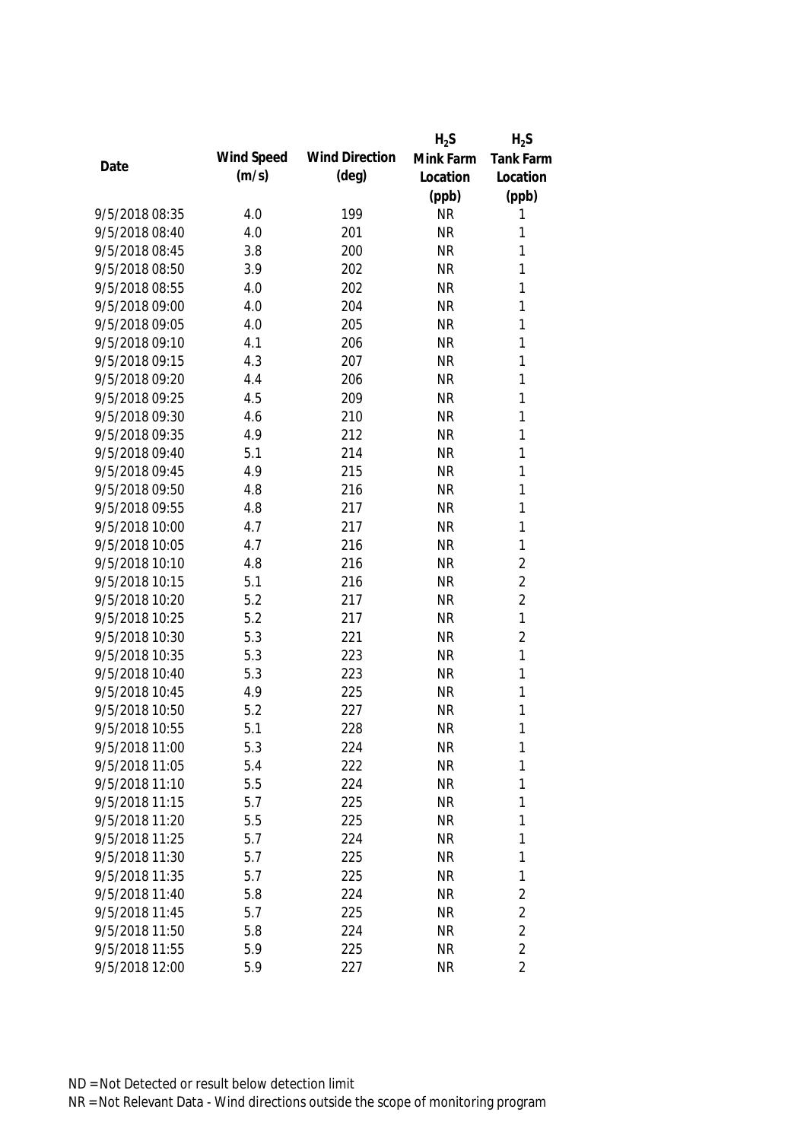|                |            |                       | $H_2S$    | $H_2S$         |
|----------------|------------|-----------------------|-----------|----------------|
|                | Wind Speed | <b>Wind Direction</b> | Mink Farm | Tank Farm      |
| Date           | (m/s)      | $(\text{deg})$        | Location  | Location       |
|                |            |                       | (ppb)     | (ppb)          |
| 9/5/2018 08:35 | 4.0        | 199                   | <b>NR</b> | 1              |
| 9/5/2018 08:40 | 4.0        | 201                   | <b>NR</b> | 1              |
| 9/5/2018 08:45 | 3.8        | 200                   | <b>NR</b> | 1              |
| 9/5/2018 08:50 | 3.9        | 202                   | <b>NR</b> | 1              |
| 9/5/2018 08:55 | 4.0        | 202                   | <b>NR</b> | 1              |
| 9/5/2018 09:00 | 4.0        | 204                   | <b>NR</b> | 1              |
| 9/5/2018 09:05 | 4.0        | 205                   | <b>NR</b> | 1              |
| 9/5/2018 09:10 | 4.1        | 206                   | <b>NR</b> | $\mathbf{1}$   |
| 9/5/2018 09:15 | 4.3        | 207                   | <b>NR</b> | $\mathbf{1}$   |
| 9/5/2018 09:20 | 4.4        | 206                   | <b>NR</b> | 1              |
| 9/5/2018 09:25 | 4.5        | 209                   | <b>NR</b> | 1              |
| 9/5/2018 09:30 | 4.6        | 210                   | <b>NR</b> | 1              |
| 9/5/2018 09:35 | 4.9        | 212                   | <b>NR</b> | $\mathbf{1}$   |
| 9/5/2018 09:40 | 5.1        | 214                   | <b>NR</b> | 1              |
| 9/5/2018 09:45 | 4.9        | 215                   | <b>NR</b> | $\mathbf{1}$   |
| 9/5/2018 09:50 | 4.8        | 216                   | <b>NR</b> | $\mathbf{1}$   |
| 9/5/2018 09:55 | 4.8        | 217                   | <b>NR</b> | $\mathbf{1}$   |
| 9/5/2018 10:00 | 4.7        | 217                   | <b>NR</b> | $\mathbf{1}$   |
| 9/5/2018 10:05 | 4.7        | 216                   | <b>NR</b> | $\mathbf{1}$   |
| 9/5/2018 10:10 | 4.8        | 216                   | <b>NR</b> | $\overline{2}$ |
| 9/5/2018 10:15 | 5.1        | 216                   | <b>NR</b> | $\overline{2}$ |
| 9/5/2018 10:20 | 5.2        | 217                   | <b>NR</b> | $\overline{2}$ |
| 9/5/2018 10:25 | 5.2        | 217                   | <b>NR</b> | $\mathbf{1}$   |
| 9/5/2018 10:30 | 5.3        | 221                   | <b>NR</b> | $\overline{2}$ |
| 9/5/2018 10:35 | 5.3        | 223                   | <b>NR</b> | 1              |
| 9/5/2018 10:40 | 5.3        | 223                   | <b>NR</b> | 1              |
| 9/5/2018 10:45 | 4.9        | 225                   | <b>NR</b> | 1              |
| 9/5/2018 10:50 | 5.2        | 227                   | <b>NR</b> | 1              |
| 9/5/2018 10:55 | 5.1        | 228                   | <b>NR</b> | 1              |
| 9/5/2018 11:00 | 5.3        | 224                   | <b>NR</b> | 1              |
| 9/5/2018 11:05 | 5.4        | 222                   | <b>NR</b> | 1              |
| 9/5/2018 11:10 | 5.5        | 224                   | <b>NR</b> | 1              |
| 9/5/2018 11:15 | 5.7        | 225                   | <b>NR</b> | 1              |
| 9/5/2018 11:20 | 5.5        | 225                   | <b>NR</b> | 1              |
| 9/5/2018 11:25 | 5.7        | 224                   | <b>NR</b> | 1              |
| 9/5/2018 11:30 | 5.7        | 225                   | <b>NR</b> | 1              |
| 9/5/2018 11:35 | 5.7        | 225                   | <b>NR</b> | 1              |
| 9/5/2018 11:40 | 5.8        | 224                   | <b>NR</b> | $\overline{2}$ |
| 9/5/2018 11:45 | 5.7        | 225                   | <b>NR</b> | $\overline{2}$ |
| 9/5/2018 11:50 | 5.8        | 224                   | <b>NR</b> | $\overline{2}$ |
| 9/5/2018 11:55 | 5.9        | 225                   | <b>NR</b> | $\overline{2}$ |
| 9/5/2018 12:00 | 5.9        | 227                   | <b>NR</b> | $\overline{2}$ |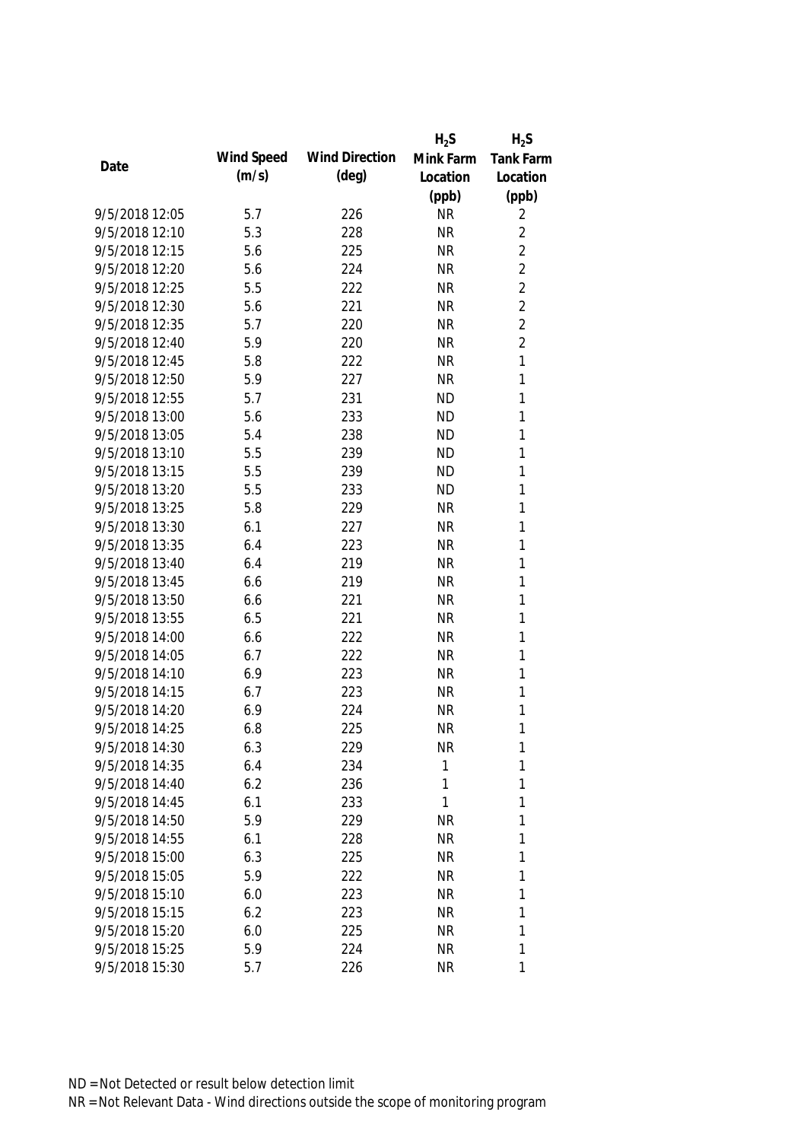|                |            |                       | $H_2S$    | $H_2S$         |
|----------------|------------|-----------------------|-----------|----------------|
| Date           | Wind Speed | <b>Wind Direction</b> | Mink Farm | Tank Farm      |
|                | (m/s)      | $(\text{deg})$        | Location  | Location       |
|                |            |                       | (ppb)     | (ppb)          |
| 9/5/2018 12:05 | 5.7        | 226                   | <b>NR</b> | 2              |
| 9/5/2018 12:10 | 5.3        | 228                   | <b>NR</b> | $\overline{2}$ |
| 9/5/2018 12:15 | 5.6        | 225                   | <b>NR</b> | $\overline{2}$ |
| 9/5/2018 12:20 | 5.6        | 224                   | <b>NR</b> | $\overline{2}$ |
| 9/5/2018 12:25 | 5.5        | 222                   | <b>NR</b> | $\overline{2}$ |
| 9/5/2018 12:30 | 5.6        | 221                   | <b>NR</b> | $\overline{2}$ |
| 9/5/2018 12:35 | 5.7        | 220                   | <b>NR</b> | $\overline{2}$ |
| 9/5/2018 12:40 | 5.9        | 220                   | <b>NR</b> | $\overline{2}$ |
| 9/5/2018 12:45 | 5.8        | 222                   | <b>NR</b> | $\mathbf{1}$   |
| 9/5/2018 12:50 | 5.9        | 227                   | <b>NR</b> | 1              |
| 9/5/2018 12:55 | 5.7        | 231                   | <b>ND</b> | 1              |
| 9/5/2018 13:00 | 5.6        | 233                   | <b>ND</b> | 1              |
| 9/5/2018 13:05 | 5.4        | 238                   | <b>ND</b> | 1              |
| 9/5/2018 13:10 | 5.5        | 239                   | <b>ND</b> | 1              |
| 9/5/2018 13:15 | 5.5        | 239                   | <b>ND</b> | 1              |
| 9/5/2018 13:20 | 5.5        | 233                   | <b>ND</b> | 1              |
| 9/5/2018 13:25 | 5.8        | 229                   | <b>NR</b> | 1              |
| 9/5/2018 13:30 | 6.1        | 227                   | <b>NR</b> | 1              |
| 9/5/2018 13:35 | 6.4        | 223                   | <b>NR</b> | 1              |
| 9/5/2018 13:40 | 6.4        | 219                   | <b>NR</b> | 1              |
| 9/5/2018 13:45 | 6.6        | 219                   | <b>NR</b> | 1              |
| 9/5/2018 13:50 | 6.6        | 221                   | <b>NR</b> | 1              |
| 9/5/2018 13:55 | 6.5        | 221                   | <b>NR</b> | 1              |
| 9/5/2018 14:00 | 6.6        | 222                   | <b>NR</b> | 1              |
| 9/5/2018 14:05 | 6.7        | 222                   | <b>NR</b> | 1              |
| 9/5/2018 14:10 | 6.9        | 223                   | <b>NR</b> | 1              |
| 9/5/2018 14:15 | 6.7        | 223                   | <b>NR</b> | 1              |
| 9/5/2018 14:20 | 6.9        | 224                   | <b>NR</b> | 1              |
| 9/5/2018 14:25 | 6.8        | 225                   | <b>NR</b> | 1              |
| 9/5/2018 14:30 | 6.3        | 229                   | <b>NR</b> | 1              |
| 9/5/2018 14:35 | 6.4        | 234                   | 1         | 1              |
| 9/5/2018 14:40 | 6.2        | 236                   | 1         | 1              |
| 9/5/2018 14:45 | 6.1        | 233                   | 1         | 1              |
| 9/5/2018 14:50 | 5.9        | 229                   | <b>NR</b> | 1              |
| 9/5/2018 14:55 | 6.1        | 228                   | <b>NR</b> | 1              |
| 9/5/2018 15:00 | 6.3        | 225                   | <b>NR</b> | 1              |
| 9/5/2018 15:05 | 5.9        | 222                   | <b>NR</b> | 1              |
| 9/5/2018 15:10 | 6.0        | 223                   | <b>NR</b> | 1              |
| 9/5/2018 15:15 | 6.2        | 223                   | <b>NR</b> | 1              |
| 9/5/2018 15:20 | 6.0        | 225                   | <b>NR</b> | 1              |
| 9/5/2018 15:25 | 5.9        | 224                   | <b>NR</b> | 1              |
| 9/5/2018 15:30 | 5.7        | 226                   | <b>NR</b> | 1              |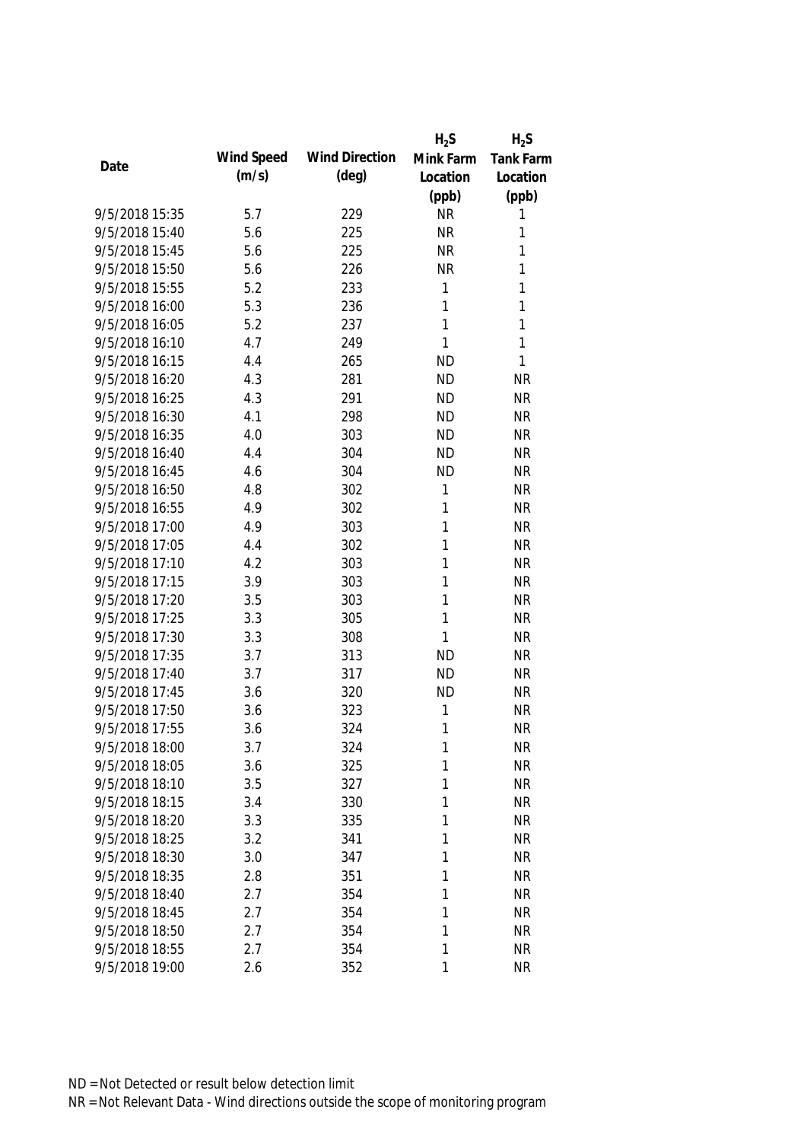|                |            |                       | $H_2S$    | $H_2S$           |
|----------------|------------|-----------------------|-----------|------------------|
| Date           | Wind Speed | <b>Wind Direction</b> | Mink Farm | <b>Tank Farm</b> |
|                | (m/s)      | $(\text{deg})$        | Location  | Location         |
|                |            |                       | (ppb)     | (ppb)            |
| 9/5/2018 15:35 | 5.7        | 229                   | <b>NR</b> | 1                |
| 9/5/2018 15:40 | 5.6        | 225                   | <b>NR</b> | 1                |
| 9/5/2018 15:45 | 5.6        | 225                   | <b>NR</b> | 1                |
| 9/5/2018 15:50 | 5.6        | 226                   | <b>NR</b> | 1                |
| 9/5/2018 15:55 | 5.2        | 233                   | 1         | 1                |
| 9/5/2018 16:00 | 5.3        | 236                   | 1         | 1                |
| 9/5/2018 16:05 | 5.2        | 237                   | 1         | 1                |
| 9/5/2018 16:10 | 4.7        | 249                   | 1         | 1                |
| 9/5/2018 16:15 | 4.4        | 265                   | <b>ND</b> | 1                |
| 9/5/2018 16:20 | 4.3        | 281                   | <b>ND</b> | <b>NR</b>        |
| 9/5/2018 16:25 | 4.3        | 291                   | <b>ND</b> | <b>NR</b>        |
| 9/5/2018 16:30 | 4.1        | 298                   | <b>ND</b> | <b>NR</b>        |
| 9/5/2018 16:35 | 4.0        | 303                   | <b>ND</b> | <b>NR</b>        |
| 9/5/2018 16:40 | 4.4        | 304                   | <b>ND</b> | <b>NR</b>        |
| 9/5/2018 16:45 | 4.6        | 304                   | <b>ND</b> | <b>NR</b>        |
| 9/5/2018 16:50 | 4.8        | 302                   | 1         | <b>NR</b>        |
| 9/5/2018 16:55 | 4.9        | 302                   | 1         | <b>NR</b>        |
| 9/5/2018 17:00 | 4.9        | 303                   | 1         | <b>NR</b>        |
| 9/5/2018 17:05 | 4.4        | 302                   | 1         | <b>NR</b>        |
| 9/5/2018 17:10 | 4.2        | 303                   | 1         | <b>NR</b>        |
| 9/5/2018 17:15 | 3.9        | 303                   | 1         | <b>NR</b>        |
| 9/5/2018 17:20 | 3.5        | 303                   | 1         | <b>NR</b>        |
| 9/5/2018 17:25 | 3.3        | 305                   | 1         | <b>NR</b>        |
| 9/5/2018 17:30 | 3.3        | 308                   | 1         | <b>NR</b>        |
| 9/5/2018 17:35 | 3.7        | 313                   | <b>ND</b> | <b>NR</b>        |
| 9/5/2018 17:40 | 3.7        | 317                   | <b>ND</b> | <b>NR</b>        |
| 9/5/2018 17:45 | 3.6        | 320                   | <b>ND</b> | <b>NR</b>        |
| 9/5/2018 17:50 | 3.6        | 323                   | 1         | <b>NR</b>        |
| 9/5/2018 17:55 | 3.6        | 324                   | 1         | <b>NR</b>        |
| 9/5/2018 18:00 | 3.7        | 324                   | 1         | <b>NR</b>        |
| 9/5/2018 18:05 | 3.6        | 325                   | 1         | <b>NR</b>        |
| 9/5/2018 18:10 | 3.5        | 327                   | 1         | <b>NR</b>        |
| 9/5/2018 18:15 | 3.4        | 330                   | 1         | <b>NR</b>        |
| 9/5/2018 18:20 | 3.3        | 335                   | 1         | <b>NR</b>        |
| 9/5/2018 18:25 | 3.2        | 341                   | 1         | <b>NR</b>        |
| 9/5/2018 18:30 | 3.0        | 347                   | 1         | <b>NR</b>        |
| 9/5/2018 18:35 | 2.8        | 351                   | 1         | <b>NR</b>        |
| 9/5/2018 18:40 | 2.7        | 354                   | 1         | <b>NR</b>        |
| 9/5/2018 18:45 | 2.7        | 354                   | 1         | <b>NR</b>        |
| 9/5/2018 18:50 | 2.7        | 354                   | 1         | <b>NR</b>        |
| 9/5/2018 18:55 | 2.7        | 354                   | 1         | <b>NR</b>        |
| 9/5/2018 19:00 | 2.6        | 352                   | 1         | <b>NR</b>        |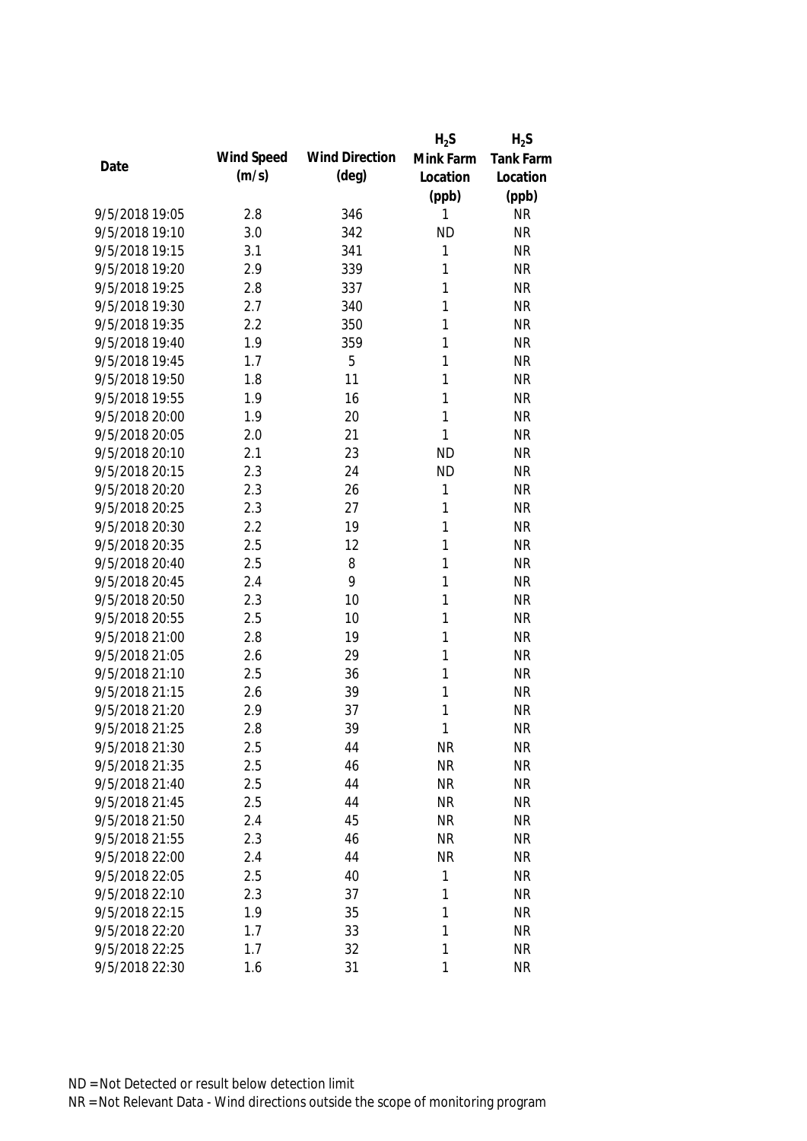|                |            |                       | $H_2S$    | $H_2S$    |
|----------------|------------|-----------------------|-----------|-----------|
| Date           | Wind Speed | <b>Wind Direction</b> | Mink Farm | Tank Farm |
|                | (m/s)      | $(\text{deg})$        | Location  | Location  |
|                |            |                       | (ppb)     | (ppb)     |
| 9/5/2018 19:05 | 2.8        | 346                   | 1         | <b>NR</b> |
| 9/5/2018 19:10 | 3.0        | 342                   | <b>ND</b> | <b>NR</b> |
| 9/5/2018 19:15 | 3.1        | 341                   | 1         | <b>NR</b> |
| 9/5/2018 19:20 | 2.9        | 339                   | 1         | <b>NR</b> |
| 9/5/2018 19:25 | 2.8        | 337                   | 1         | <b>NR</b> |
| 9/5/2018 19:30 | 2.7        | 340                   | 1         | <b>NR</b> |
| 9/5/2018 19:35 | 2.2        | 350                   | 1         | <b>NR</b> |
| 9/5/2018 19:40 | 1.9        | 359                   | 1         | <b>NR</b> |
| 9/5/2018 19:45 | 1.7        | 5                     | 1         | <b>NR</b> |
| 9/5/2018 19:50 | 1.8        | 11                    | 1         | <b>NR</b> |
| 9/5/2018 19:55 | 1.9        | 16                    | 1         | <b>NR</b> |
| 9/5/2018 20:00 | 1.9        | 20                    | 1         | <b>NR</b> |
| 9/5/2018 20:05 | 2.0        | 21                    | 1         | <b>NR</b> |
| 9/5/2018 20:10 | 2.1        | 23                    | <b>ND</b> | <b>NR</b> |
| 9/5/2018 20:15 | 2.3        | 24                    | <b>ND</b> | <b>NR</b> |
| 9/5/2018 20:20 | 2.3        | 26                    | 1         | <b>NR</b> |
| 9/5/2018 20:25 | 2.3        | 27                    | 1         | <b>NR</b> |
| 9/5/2018 20:30 | 2.2        | 19                    | 1         | <b>NR</b> |
| 9/5/2018 20:35 | 2.5        | 12                    | 1         | <b>NR</b> |
| 9/5/2018 20:40 | 2.5        | 8                     | 1         | <b>NR</b> |
| 9/5/2018 20:45 | 2.4        | 9                     | 1         | <b>NR</b> |
| 9/5/2018 20:50 | 2.3        | 10                    | 1         | <b>NR</b> |
| 9/5/2018 20:55 | 2.5        | 10                    | 1         | <b>NR</b> |
| 9/5/2018 21:00 | 2.8        | 19                    | 1         | <b>NR</b> |
| 9/5/2018 21:05 | 2.6        | 29                    | 1         | <b>NR</b> |
| 9/5/2018 21:10 | 2.5        | 36                    | 1         | <b>NR</b> |
| 9/5/2018 21:15 | 2.6        | 39                    | 1         | <b>NR</b> |
| 9/5/2018 21:20 | 2.9        | 37                    | 1         | <b>NR</b> |
| 9/5/2018 21:25 | 2.8        | 39                    | 1         | <b>NR</b> |
| 9/5/2018 21:30 | 2.5        | 44                    | <b>NR</b> | <b>NR</b> |
| 9/5/2018 21:35 | 2.5        | 46                    | <b>NR</b> | <b>NR</b> |
| 9/5/2018 21:40 | 2.5        | 44                    | <b>NR</b> | <b>NR</b> |
| 9/5/2018 21:45 | 2.5        | 44                    | <b>NR</b> | <b>NR</b> |
| 9/5/2018 21:50 | 2.4        | 45                    | <b>NR</b> | <b>NR</b> |
| 9/5/2018 21:55 | 2.3        | 46                    | <b>NR</b> | <b>NR</b> |
| 9/5/2018 22:00 | 2.4        | 44                    | <b>NR</b> | <b>NR</b> |
| 9/5/2018 22:05 | 2.5        | 40                    | 1         | <b>NR</b> |
| 9/5/2018 22:10 | 2.3        | 37                    | 1         | <b>NR</b> |
| 9/5/2018 22:15 | 1.9        | 35                    | 1         | <b>NR</b> |
| 9/5/2018 22:20 | 1.7        | 33                    | 1         | <b>NR</b> |
| 9/5/2018 22:25 | 1.7        | 32                    | 1         | <b>NR</b> |
| 9/5/2018 22:30 | 1.6        | 31                    | 1         | <b>NR</b> |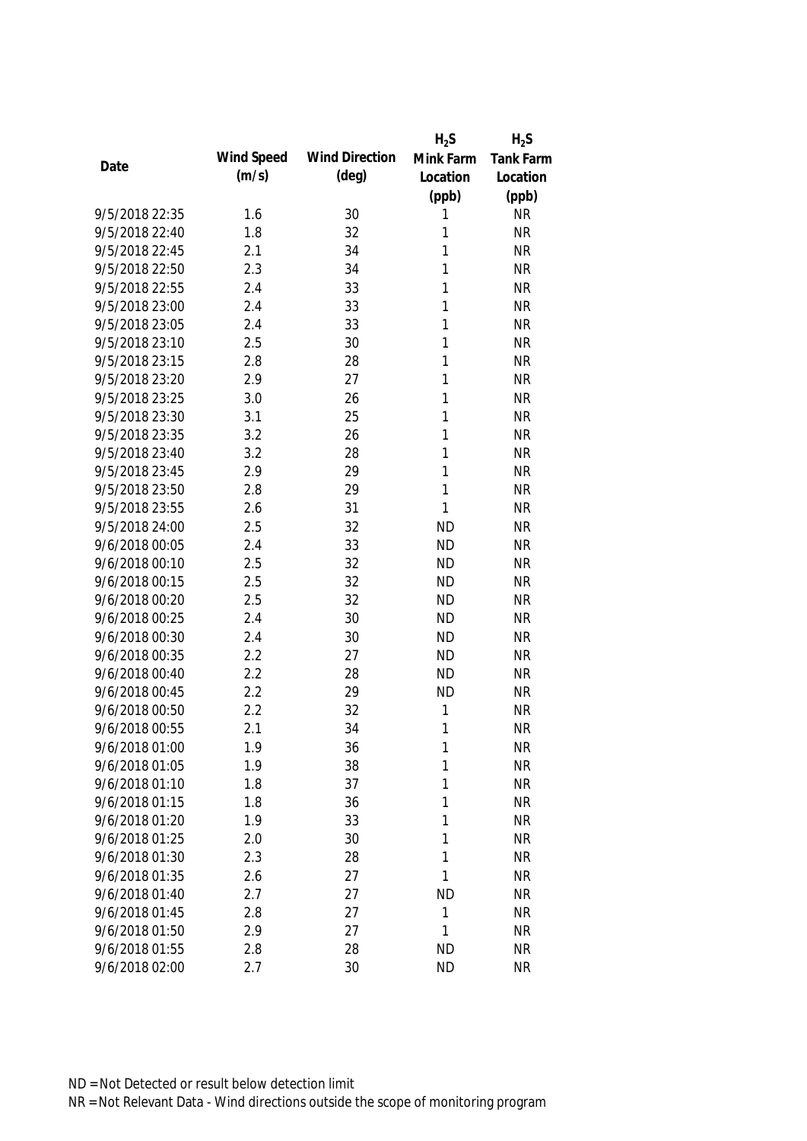|                |            |                       | $H_2S$       | $H_2S$    |
|----------------|------------|-----------------------|--------------|-----------|
|                | Wind Speed | <b>Wind Direction</b> | Mink Farm    | Tank Farm |
| Date           | (m/s)      | $(\text{deg})$        | Location     | Location  |
|                |            |                       | (ppb)        | (ppb)     |
| 9/5/2018 22:35 | 1.6        | 30                    | 1            | <b>NR</b> |
| 9/5/2018 22:40 | 1.8        | 32                    | 1            | <b>NR</b> |
| 9/5/2018 22:45 | 2.1        | 34                    | 1            | <b>NR</b> |
| 9/5/2018 22:50 | 2.3        | 34                    | 1            | <b>NR</b> |
| 9/5/2018 22:55 | 2.4        | 33                    | 1            | <b>NR</b> |
| 9/5/2018 23:00 | 2.4        | 33                    | 1            | <b>NR</b> |
| 9/5/2018 23:05 | 2.4        | 33                    | 1            | <b>NR</b> |
| 9/5/2018 23:10 | 2.5        | 30                    | 1            | <b>NR</b> |
| 9/5/2018 23:15 | 2.8        | 28                    | $\mathbf{1}$ | <b>NR</b> |
| 9/5/2018 23:20 | 2.9        | 27                    | 1            | <b>NR</b> |
| 9/5/2018 23:25 | 3.0        | 26                    | 1            | <b>NR</b> |
| 9/5/2018 23:30 | 3.1        | 25                    | 1            | <b>NR</b> |
| 9/5/2018 23:35 | 3.2        | 26                    | 1            | <b>NR</b> |
| 9/5/2018 23:40 | 3.2        | 28                    | 1            | <b>NR</b> |
| 9/5/2018 23:45 | 2.9        | 29                    | 1            | <b>NR</b> |
| 9/5/2018 23:50 | 2.8        | 29                    | $\mathbf{1}$ | <b>NR</b> |
| 9/5/2018 23:55 | 2.6        | 31                    | $\mathbf{1}$ | <b>NR</b> |
| 9/5/2018 24:00 | 2.5        | 32                    | <b>ND</b>    | <b>NR</b> |
| 9/6/2018 00:05 | 2.4        | 33                    | <b>ND</b>    | <b>NR</b> |
| 9/6/2018 00:10 | 2.5        | 32                    | <b>ND</b>    | <b>NR</b> |
| 9/6/2018 00:15 | 2.5        | 32                    | <b>ND</b>    | <b>NR</b> |
| 9/6/2018 00:20 | 2.5        | 32                    | <b>ND</b>    | <b>NR</b> |
| 9/6/2018 00:25 | 2.4        | 30                    | <b>ND</b>    | <b>NR</b> |
| 9/6/2018 00:30 | 2.4        | 30                    | <b>ND</b>    | <b>NR</b> |
| 9/6/2018 00:35 | 2.2        | 27                    | <b>ND</b>    | <b>NR</b> |
| 9/6/2018 00:40 | 2.2        | 28                    | <b>ND</b>    | <b>NR</b> |
| 9/6/2018 00:45 | 2.2        | 29                    | <b>ND</b>    | <b>NR</b> |
| 9/6/2018 00:50 | 2.2        | 32                    | 1            | <b>NR</b> |
| 9/6/2018 00:55 | 2.1        | 34                    | $\mathbf{1}$ | <b>NR</b> |
| 9/6/2018 01:00 | 1.9        | 36                    | 1            | <b>NR</b> |
| 9/6/2018 01:05 | 1.9        | 38                    | 1            | <b>NR</b> |
| 9/6/2018 01:10 | 1.8        | 37                    | 1            | <b>NR</b> |
| 9/6/2018 01:15 | 1.8        | 36                    | 1            | <b>NR</b> |
| 9/6/2018 01:20 | 1.9        | 33                    | 1            | <b>NR</b> |
| 9/6/2018 01:25 | 2.0        | 30                    | 1            | <b>NR</b> |
| 9/6/2018 01:30 | 2.3        | 28                    | 1            | <b>NR</b> |
| 9/6/2018 01:35 | 2.6        | 27                    | 1            | <b>NR</b> |
| 9/6/2018 01:40 | 2.7        | 27                    | <b>ND</b>    | <b>NR</b> |
| 9/6/2018 01:45 | 2.8        | 27                    | $\mathbf{1}$ | <b>NR</b> |
| 9/6/2018 01:50 | 2.9        | 27                    | 1            | <b>NR</b> |
| 9/6/2018 01:55 | 2.8        | 28                    | <b>ND</b>    | <b>NR</b> |
| 9/6/2018 02:00 | 2.7        | 30                    | <b>ND</b>    | <b>NR</b> |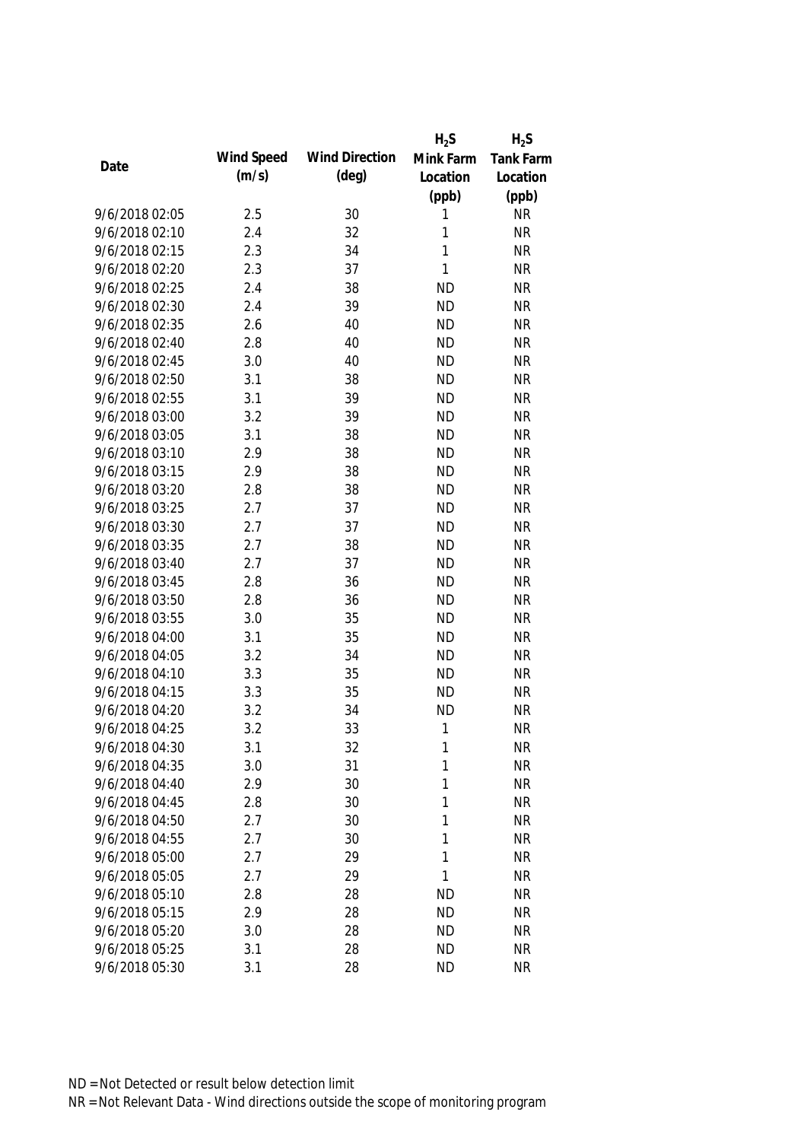|                |            |                       | $H_2S$    | $H_2S$           |
|----------------|------------|-----------------------|-----------|------------------|
|                | Wind Speed | <b>Wind Direction</b> | Mink Farm | <b>Tank Farm</b> |
| Date           | (m/s)      | $(\text{deg})$        | Location  | Location         |
|                |            |                       | (ppb)     | (ppb)            |
| 9/6/2018 02:05 | 2.5        | 30                    | 1         | <b>NR</b>        |
| 9/6/2018 02:10 | 2.4        | 32                    | 1         | <b>NR</b>        |
| 9/6/2018 02:15 | 2.3        | 34                    | 1         | <b>NR</b>        |
| 9/6/2018 02:20 | 2.3        | 37                    | 1         | <b>NR</b>        |
| 9/6/2018 02:25 | 2.4        | 38                    | <b>ND</b> | <b>NR</b>        |
| 9/6/2018 02:30 | 2.4        | 39                    | <b>ND</b> | <b>NR</b>        |
| 9/6/2018 02:35 | 2.6        | 40                    | <b>ND</b> | <b>NR</b>        |
| 9/6/2018 02:40 | 2.8        | 40                    | <b>ND</b> | <b>NR</b>        |
| 9/6/2018 02:45 | 3.0        | 40                    | <b>ND</b> | <b>NR</b>        |
| 9/6/2018 02:50 | 3.1        | 38                    | <b>ND</b> | <b>NR</b>        |
| 9/6/2018 02:55 | 3.1        | 39                    | <b>ND</b> | <b>NR</b>        |
| 9/6/2018 03:00 | 3.2        | 39                    | <b>ND</b> | <b>NR</b>        |
| 9/6/2018 03:05 | 3.1        | 38                    | <b>ND</b> | <b>NR</b>        |
| 9/6/2018 03:10 | 2.9        | 38                    | <b>ND</b> | <b>NR</b>        |
| 9/6/2018 03:15 | 2.9        | 38                    | <b>ND</b> | <b>NR</b>        |
| 9/6/2018 03:20 | 2.8        | 38                    | <b>ND</b> | <b>NR</b>        |
| 9/6/2018 03:25 | 2.7        | 37                    | <b>ND</b> | <b>NR</b>        |
| 9/6/2018 03:30 | 2.7        | 37                    | <b>ND</b> | <b>NR</b>        |
| 9/6/2018 03:35 | 2.7        | 38                    | <b>ND</b> | <b>NR</b>        |
| 9/6/2018 03:40 | 2.7        | 37                    | <b>ND</b> | <b>NR</b>        |
| 9/6/2018 03:45 | 2.8        | 36                    | <b>ND</b> | <b>NR</b>        |
| 9/6/2018 03:50 | 2.8        | 36                    | <b>ND</b> | <b>NR</b>        |
| 9/6/2018 03:55 | 3.0        | 35                    | <b>ND</b> | <b>NR</b>        |
| 9/6/2018 04:00 | 3.1        | 35                    | <b>ND</b> | <b>NR</b>        |
| 9/6/2018 04:05 | 3.2        | 34                    | <b>ND</b> | <b>NR</b>        |
| 9/6/2018 04:10 | 3.3        | 35                    | <b>ND</b> | <b>NR</b>        |
| 9/6/2018 04:15 | 3.3        | 35                    | <b>ND</b> | <b>NR</b>        |
| 9/6/2018 04:20 | 3.2        | 34                    | <b>ND</b> | <b>NR</b>        |
| 9/6/2018 04:25 | 3.2        | 33                    | 1         | <b>NR</b>        |
| 9/6/2018 04:30 | 3.1        | 32                    | 1         | <b>NR</b>        |
| 9/6/2018 04:35 | 3.0        | 31                    | 1         | <b>NR</b>        |
| 9/6/2018 04:40 | 2.9        | 30                    | 1         | <b>NR</b>        |
| 9/6/2018 04:45 | 2.8        | 30                    | 1         | <b>NR</b>        |
| 9/6/2018 04:50 | 2.7        | 30                    | 1         | <b>NR</b>        |
| 9/6/2018 04:55 | 2.7        | 30                    | 1         | <b>NR</b>        |
| 9/6/2018 05:00 | 2.7        | 29                    | 1         | <b>NR</b>        |
| 9/6/2018 05:05 | 2.7        | 29                    | 1         | <b>NR</b>        |
| 9/6/2018 05:10 | 2.8        | 28                    | <b>ND</b> | <b>NR</b>        |
| 9/6/2018 05:15 | 2.9        | 28                    | <b>ND</b> | <b>NR</b>        |
| 9/6/2018 05:20 | 3.0        | 28                    | <b>ND</b> | <b>NR</b>        |
| 9/6/2018 05:25 | 3.1        | 28                    | <b>ND</b> | <b>NR</b>        |
| 9/6/2018 05:30 | 3.1        | 28                    | <b>ND</b> | <b>NR</b>        |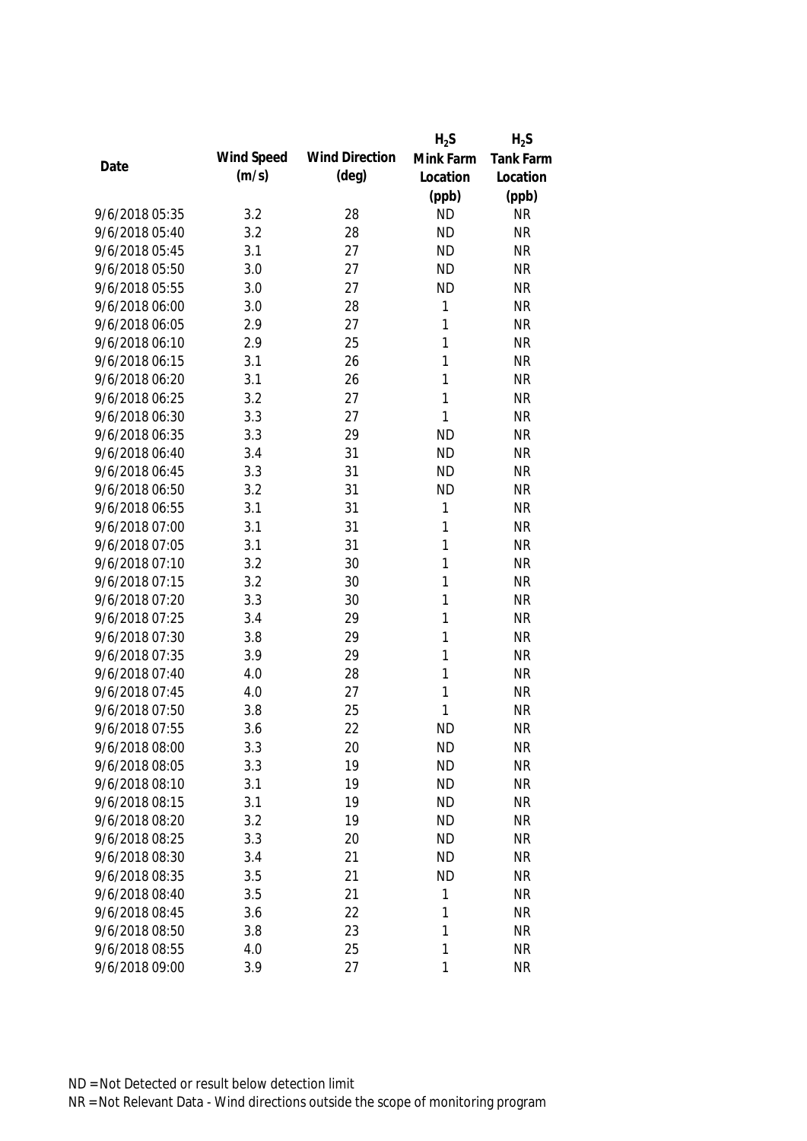|                |            |                       | $H_2S$       | $H_2S$           |
|----------------|------------|-----------------------|--------------|------------------|
|                | Wind Speed | <b>Wind Direction</b> | Mink Farm    | <b>Tank Farm</b> |
| Date           | (m/s)      | $(\text{deg})$        | Location     | Location         |
|                |            |                       | (ppb)        | (ppb)            |
| 9/6/2018 05:35 | 3.2        | 28                    | <b>ND</b>    | <b>NR</b>        |
| 9/6/2018 05:40 | 3.2        | 28                    | <b>ND</b>    | <b>NR</b>        |
| 9/6/2018 05:45 | 3.1        | 27                    | <b>ND</b>    | <b>NR</b>        |
| 9/6/2018 05:50 | 3.0        | 27                    | <b>ND</b>    | <b>NR</b>        |
| 9/6/2018 05:55 | 3.0        | 27                    | <b>ND</b>    | <b>NR</b>        |
| 9/6/2018 06:00 | 3.0        | 28                    | 1            | <b>NR</b>        |
| 9/6/2018 06:05 | 2.9        | 27                    | 1            | <b>NR</b>        |
| 9/6/2018 06:10 | 2.9        | 25                    | 1            | <b>NR</b>        |
| 9/6/2018 06:15 | 3.1        | 26                    | $\mathbf{1}$ | <b>NR</b>        |
| 9/6/2018 06:20 | 3.1        | 26                    | 1            | <b>NR</b>        |
| 9/6/2018 06:25 | 3.2        | 27                    | 1            | <b>NR</b>        |
| 9/6/2018 06:30 | 3.3        | 27                    | 1            | <b>NR</b>        |
| 9/6/2018 06:35 | 3.3        | 29                    | <b>ND</b>    | <b>NR</b>        |
| 9/6/2018 06:40 | 3.4        | 31                    | <b>ND</b>    | <b>NR</b>        |
| 9/6/2018 06:45 | 3.3        | 31                    | <b>ND</b>    | <b>NR</b>        |
| 9/6/2018 06:50 | 3.2        | 31                    | <b>ND</b>    | <b>NR</b>        |
| 9/6/2018 06:55 | 3.1        | 31                    | 1            | <b>NR</b>        |
| 9/6/2018 07:00 | 3.1        | 31                    | 1            | <b>NR</b>        |
| 9/6/2018 07:05 | 3.1        | 31                    | 1            | <b>NR</b>        |
| 9/6/2018 07:10 | 3.2        | 30                    | 1            | <b>NR</b>        |
| 9/6/2018 07:15 | 3.2        | 30                    | 1            | <b>NR</b>        |
| 9/6/2018 07:20 | 3.3        | 30                    | 1            | <b>NR</b>        |
| 9/6/2018 07:25 | 3.4        | 29                    | 1            | <b>NR</b>        |
| 9/6/2018 07:30 | 3.8        | 29                    | 1            | <b>NR</b>        |
| 9/6/2018 07:35 | 3.9        | 29                    | 1            | <b>NR</b>        |
| 9/6/2018 07:40 | 4.0        | 28                    | 1            | <b>NR</b>        |
| 9/6/2018 07:45 | 4.0        | 27                    | 1            | <b>NR</b>        |
| 9/6/2018 07:50 | 3.8        | 25                    | 1            | <b>NR</b>        |
| 9/6/2018 07:55 | 3.6        | 22                    | <b>ND</b>    | <b>NR</b>        |
| 9/6/2018 08:00 | 3.3        | 20                    | <b>ND</b>    | <b>NR</b>        |
| 9/6/2018 08:05 | 3.3        | 19                    | <b>ND</b>    | <b>NR</b>        |
| 9/6/2018 08:10 | 3.1        | 19                    | <b>ND</b>    | <b>NR</b>        |
| 9/6/2018 08:15 | 3.1        | 19                    | <b>ND</b>    | <b>NR</b>        |
| 9/6/2018 08:20 | 3.2        | 19                    | <b>ND</b>    | <b>NR</b>        |
| 9/6/2018 08:25 | 3.3        | 20                    | <b>ND</b>    | <b>NR</b>        |
| 9/6/2018 08:30 | 3.4        | 21                    | <b>ND</b>    | <b>NR</b>        |
| 9/6/2018 08:35 | 3.5        | 21                    | <b>ND</b>    | <b>NR</b>        |
| 9/6/2018 08:40 | 3.5        | 21                    | 1            | <b>NR</b>        |
| 9/6/2018 08:45 | 3.6        | 22                    | 1            | <b>NR</b>        |
| 9/6/2018 08:50 | 3.8        | 23                    | 1            | <b>NR</b>        |
| 9/6/2018 08:55 | 4.0        | 25                    | 1            | <b>NR</b>        |
| 9/6/2018 09:00 | 3.9        | 27                    | 1            | <b>NR</b>        |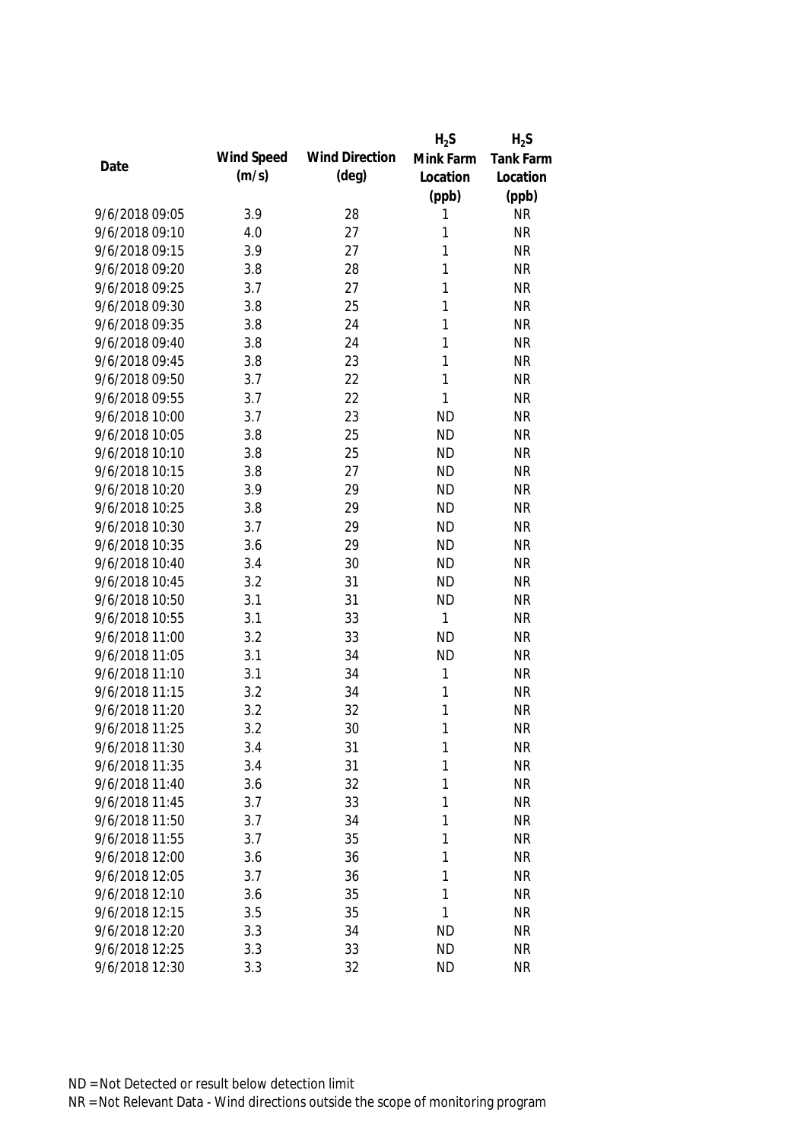|                |            |                       | $H_2S$       | $H_2S$           |
|----------------|------------|-----------------------|--------------|------------------|
|                | Wind Speed | <b>Wind Direction</b> | Mink Farm    | <b>Tank Farm</b> |
| Date           | (m/s)      | $(\text{deg})$        | Location     | Location         |
|                |            |                       | (ppb)        | (ppb)            |
| 9/6/2018 09:05 | 3.9        | 28                    | 1            | <b>NR</b>        |
| 9/6/2018 09:10 | 4.0        | 27                    | 1            | <b>NR</b>        |
| 9/6/2018 09:15 | 3.9        | 27                    | 1            | <b>NR</b>        |
| 9/6/2018 09:20 | 3.8        | 28                    | 1            | <b>NR</b>        |
| 9/6/2018 09:25 | 3.7        | 27                    | 1            | <b>NR</b>        |
| 9/6/2018 09:30 | 3.8        | 25                    | 1            | <b>NR</b>        |
| 9/6/2018 09:35 | 3.8        | 24                    | 1            | <b>NR</b>        |
| 9/6/2018 09:40 | 3.8        | 24                    | 1            | <b>NR</b>        |
| 9/6/2018 09:45 | 3.8        | 23                    | $\mathbf{1}$ | <b>NR</b>        |
| 9/6/2018 09:50 | 3.7        | 22                    | 1            | <b>NR</b>        |
| 9/6/2018 09:55 | 3.7        | 22                    | 1            | <b>NR</b>        |
| 9/6/2018 10:00 | 3.7        | 23                    | <b>ND</b>    | <b>NR</b>        |
| 9/6/2018 10:05 | 3.8        | 25                    | <b>ND</b>    | <b>NR</b>        |
| 9/6/2018 10:10 | 3.8        | 25                    | <b>ND</b>    | <b>NR</b>        |
| 9/6/2018 10:15 | 3.8        | 27                    | <b>ND</b>    | <b>NR</b>        |
| 9/6/2018 10:20 | 3.9        | 29                    | <b>ND</b>    | <b>NR</b>        |
| 9/6/2018 10:25 | 3.8        | 29                    | <b>ND</b>    | <b>NR</b>        |
| 9/6/2018 10:30 | 3.7        | 29                    | <b>ND</b>    | <b>NR</b>        |
| 9/6/2018 10:35 | 3.6        | 29                    | <b>ND</b>    | <b>NR</b>        |
| 9/6/2018 10:40 | 3.4        | 30                    | <b>ND</b>    | <b>NR</b>        |
| 9/6/2018 10:45 | 3.2        | 31                    | <b>ND</b>    | <b>NR</b>        |
| 9/6/2018 10:50 | 3.1        | 31                    | <b>ND</b>    | <b>NR</b>        |
| 9/6/2018 10:55 | 3.1        | 33                    | 1            | <b>NR</b>        |
| 9/6/2018 11:00 | 3.2        | 33                    | <b>ND</b>    | <b>NR</b>        |
| 9/6/2018 11:05 | 3.1        | 34                    | <b>ND</b>    | <b>NR</b>        |
| 9/6/2018 11:10 | 3.1        | 34                    | 1            | <b>NR</b>        |
| 9/6/2018 11:15 | 3.2        | 34                    | 1            | <b>NR</b>        |
| 9/6/2018 11:20 | 3.2        | 32                    | 1            | <b>NR</b>        |
| 9/6/2018 11:25 | 3.2        | 30                    | 1            | <b>NR</b>        |
| 9/6/2018 11:30 | 3.4        | 31                    | 1            | <b>NR</b>        |
| 9/6/2018 11:35 | 3.4        | 31                    | 1            | <b>NR</b>        |
| 9/6/2018 11:40 | 3.6        | 32                    | 1            | <b>NR</b>        |
| 9/6/2018 11:45 | 3.7        | 33                    | 1            | <b>NR</b>        |
| 9/6/2018 11:50 | 3.7        | 34                    | 1            | <b>NR</b>        |
| 9/6/2018 11:55 | 3.7        | 35                    | 1            | <b>NR</b>        |
| 9/6/2018 12:00 | 3.6        | 36                    | 1            | <b>NR</b>        |
| 9/6/2018 12:05 | 3.7        | 36                    | 1            | <b>NR</b>        |
| 9/6/2018 12:10 | 3.6        | 35                    | 1            | <b>NR</b>        |
| 9/6/2018 12:15 | 3.5        | 35                    | 1            | <b>NR</b>        |
| 9/6/2018 12:20 | 3.3        | 34                    | ND           | <b>NR</b>        |
| 9/6/2018 12:25 | 3.3        | 33                    | <b>ND</b>    | <b>NR</b>        |
| 9/6/2018 12:30 | 3.3        | 32                    | <b>ND</b>    | <b>NR</b>        |
|                |            |                       |              |                  |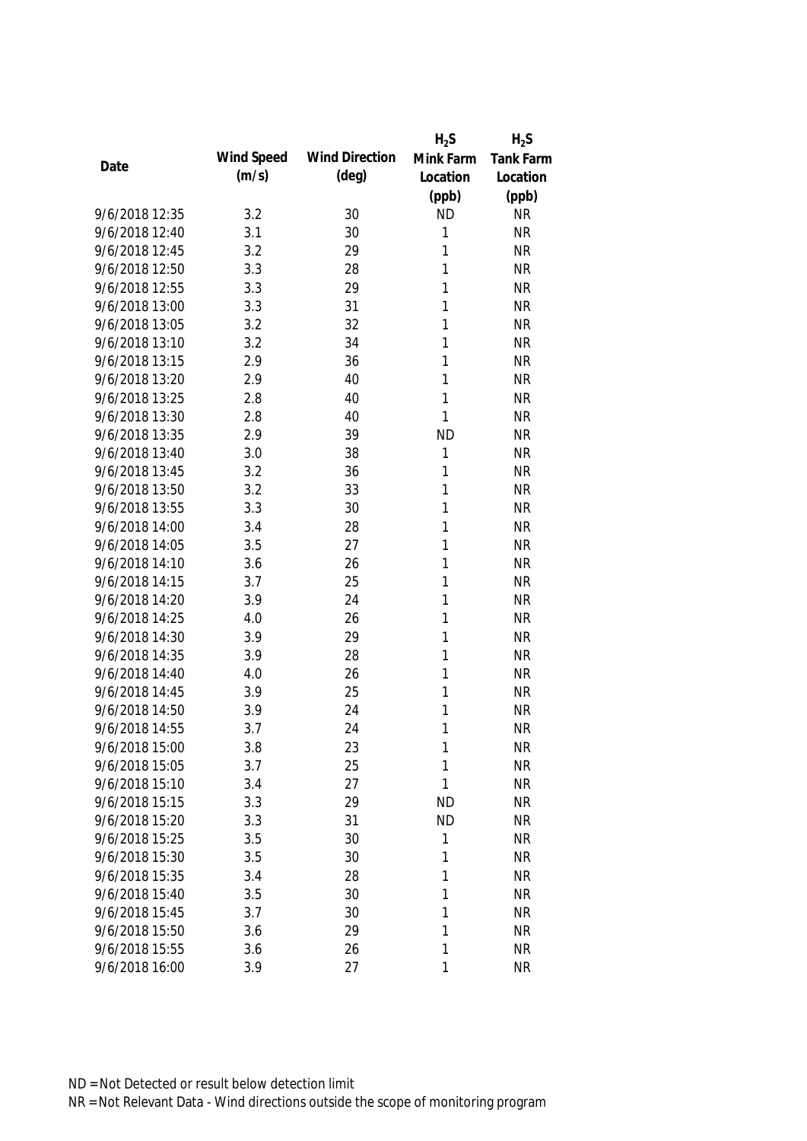|                |            |                       | $H_2S$    | $H_2S$           |
|----------------|------------|-----------------------|-----------|------------------|
| Date           | Wind Speed | <b>Wind Direction</b> | Mink Farm | <b>Tank Farm</b> |
|                | (m/s)      | $(\text{deg})$        | Location  | Location         |
|                |            |                       | (ppb)     | (ppb)            |
| 9/6/2018 12:35 | 3.2        | 30                    | <b>ND</b> | <b>NR</b>        |
| 9/6/2018 12:40 | 3.1        | 30                    | 1         | <b>NR</b>        |
| 9/6/2018 12:45 | 3.2        | 29                    | 1         | <b>NR</b>        |
| 9/6/2018 12:50 | 3.3        | 28                    | 1         | <b>NR</b>        |
| 9/6/2018 12:55 | 3.3        | 29                    | 1         | <b>NR</b>        |
| 9/6/2018 13:00 | 3.3        | 31                    | 1         | <b>NR</b>        |
| 9/6/2018 13:05 | 3.2        | 32                    | 1         | <b>NR</b>        |
| 9/6/2018 13:10 | 3.2        | 34                    | 1         | <b>NR</b>        |
| 9/6/2018 13:15 | 2.9        | 36                    | 1         | <b>NR</b>        |
| 9/6/2018 13:20 | 2.9        | 40                    | 1         | <b>NR</b>        |
| 9/6/2018 13:25 | 2.8        | 40                    | 1         | <b>NR</b>        |
| 9/6/2018 13:30 | 2.8        | 40                    | 1         | <b>NR</b>        |
| 9/6/2018 13:35 | 2.9        | 39                    | <b>ND</b> | <b>NR</b>        |
| 9/6/2018 13:40 | 3.0        | 38                    | 1         | <b>NR</b>        |
| 9/6/2018 13:45 | 3.2        | 36                    | 1         | <b>NR</b>        |
| 9/6/2018 13:50 | 3.2        | 33                    | 1         | <b>NR</b>        |
| 9/6/2018 13:55 | 3.3        | 30                    | 1         | <b>NR</b>        |
| 9/6/2018 14:00 | 3.4        | 28                    | 1         | <b>NR</b>        |
| 9/6/2018 14:05 | 3.5        | 27                    | 1         | <b>NR</b>        |
| 9/6/2018 14:10 | 3.6        | 26                    | 1         | <b>NR</b>        |
| 9/6/2018 14:15 | 3.7        | 25                    | 1         | <b>NR</b>        |
| 9/6/2018 14:20 | 3.9        | 24                    | 1         | <b>NR</b>        |
| 9/6/2018 14:25 | 4.0        | 26                    | 1         | <b>NR</b>        |
| 9/6/2018 14:30 | 3.9        | 29                    | 1         | <b>NR</b>        |
| 9/6/2018 14:35 | 3.9        | 28                    | 1         | <b>NR</b>        |
| 9/6/2018 14:40 | 4.0        | 26                    | 1         | <b>NR</b>        |
| 9/6/2018 14:45 | 3.9        | 25                    | 1         | <b>NR</b>        |
| 9/6/2018 14:50 | 3.9        | 24                    | 1         | <b>NR</b>        |
| 9/6/2018 14:55 | 3.7        | 24                    | 1         | <b>NR</b>        |
| 9/6/2018 15:00 | 3.8        | 23                    | 1         | <b>NR</b>        |
| 9/6/2018 15:05 | 3.7        | 25                    | 1         | <b>NR</b>        |
| 9/6/2018 15:10 | 3.4        | 27                    | 1         | <b>NR</b>        |
| 9/6/2018 15:15 | 3.3        | 29                    | <b>ND</b> | <b>NR</b>        |
| 9/6/2018 15:20 | 3.3        | 31                    | <b>ND</b> | <b>NR</b>        |
| 9/6/2018 15:25 | 3.5        | 30                    | 1         | <b>NR</b>        |
| 9/6/2018 15:30 | 3.5        | 30                    | 1         | <b>NR</b>        |
| 9/6/2018 15:35 | 3.4        | 28                    | 1         | <b>NR</b>        |
| 9/6/2018 15:40 | 3.5        | 30                    | 1         | <b>NR</b>        |
| 9/6/2018 15:45 | 3.7        | 30                    | 1         | <b>NR</b>        |
| 9/6/2018 15:50 | 3.6        | 29                    | 1         | <b>NR</b>        |
| 9/6/2018 15:55 | 3.6        | 26                    | 1         | <b>NR</b>        |
| 9/6/2018 16:00 | 3.9        | 27                    | 1         | <b>NR</b>        |
|                |            |                       |           |                  |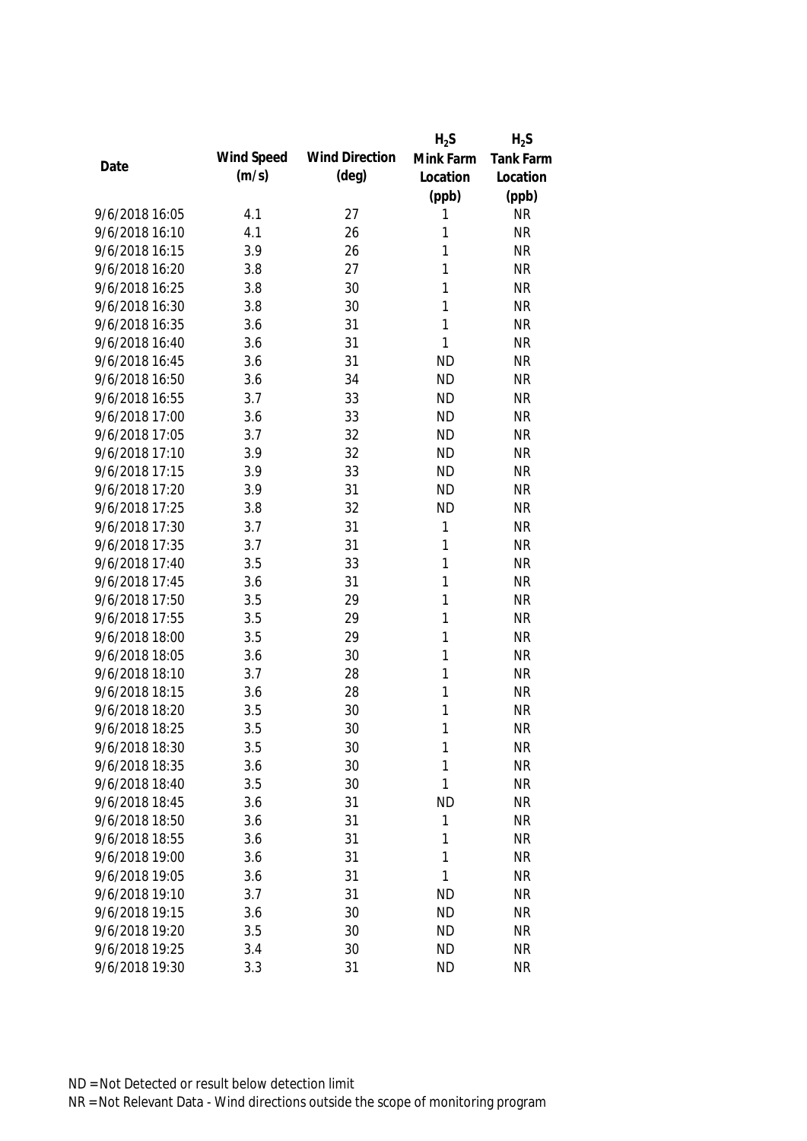|                |            |                       | $H_2S$       | $H_2S$    |
|----------------|------------|-----------------------|--------------|-----------|
|                | Wind Speed | <b>Wind Direction</b> | Mink Farm    | Tank Farm |
| Date           | (m/s)      | $(\text{deg})$        | Location     | Location  |
|                |            |                       | (ppb)        | (ppb)     |
| 9/6/2018 16:05 | 4.1        | 27                    | 1            | <b>NR</b> |
| 9/6/2018 16:10 | 4.1        | 26                    | 1            | <b>NR</b> |
| 9/6/2018 16:15 | 3.9        | 26                    | 1            | <b>NR</b> |
| 9/6/2018 16:20 | 3.8        | 27                    | 1            | <b>NR</b> |
| 9/6/2018 16:25 | 3.8        | 30                    | 1            | <b>NR</b> |
| 9/6/2018 16:30 | 3.8        | 30                    | 1            | <b>NR</b> |
| 9/6/2018 16:35 | 3.6        | 31                    | $\mathbf{1}$ | <b>NR</b> |
| 9/6/2018 16:40 | 3.6        | 31                    | $\mathbf{1}$ | <b>NR</b> |
| 9/6/2018 16:45 | 3.6        | 31                    | <b>ND</b>    | <b>NR</b> |
| 9/6/2018 16:50 | 3.6        | 34                    | <b>ND</b>    | <b>NR</b> |
| 9/6/2018 16:55 | 3.7        | 33                    | <b>ND</b>    | <b>NR</b> |
| 9/6/2018 17:00 | 3.6        | 33                    | <b>ND</b>    | <b>NR</b> |
| 9/6/2018 17:05 | 3.7        | 32                    | <b>ND</b>    | <b>NR</b> |
| 9/6/2018 17:10 | 3.9        | 32                    | <b>ND</b>    | <b>NR</b> |
| 9/6/2018 17:15 | 3.9        | 33                    | <b>ND</b>    | <b>NR</b> |
| 9/6/2018 17:20 | 3.9        | 31                    | <b>ND</b>    | <b>NR</b> |
| 9/6/2018 17:25 | 3.8        | 32                    | <b>ND</b>    | <b>NR</b> |
| 9/6/2018 17:30 | 3.7        | 31                    | $\mathbf{1}$ | <b>NR</b> |
| 9/6/2018 17:35 | 3.7        | 31                    | 1            | <b>NR</b> |
| 9/6/2018 17:40 | 3.5        | 33                    | $\mathbf{1}$ | <b>NR</b> |
| 9/6/2018 17:45 | 3.6        | 31                    | $\mathbf{1}$ | <b>NR</b> |
| 9/6/2018 17:50 | 3.5        | 29                    | 1            | <b>NR</b> |
| 9/6/2018 17:55 | 3.5        | 29                    | 1            | <b>NR</b> |
| 9/6/2018 18:00 | 3.5        | 29                    | 1            | <b>NR</b> |
| 9/6/2018 18:05 | 3.6        | 30                    | 1            | <b>NR</b> |
| 9/6/2018 18:10 | 3.7        | 28                    | 1            | <b>NR</b> |
| 9/6/2018 18:15 | 3.6        | 28                    | 1            | <b>NR</b> |
| 9/6/2018 18:20 | 3.5        | 30                    | 1            | <b>NR</b> |
| 9/6/2018 18:25 | 3.5        | 30                    | $\mathbf{1}$ | <b>NR</b> |
| 9/6/2018 18:30 | 3.5        | 30                    | 1            | <b>NR</b> |
| 9/6/2018 18:35 | 3.6        | 30                    | 1            | <b>NR</b> |
| 9/6/2018 18:40 | 3.5        | 30                    | 1            | <b>NR</b> |
| 9/6/2018 18:45 | 3.6        | 31                    | <b>ND</b>    | <b>NR</b> |
| 9/6/2018 18:50 | 3.6        | 31                    | 1            | <b>NR</b> |
| 9/6/2018 18:55 | 3.6        | 31                    | 1            | <b>NR</b> |
| 9/6/2018 19:00 | 3.6        | 31                    | 1            | <b>NR</b> |
| 9/6/2018 19:05 | 3.6        | 31                    | 1            | <b>NR</b> |
| 9/6/2018 19:10 | 3.7        | 31                    | <b>ND</b>    | <b>NR</b> |
| 9/6/2018 19:15 | 3.6        | 30                    | <b>ND</b>    | <b>NR</b> |
| 9/6/2018 19:20 | 3.5        | 30                    | <b>ND</b>    | <b>NR</b> |
| 9/6/2018 19:25 | 3.4        | 30                    | <b>ND</b>    | <b>NR</b> |
| 9/6/2018 19:30 | 3.3        | 31                    | <b>ND</b>    | <b>NR</b> |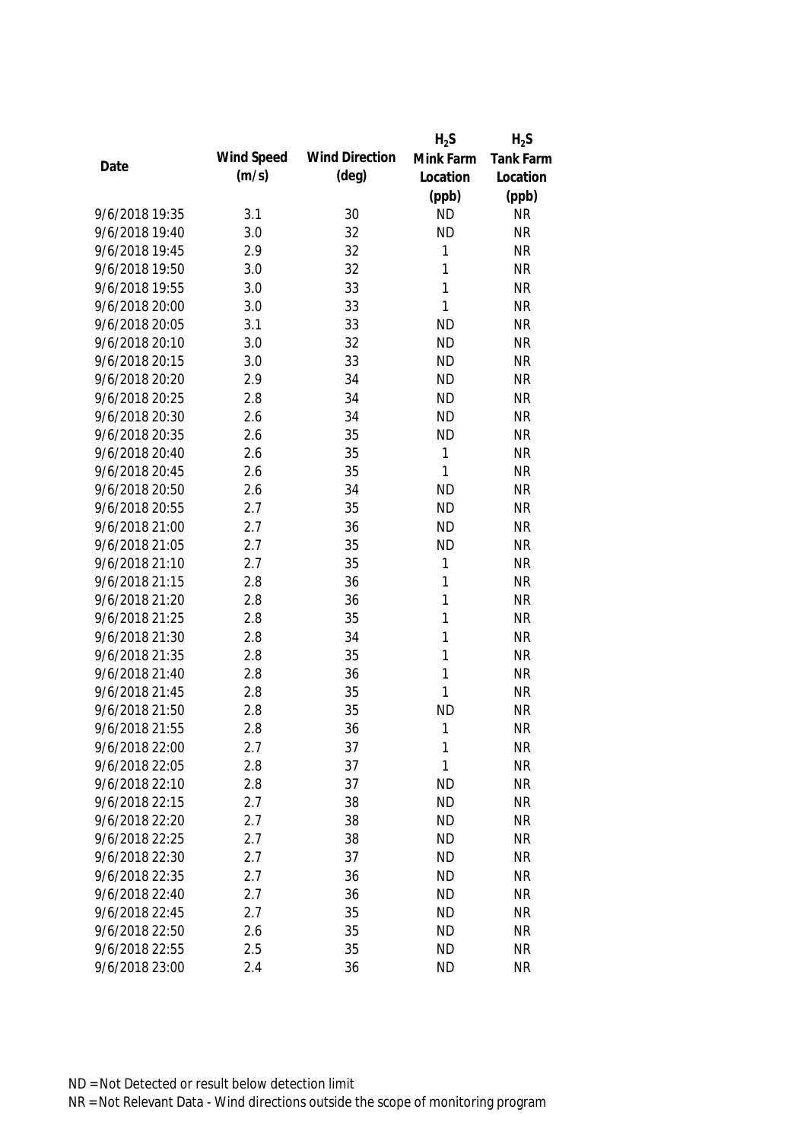|                |            |                       | $H_2S$       | $H_2S$           |
|----------------|------------|-----------------------|--------------|------------------|
| Date           | Wind Speed | <b>Wind Direction</b> | Mink Farm    | <b>Tank Farm</b> |
|                | (m/s)      | $(\text{deg})$        | Location     | Location         |
|                |            |                       | (ppb)        | (ppb)            |
| 9/6/2018 19:35 | 3.1        | 30                    | <b>ND</b>    | <b>NR</b>        |
| 9/6/2018 19:40 | 3.0        | 32                    | <b>ND</b>    | <b>NR</b>        |
| 9/6/2018 19:45 | 2.9        | 32                    | 1            | <b>NR</b>        |
| 9/6/2018 19:50 | 3.0        | 32                    | 1            | <b>NR</b>        |
| 9/6/2018 19:55 | 3.0        | 33                    | 1            | <b>NR</b>        |
| 9/6/2018 20:00 | 3.0        | 33                    | $\mathbf{1}$ | <b>NR</b>        |
| 9/6/2018 20:05 | 3.1        | 33                    | <b>ND</b>    | <b>NR</b>        |
| 9/6/2018 20:10 | 3.0        | 32                    | <b>ND</b>    | <b>NR</b>        |
| 9/6/2018 20:15 | 3.0        | 33                    | <b>ND</b>    | <b>NR</b>        |
| 9/6/2018 20:20 | 2.9        | 34                    | <b>ND</b>    | <b>NR</b>        |
| 9/6/2018 20:25 | 2.8        | 34                    | <b>ND</b>    | <b>NR</b>        |
| 9/6/2018 20:30 | 2.6        | 34                    | <b>ND</b>    | <b>NR</b>        |
| 9/6/2018 20:35 | 2.6        | 35                    | <b>ND</b>    | <b>NR</b>        |
| 9/6/2018 20:40 | 2.6        | 35                    | 1            | <b>NR</b>        |
| 9/6/2018 20:45 | 2.6        | 35                    | $\mathbf{1}$ | <b>NR</b>        |
| 9/6/2018 20:50 | 2.6        | 34                    | <b>ND</b>    | <b>NR</b>        |
| 9/6/2018 20:55 | 2.7        | 35                    | <b>ND</b>    | <b>NR</b>        |
| 9/6/2018 21:00 | 2.7        | 36                    | <b>ND</b>    | <b>NR</b>        |
| 9/6/2018 21:05 | 2.7        | 35                    | <b>ND</b>    | <b>NR</b>        |
| 9/6/2018 21:10 | 2.7        | 35                    | 1            | <b>NR</b>        |
| 9/6/2018 21:15 | 2.8        | 36                    | 1            | <b>NR</b>        |
| 9/6/2018 21:20 | 2.8        | 36                    | 1            | <b>NR</b>        |
| 9/6/2018 21:25 | 2.8        | 35                    | 1            | <b>NR</b>        |
| 9/6/2018 21:30 | 2.8        | 34                    | $\mathbf{1}$ | <b>NR</b>        |
| 9/6/2018 21:35 | 2.8        | 35                    | 1            | <b>NR</b>        |
| 9/6/2018 21:40 | 2.8        | 36                    | 1            | <b>NR</b>        |
| 9/6/2018 21:45 | 2.8        | 35                    | 1            | <b>NR</b>        |
| 9/6/2018 21:50 | 2.8        | 35                    | <b>ND</b>    | <b>NR</b>        |
| 9/6/2018 21:55 | 2.8        | 36                    | $\mathbf{1}$ | <b>NR</b>        |
| 9/6/2018 22:00 | 2.7        | 37                    | 1            | <b>NR</b>        |
| 9/6/2018 22:05 | 2.8        | 37                    | 1            | <b>NR</b>        |
| 9/6/2018 22:10 | 2.8        | 37                    | <b>ND</b>    | <b>NR</b>        |
| 9/6/2018 22:15 | 2.7        | 38                    | <b>ND</b>    | <b>NR</b>        |
| 9/6/2018 22:20 | 2.7        | 38                    | <b>ND</b>    | <b>NR</b>        |
| 9/6/2018 22:25 | 2.7        | 38                    | <b>ND</b>    | <b>NR</b>        |
| 9/6/2018 22:30 | 2.7        | 37                    | <b>ND</b>    | <b>NR</b>        |
| 9/6/2018 22:35 | 2.7        | 36                    | <b>ND</b>    | <b>NR</b>        |
| 9/6/2018 22:40 | 2.7        | 36                    | <b>ND</b>    | <b>NR</b>        |
| 9/6/2018 22:45 | 2.7        | 35                    | <b>ND</b>    | <b>NR</b>        |
| 9/6/2018 22:50 | 2.6        | 35                    | <b>ND</b>    | <b>NR</b>        |
| 9/6/2018 22:55 | 2.5        | 35                    | <b>ND</b>    | <b>NR</b>        |
| 9/6/2018 23:00 | 2.4        | 36                    | <b>ND</b>    | <b>NR</b>        |
|                |            |                       |              |                  |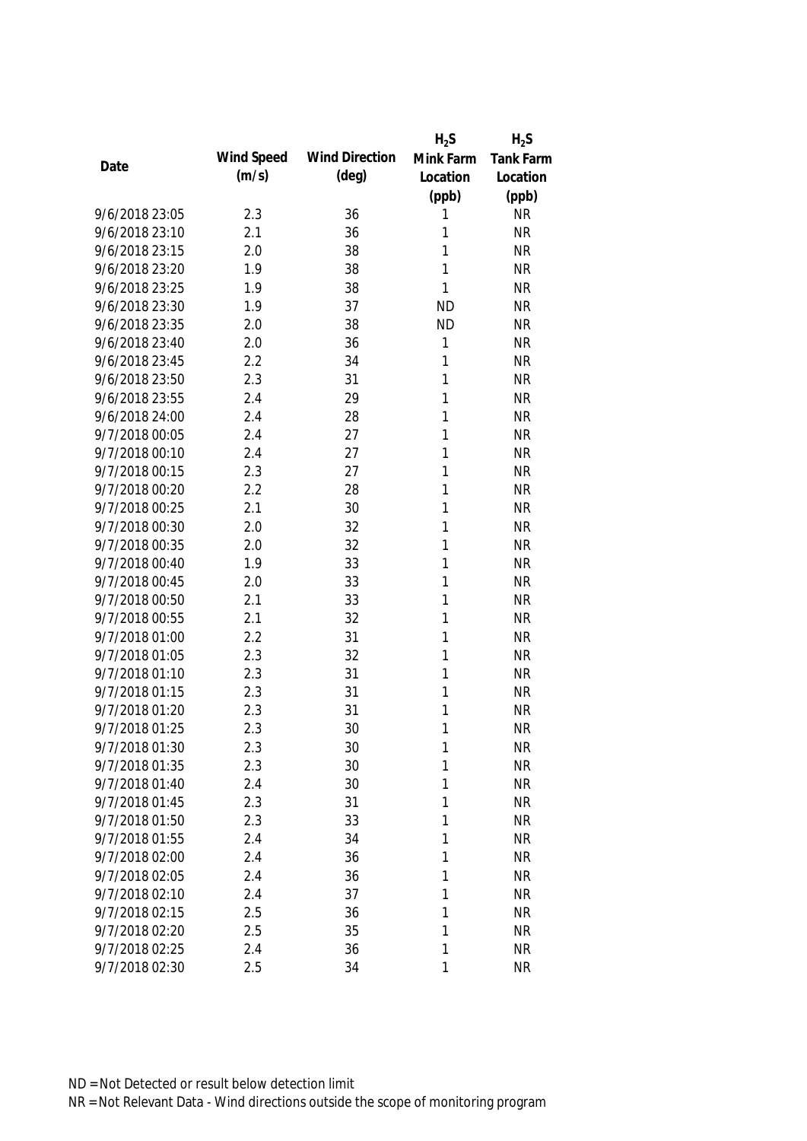|                |            |                       | $H_2S$       | $H_2S$    |
|----------------|------------|-----------------------|--------------|-----------|
| Date           | Wind Speed | <b>Wind Direction</b> | Mink Farm    | Tank Farm |
|                | (m/s)      | $(\text{deg})$        | Location     | Location  |
|                |            |                       | (ppb)        | (ppb)     |
| 9/6/2018 23:05 | 2.3        | 36                    | 1            | <b>NR</b> |
| 9/6/2018 23:10 | 2.1        | 36                    | 1            | <b>NR</b> |
| 9/6/2018 23:15 | 2.0        | 38                    | 1            | <b>NR</b> |
| 9/6/2018 23:20 | 1.9        | 38                    | 1            | <b>NR</b> |
| 9/6/2018 23:25 | 1.9        | 38                    | 1            | <b>NR</b> |
| 9/6/2018 23:30 | 1.9        | 37                    | <b>ND</b>    | <b>NR</b> |
| 9/6/2018 23:35 | 2.0        | 38                    | <b>ND</b>    | <b>NR</b> |
| 9/6/2018 23:40 | 2.0        | 36                    | 1            | <b>NR</b> |
| 9/6/2018 23:45 | 2.2        | 34                    | $\mathbf{1}$ | <b>NR</b> |
| 9/6/2018 23:50 | 2.3        | 31                    | 1            | <b>NR</b> |
| 9/6/2018 23:55 | 2.4        | 29                    | 1            | <b>NR</b> |
| 9/6/2018 24:00 | 2.4        | 28                    | 1            | <b>NR</b> |
| 9/7/2018 00:05 | 2.4        | 27                    | 1            | <b>NR</b> |
| 9/7/2018 00:10 | 2.4        | 27                    | 1            | <b>NR</b> |
| 9/7/2018 00:15 | 2.3        | 27                    | 1            | <b>NR</b> |
| 9/7/2018 00:20 | 2.2        | 28                    | 1            | <b>NR</b> |
| 9/7/2018 00:25 | 2.1        | 30                    | 1            | <b>NR</b> |
| 9/7/2018 00:30 | 2.0        | 32                    | $\mathbf{1}$ | <b>NR</b> |
| 9/7/2018 00:35 | 2.0        | 32                    | 1            | <b>NR</b> |
| 9/7/2018 00:40 | 1.9        | 33                    | 1            | <b>NR</b> |
| 9/7/2018 00:45 | 2.0        | 33                    | 1            | <b>NR</b> |
| 9/7/2018 00:50 | 2.1        | 33                    | 1            | <b>NR</b> |
| 9/7/2018 00:55 | 2.1        | 32                    | 1            | <b>NR</b> |
| 9/7/2018 01:00 | 2.2        | 31                    | 1            | <b>NR</b> |
| 9/7/2018 01:05 | 2.3        | 32                    | 1            | <b>NR</b> |
| 9/7/2018 01:10 | 2.3        | 31                    | 1            | <b>NR</b> |
| 9/7/2018 01:15 | 2.3        | 31                    | 1            | <b>NR</b> |
| 9/7/2018 01:20 | 2.3        | 31                    | 1            | <b>NR</b> |
| 9/7/2018 01:25 | 2.3        | 30                    | 1            | <b>NR</b> |
| 9/7/2018 01:30 | 2.3        | 30                    | 1            | <b>NR</b> |
| 9/7/2018 01:35 | 2.3        | 30                    | 1            | <b>NR</b> |
| 9/7/2018 01:40 | 2.4        | 30                    | 1            | <b>NR</b> |
| 9/7/2018 01:45 | 2.3        | 31                    | 1            | <b>NR</b> |
| 9/7/2018 01:50 | 2.3        | 33                    | 1            | <b>NR</b> |
| 9/7/2018 01:55 | 2.4        | 34                    | 1            | <b>NR</b> |
| 9/7/2018 02:00 | 2.4        | 36                    | 1            | <b>NR</b> |
| 9/7/2018 02:05 | 2.4        | 36                    | 1            | <b>NR</b> |
| 9/7/2018 02:10 | 2.4        | 37                    | 1            | <b>NR</b> |
| 9/7/2018 02:15 | 2.5        | 36                    | 1            | <b>NR</b> |
| 9/7/2018 02:20 | 2.5        | 35                    | 1            | <b>NR</b> |
| 9/7/2018 02:25 | 2.4        | 36                    | 1            | <b>NR</b> |
| 9/7/2018 02:30 | 2.5        | 34                    | 1            | <b>NR</b> |
|                |            |                       |              |           |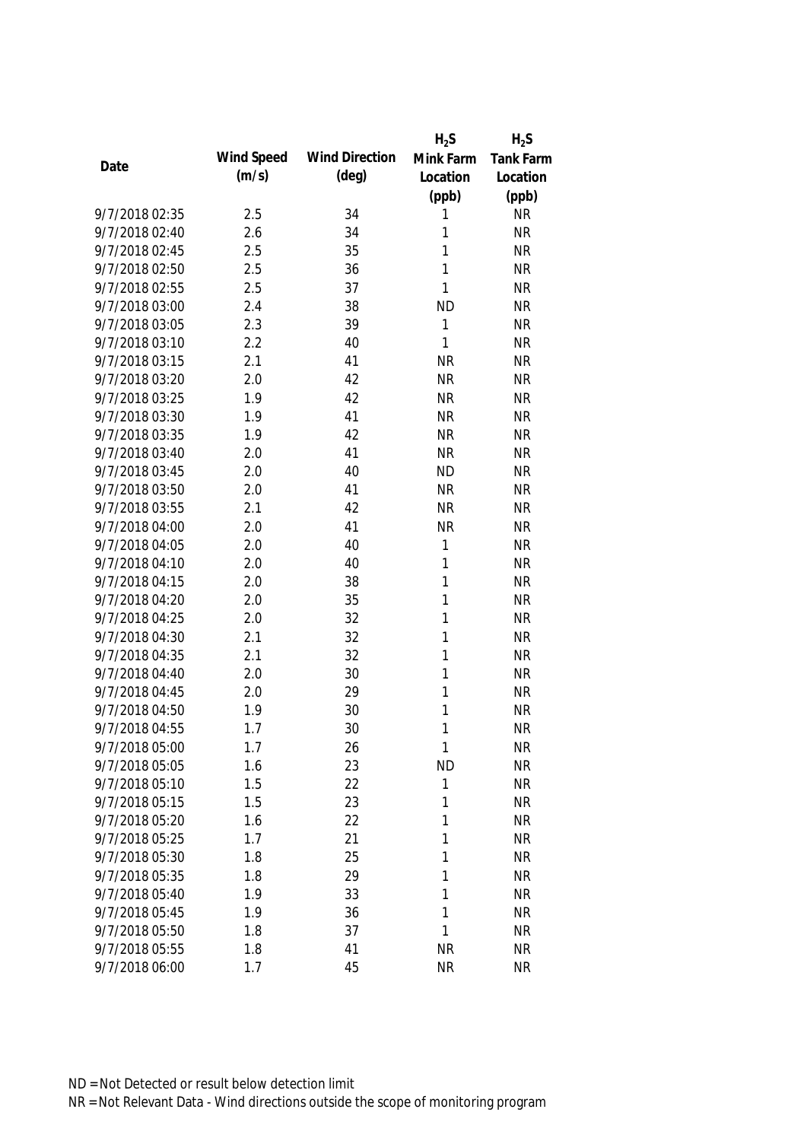|                |            |                       | $H_2S$       | $H_2S$           |
|----------------|------------|-----------------------|--------------|------------------|
| Date           | Wind Speed | <b>Wind Direction</b> | Mink Farm    | <b>Tank Farm</b> |
|                | (m/s)      | $(\text{deg})$        | Location     | Location         |
|                |            |                       | (ppb)        | (ppb)            |
| 9/7/2018 02:35 | 2.5        | 34                    | 1            | <b>NR</b>        |
| 9/7/2018 02:40 | 2.6        | 34                    | 1            | <b>NR</b>        |
| 9/7/2018 02:45 | 2.5        | 35                    | 1            | <b>NR</b>        |
| 9/7/2018 02:50 | 2.5        | 36                    | 1            | <b>NR</b>        |
| 9/7/2018 02:55 | 2.5        | 37                    | 1            | <b>NR</b>        |
| 9/7/2018 03:00 | 2.4        | 38                    | <b>ND</b>    | <b>NR</b>        |
| 9/7/2018 03:05 | 2.3        | 39                    | 1            | <b>NR</b>        |
| 9/7/2018 03:10 | 2.2        | 40                    | $\mathbf{1}$ | <b>NR</b>        |
| 9/7/2018 03:15 | 2.1        | 41                    | <b>NR</b>    | <b>NR</b>        |
| 9/7/2018 03:20 | 2.0        | 42                    | <b>NR</b>    | <b>NR</b>        |
| 9/7/2018 03:25 | 1.9        | 42                    | <b>NR</b>    | <b>NR</b>        |
| 9/7/2018 03:30 | 1.9        | 41                    | <b>NR</b>    | <b>NR</b>        |
| 9/7/2018 03:35 | 1.9        | 42                    | <b>NR</b>    | <b>NR</b>        |
| 9/7/2018 03:40 | 2.0        | 41                    | <b>NR</b>    | <b>NR</b>        |
| 9/7/2018 03:45 | 2.0        | 40                    | <b>ND</b>    | <b>NR</b>        |
| 9/7/2018 03:50 | 2.0        | 41                    | <b>NR</b>    | <b>NR</b>        |
| 9/7/2018 03:55 | 2.1        | 42                    | <b>NR</b>    | <b>NR</b>        |
| 9/7/2018 04:00 | 2.0        | 41                    | <b>NR</b>    | <b>NR</b>        |
| 9/7/2018 04:05 | 2.0        | 40                    | 1            | <b>NR</b>        |
| 9/7/2018 04:10 | 2.0        | 40                    | 1            | <b>NR</b>        |
| 9/7/2018 04:15 | 2.0        | 38                    | 1            | <b>NR</b>        |
| 9/7/2018 04:20 | 2.0        | 35                    | 1            | <b>NR</b>        |
| 9/7/2018 04:25 | 2.0        | 32                    | 1            | <b>NR</b>        |
| 9/7/2018 04:30 | 2.1        | 32                    | $\mathbf{1}$ | <b>NR</b>        |
| 9/7/2018 04:35 | 2.1        | 32                    | 1            | <b>NR</b>        |
| 9/7/2018 04:40 | 2.0        | 30                    | 1            | <b>NR</b>        |
| 9/7/2018 04:45 | 2.0        | 29                    | 1            | <b>NR</b>        |
| 9/7/2018 04:50 | 1.9        | 30                    | 1            | <b>NR</b>        |
| 9/7/2018 04:55 | 1.7        | 30                    | 1            | <b>NR</b>        |
| 9/7/2018 05:00 | 1.7        | 26                    | 1            | <b>NR</b>        |
| 9/7/2018 05:05 | 1.6        | 23                    | <b>ND</b>    | <b>NR</b>        |
| 9/7/2018 05:10 | 1.5        | 22                    | 1            | <b>NR</b>        |
| 9/7/2018 05:15 | 1.5        | 23                    | 1            | <b>NR</b>        |
| 9/7/2018 05:20 | 1.6        | 22                    | 1            | <b>NR</b>        |
| 9/7/2018 05:25 | 1.7        | 21                    | 1            | <b>NR</b>        |
| 9/7/2018 05:30 | 1.8        | 25                    | 1            | <b>NR</b>        |
| 9/7/2018 05:35 | 1.8        | 29                    | 1            | <b>NR</b>        |
| 9/7/2018 05:40 | 1.9        | 33                    | 1            | <b>NR</b>        |
| 9/7/2018 05:45 | 1.9        | 36                    | 1            | <b>NR</b>        |
| 9/7/2018 05:50 | 1.8        | 37                    | 1            | <b>NR</b>        |
| 9/7/2018 05:55 | 1.8        | 41                    | <b>NR</b>    | <b>NR</b>        |
| 9/7/2018 06:00 | 1.7        | 45                    | <b>NR</b>    | <b>NR</b>        |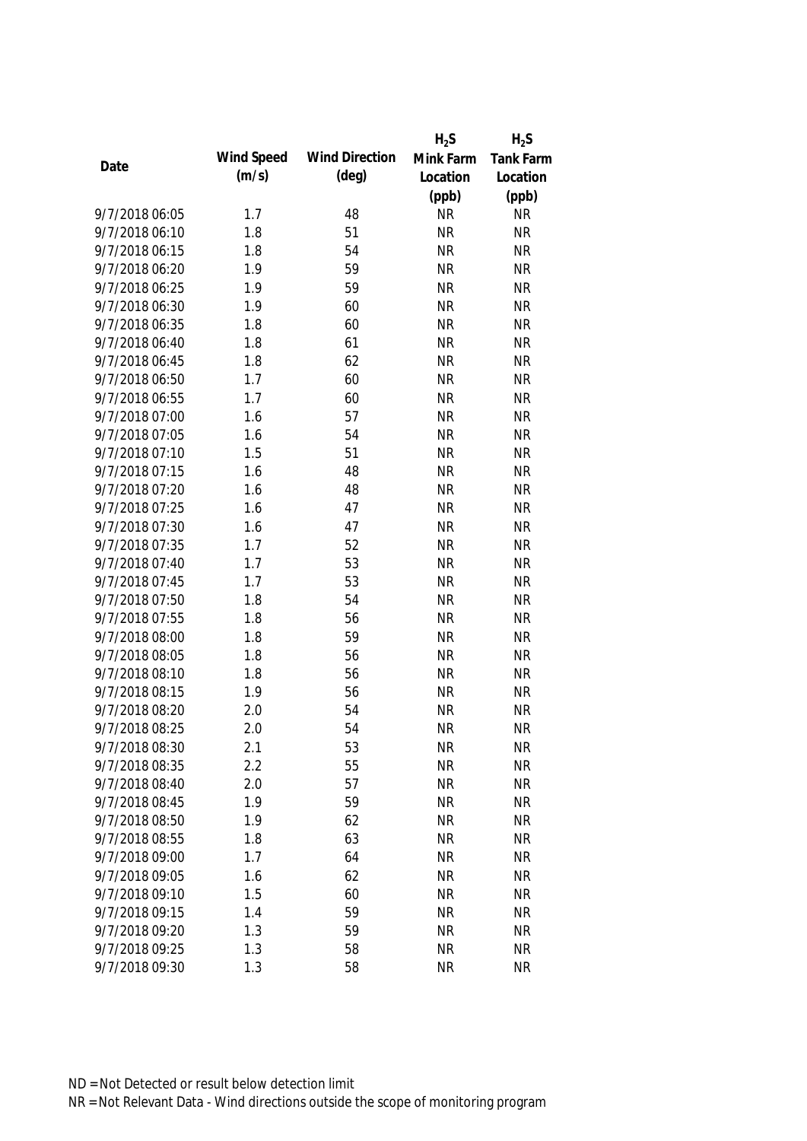|                |            |                       | $H_2S$    | $H_2S$           |
|----------------|------------|-----------------------|-----------|------------------|
|                | Wind Speed | <b>Wind Direction</b> | Mink Farm | <b>Tank Farm</b> |
| Date           | (m/s)      | $(\text{deg})$        | Location  | Location         |
|                |            |                       | (ppb)     | (ppb)            |
| 9/7/2018 06:05 | 1.7        | 48                    | <b>NR</b> | <b>NR</b>        |
| 9/7/2018 06:10 | 1.8        | 51                    | <b>NR</b> | <b>NR</b>        |
| 9/7/2018 06:15 | 1.8        | 54                    | <b>NR</b> | <b>NR</b>        |
| 9/7/2018 06:20 | 1.9        | 59                    | <b>NR</b> | <b>NR</b>        |
| 9/7/2018 06:25 | 1.9        | 59                    | <b>NR</b> | <b>NR</b>        |
| 9/7/2018 06:30 | 1.9        | 60                    | <b>NR</b> | <b>NR</b>        |
| 9/7/2018 06:35 | 1.8        | 60                    | <b>NR</b> | <b>NR</b>        |
| 9/7/2018 06:40 | 1.8        | 61                    | <b>NR</b> | <b>NR</b>        |
| 9/7/2018 06:45 | 1.8        | 62                    | <b>NR</b> | <b>NR</b>        |
| 9/7/2018 06:50 | 1.7        | 60                    | <b>NR</b> | <b>NR</b>        |
| 9/7/2018 06:55 | 1.7        | 60                    | <b>NR</b> | <b>NR</b>        |
| 9/7/2018 07:00 | 1.6        | 57                    | <b>NR</b> | <b>NR</b>        |
| 9/7/2018 07:05 | 1.6        | 54                    | <b>NR</b> | <b>NR</b>        |
| 9/7/2018 07:10 | 1.5        | 51                    | <b>NR</b> | <b>NR</b>        |
| 9/7/2018 07:15 | 1.6        | 48                    | <b>NR</b> | <b>NR</b>        |
| 9/7/2018 07:20 | 1.6        | 48                    | <b>NR</b> | <b>NR</b>        |
| 9/7/2018 07:25 | 1.6        | 47                    | <b>NR</b> | <b>NR</b>        |
| 9/7/2018 07:30 | 1.6        | 47                    | <b>NR</b> | <b>NR</b>        |
| 9/7/2018 07:35 | 1.7        | 52                    | <b>NR</b> | <b>NR</b>        |
| 9/7/2018 07:40 | 1.7        | 53                    | <b>NR</b> | <b>NR</b>        |
| 9/7/2018 07:45 | 1.7        | 53                    | <b>NR</b> | <b>NR</b>        |
| 9/7/2018 07:50 | 1.8        | 54                    | <b>NR</b> | <b>NR</b>        |
| 9/7/2018 07:55 | 1.8        | 56                    | <b>NR</b> | <b>NR</b>        |
| 9/7/2018 08:00 | 1.8        | 59                    | <b>NR</b> | <b>NR</b>        |
| 9/7/2018 08:05 | 1.8        | 56                    | <b>NR</b> | <b>NR</b>        |
| 9/7/2018 08:10 | 1.8        | 56                    | <b>NR</b> | <b>NR</b>        |
| 9/7/2018 08:15 | 1.9        | 56                    | <b>NR</b> | <b>NR</b>        |
| 9/7/2018 08:20 | 2.0        | 54                    | <b>NR</b> | <b>NR</b>        |
| 9/7/2018 08:25 | 2.0        | 54                    | <b>NR</b> | <b>NR</b>        |
| 9/7/2018 08:30 | 2.1        | 53                    | <b>NR</b> | <b>NR</b>        |
| 9/7/2018 08:35 | 2.2        | 55                    | <b>NR</b> | <b>NR</b>        |
| 9/7/2018 08:40 | 2.0        | 57                    | <b>NR</b> | <b>NR</b>        |
| 9/7/2018 08:45 | 1.9        | 59                    | <b>NR</b> | <b>NR</b>        |
| 9/7/2018 08:50 | 1.9        | 62                    | <b>NR</b> | <b>NR</b>        |
| 9/7/2018 08:55 | 1.8        | 63                    | <b>NR</b> | <b>NR</b>        |
| 9/7/2018 09:00 | 1.7        | 64                    | <b>NR</b> | <b>NR</b>        |
| 9/7/2018 09:05 | 1.6        | 62                    | <b>NR</b> | <b>NR</b>        |
| 9/7/2018 09:10 | 1.5        | 60                    | <b>NR</b> | <b>NR</b>        |
| 9/7/2018 09:15 | 1.4        | 59                    | <b>NR</b> | <b>NR</b>        |
| 9/7/2018 09:20 | 1.3        | 59                    | <b>NR</b> | <b>NR</b>        |
| 9/7/2018 09:25 | 1.3        | 58                    | <b>NR</b> | <b>NR</b>        |
| 9/7/2018 09:30 | 1.3        | 58                    | <b>NR</b> | <b>NR</b>        |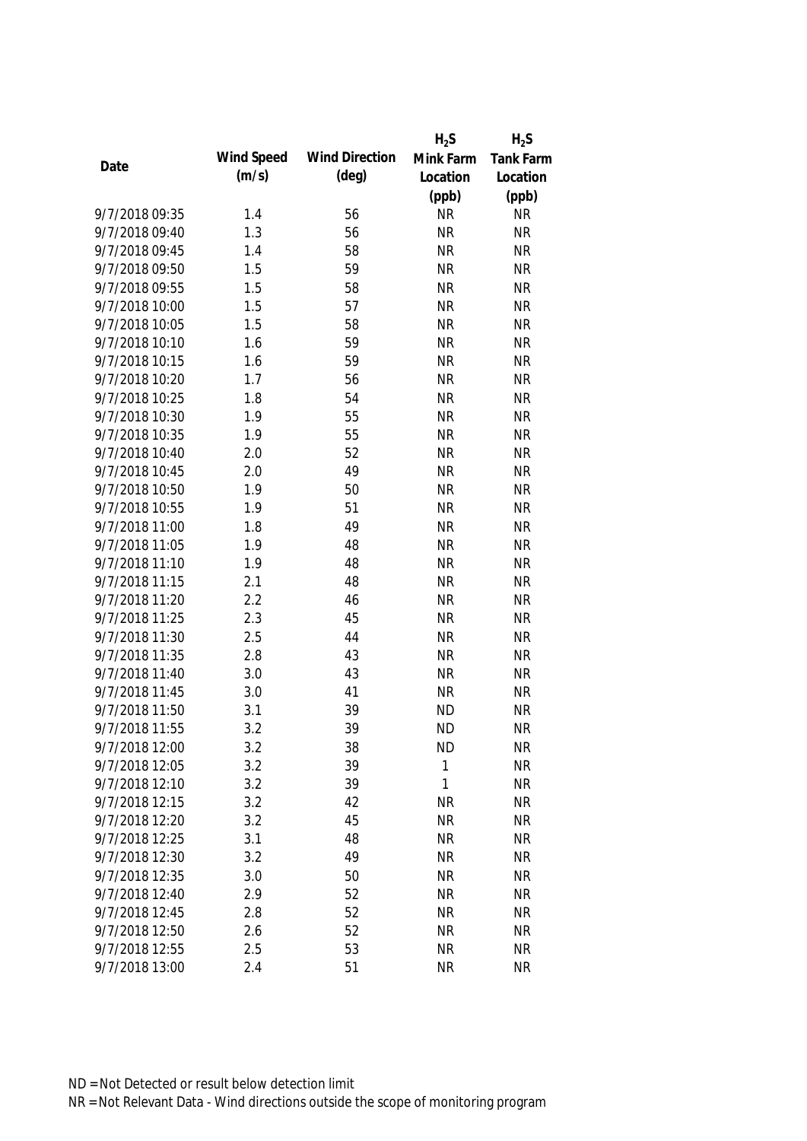|                |            |                       | $H_2S$    | $H_2S$           |
|----------------|------------|-----------------------|-----------|------------------|
|                | Wind Speed | <b>Wind Direction</b> | Mink Farm | <b>Tank Farm</b> |
| Date           | (m/s)      | $(\text{deg})$        | Location  | Location         |
|                |            |                       | (ppb)     | (ppb)            |
| 9/7/2018 09:35 | 1.4        | 56                    | <b>NR</b> | <b>NR</b>        |
| 9/7/2018 09:40 | 1.3        | 56                    | <b>NR</b> | <b>NR</b>        |
| 9/7/2018 09:45 | 1.4        | 58                    | <b>NR</b> | <b>NR</b>        |
| 9/7/2018 09:50 | 1.5        | 59                    | <b>NR</b> | <b>NR</b>        |
| 9/7/2018 09:55 | 1.5        | 58                    | <b>NR</b> | <b>NR</b>        |
| 9/7/2018 10:00 | 1.5        | 57                    | <b>NR</b> | <b>NR</b>        |
| 9/7/2018 10:05 | 1.5        | 58                    | <b>NR</b> | <b>NR</b>        |
| 9/7/2018 10:10 | 1.6        | 59                    | <b>NR</b> | <b>NR</b>        |
| 9/7/2018 10:15 | 1.6        | 59                    | <b>NR</b> | <b>NR</b>        |
| 9/7/2018 10:20 | 1.7        | 56                    | <b>NR</b> | <b>NR</b>        |
| 9/7/2018 10:25 | 1.8        | 54                    | <b>NR</b> | <b>NR</b>        |
| 9/7/2018 10:30 | 1.9        | 55                    | <b>NR</b> | <b>NR</b>        |
| 9/7/2018 10:35 | 1.9        | 55                    | <b>NR</b> | <b>NR</b>        |
| 9/7/2018 10:40 | 2.0        | 52                    | <b>NR</b> | <b>NR</b>        |
| 9/7/2018 10:45 | 2.0        | 49                    | <b>NR</b> | <b>NR</b>        |
| 9/7/2018 10:50 | 1.9        | 50                    | <b>NR</b> | <b>NR</b>        |
| 9/7/2018 10:55 | 1.9        | 51                    | <b>NR</b> | <b>NR</b>        |
| 9/7/2018 11:00 | 1.8        | 49                    | <b>NR</b> | <b>NR</b>        |
| 9/7/2018 11:05 | 1.9        | 48                    | <b>NR</b> | <b>NR</b>        |
| 9/7/2018 11:10 | 1.9        | 48                    | <b>NR</b> | <b>NR</b>        |
| 9/7/2018 11:15 | 2.1        | 48                    | <b>NR</b> | <b>NR</b>        |
| 9/7/2018 11:20 | 2.2        | 46                    | <b>NR</b> | <b>NR</b>        |
| 9/7/2018 11:25 | 2.3        | 45                    | <b>NR</b> | <b>NR</b>        |
| 9/7/2018 11:30 | 2.5        | 44                    | <b>NR</b> | <b>NR</b>        |
| 9/7/2018 11:35 | 2.8        | 43                    | <b>NR</b> | <b>NR</b>        |
| 9/7/2018 11:40 | 3.0        | 43                    | <b>NR</b> | <b>NR</b>        |
| 9/7/2018 11:45 | 3.0        | 41                    | <b>NR</b> | <b>NR</b>        |
| 9/7/2018 11:50 | 3.1        | 39                    | <b>ND</b> | <b>NR</b>        |
| 9/7/2018 11:55 | 3.2        | 39                    | <b>ND</b> | <b>NR</b>        |
| 9/7/2018 12:00 | 3.2        | 38                    | <b>ND</b> | <b>NR</b>        |
| 9/7/2018 12:05 | 3.2        | 39                    | 1         | <b>NR</b>        |
| 9/7/2018 12:10 | 3.2        | 39                    | 1         | <b>NR</b>        |
| 9/7/2018 12:15 | 3.2        | 42                    | <b>NR</b> | <b>NR</b>        |
| 9/7/2018 12:20 | 3.2        | 45                    | <b>NR</b> | <b>NR</b>        |
| 9/7/2018 12:25 | 3.1        | 48                    | <b>NR</b> | <b>NR</b>        |
| 9/7/2018 12:30 | 3.2        | 49                    | <b>NR</b> | <b>NR</b>        |
| 9/7/2018 12:35 | 3.0        | 50                    | <b>NR</b> | <b>NR</b>        |
| 9/7/2018 12:40 | 2.9        | 52                    | <b>NR</b> | <b>NR</b>        |
| 9/7/2018 12:45 | 2.8        | 52                    | <b>NR</b> | <b>NR</b>        |
| 9/7/2018 12:50 | 2.6        | 52                    | <b>NR</b> | <b>NR</b>        |
| 9/7/2018 12:55 | 2.5        | 53                    | <b>NR</b> | <b>NR</b>        |
| 9/7/2018 13:00 | 2.4        | 51                    | <b>NR</b> | <b>NR</b>        |
|                |            |                       |           |                  |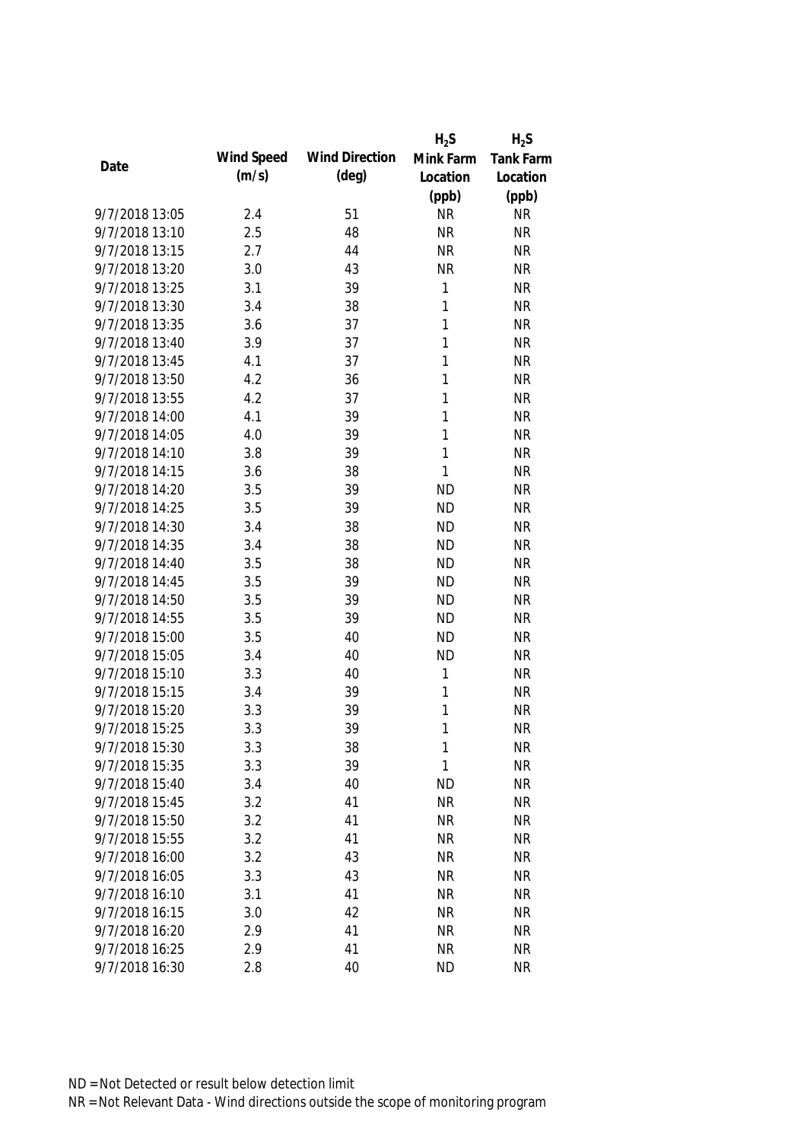|                |            |                       | $H_2S$       | $H_2S$           |
|----------------|------------|-----------------------|--------------|------------------|
|                | Wind Speed | <b>Wind Direction</b> | Mink Farm    | <b>Tank Farm</b> |
| Date           | (m/s)      | $(\text{deg})$        | Location     | Location         |
|                |            |                       | (ppb)        | (ppb)            |
| 9/7/2018 13:05 | 2.4        | 51                    | <b>NR</b>    | <b>NR</b>        |
| 9/7/2018 13:10 | 2.5        | 48                    | <b>NR</b>    | <b>NR</b>        |
| 9/7/2018 13:15 | 2.7        | 44                    | <b>NR</b>    | <b>NR</b>        |
| 9/7/2018 13:20 | 3.0        | 43                    | <b>NR</b>    | <b>NR</b>        |
| 9/7/2018 13:25 | 3.1        | 39                    | 1            | <b>NR</b>        |
| 9/7/2018 13:30 | 3.4        | 38                    | 1            | <b>NR</b>        |
| 9/7/2018 13:35 | 3.6        | 37                    | 1            | <b>NR</b>        |
| 9/7/2018 13:40 | 3.9        | 37                    | $\mathbf{1}$ | <b>NR</b>        |
| 9/7/2018 13:45 | 4.1        | 37                    | $\mathbf{1}$ | <b>NR</b>        |
| 9/7/2018 13:50 | 4.2        | 36                    | 1            | <b>NR</b>        |
| 9/7/2018 13:55 | 4.2        | 37                    | 1            | <b>NR</b>        |
| 9/7/2018 14:00 | 4.1        | 39                    | 1            | <b>NR</b>        |
| 9/7/2018 14:05 | 4.0        | 39                    | 1            | <b>NR</b>        |
| 9/7/2018 14:10 | 3.8        | 39                    | 1            | <b>NR</b>        |
| 9/7/2018 14:15 | 3.6        | 38                    | $\mathbf{1}$ | <b>NR</b>        |
| 9/7/2018 14:20 | 3.5        | 39                    | <b>ND</b>    | <b>NR</b>        |
| 9/7/2018 14:25 | 3.5        | 39                    | <b>ND</b>    | <b>NR</b>        |
| 9/7/2018 14:30 | 3.4        | 38                    | <b>ND</b>    | <b>NR</b>        |
| 9/7/2018 14:35 | 3.4        | 38                    | <b>ND</b>    | <b>NR</b>        |
| 9/7/2018 14:40 | 3.5        | 38                    | <b>ND</b>    | <b>NR</b>        |
| 9/7/2018 14:45 | 3.5        | 39                    | <b>ND</b>    | <b>NR</b>        |
| 9/7/2018 14:50 | 3.5        | 39                    | <b>ND</b>    | <b>NR</b>        |
| 9/7/2018 14:55 | 3.5        | 39                    | <b>ND</b>    | <b>NR</b>        |
| 9/7/2018 15:00 | 3.5        | 40                    | <b>ND</b>    | <b>NR</b>        |
| 9/7/2018 15:05 | 3.4        | 40                    | <b>ND</b>    | <b>NR</b>        |
| 9/7/2018 15:10 | 3.3        | 40                    | 1            | <b>NR</b>        |
| 9/7/2018 15:15 | 3.4        | 39                    | 1            | <b>NR</b>        |
| 9/7/2018 15:20 | 3.3        | 39                    | 1            | <b>NR</b>        |
| 9/7/2018 15:25 | 3.3        | 39                    | 1            | <b>NR</b>        |
| 9/7/2018 15:30 | 3.3        | 38                    | 1            | <b>NR</b>        |
| 9/7/2018 15:35 | 3.3        | 39                    | 1            | <b>NR</b>        |
| 9/7/2018 15:40 | 3.4        | 40                    | <b>ND</b>    | <b>NR</b>        |
| 9/7/2018 15:45 | 3.2        | 41                    | <b>NR</b>    | <b>NR</b>        |
| 9/7/2018 15:50 | 3.2        | 41                    | <b>NR</b>    | <b>NR</b>        |
| 9/7/2018 15:55 | 3.2        | 41                    | <b>NR</b>    | <b>NR</b>        |
| 9/7/2018 16:00 | 3.2        | 43                    | <b>NR</b>    | <b>NR</b>        |
| 9/7/2018 16:05 | 3.3        | 43                    | <b>NR</b>    | <b>NR</b>        |
| 9/7/2018 16:10 | 3.1        | 41                    | <b>NR</b>    | <b>NR</b>        |
| 9/7/2018 16:15 | 3.0        | 42                    | <b>NR</b>    | <b>NR</b>        |
| 9/7/2018 16:20 | 2.9        | 41                    | <b>NR</b>    | <b>NR</b>        |
| 9/7/2018 16:25 | 2.9        | 41                    | <b>NR</b>    | <b>NR</b>        |
| 9/7/2018 16:30 | 2.8        | 40                    | <b>ND</b>    | <b>NR</b>        |
|                |            |                       |              |                  |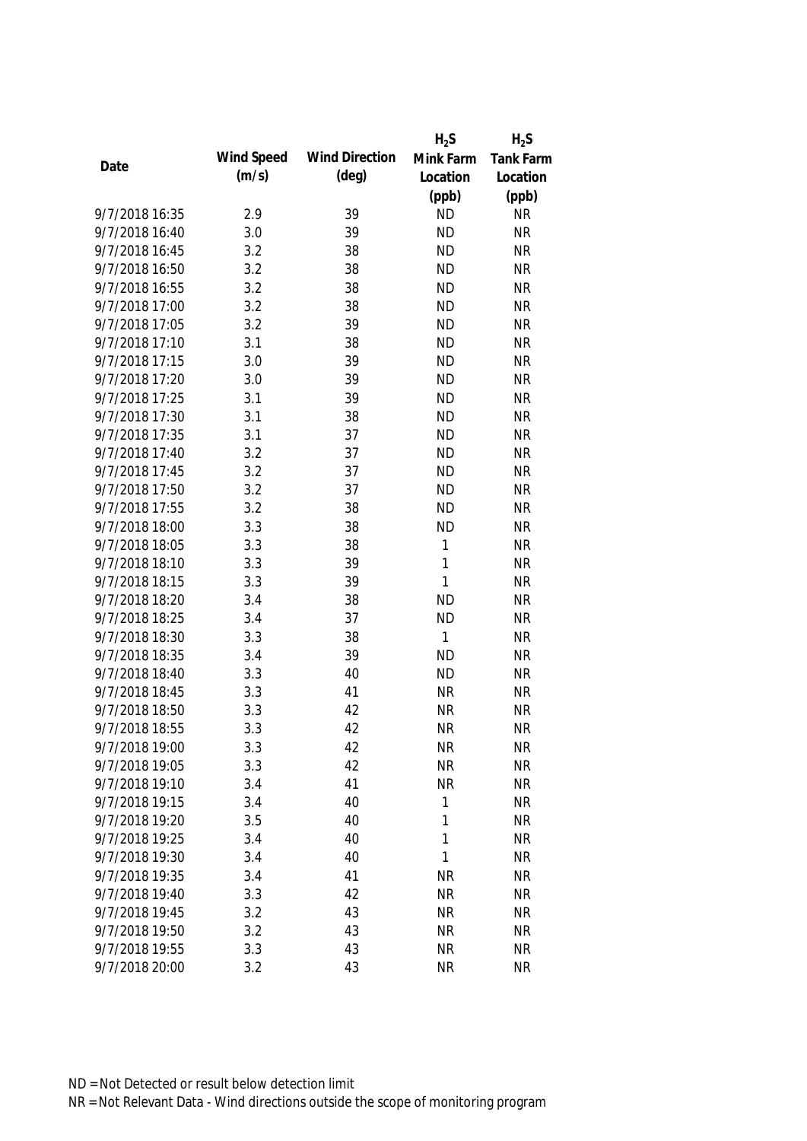|                |            |                       | $H_2S$       | $H_2S$           |
|----------------|------------|-----------------------|--------------|------------------|
|                | Wind Speed | <b>Wind Direction</b> | Mink Farm    | <b>Tank Farm</b> |
| Date           | (m/s)      | $(\text{deg})$        | Location     | Location         |
|                |            |                       | (ppb)        | (ppb)            |
| 9/7/2018 16:35 | 2.9        | 39                    | <b>ND</b>    | <b>NR</b>        |
| 9/7/2018 16:40 | 3.0        | 39                    | <b>ND</b>    | <b>NR</b>        |
| 9/7/2018 16:45 | 3.2        | 38                    | <b>ND</b>    | <b>NR</b>        |
| 9/7/2018 16:50 | 3.2        | 38                    | <b>ND</b>    | <b>NR</b>        |
| 9/7/2018 16:55 | 3.2        | 38                    | <b>ND</b>    | <b>NR</b>        |
| 9/7/2018 17:00 | 3.2        | 38                    | <b>ND</b>    | <b>NR</b>        |
| 9/7/2018 17:05 | 3.2        | 39                    | <b>ND</b>    | <b>NR</b>        |
| 9/7/2018 17:10 | 3.1        | 38                    | <b>ND</b>    | <b>NR</b>        |
| 9/7/2018 17:15 | 3.0        | 39                    | <b>ND</b>    | <b>NR</b>        |
| 9/7/2018 17:20 | 3.0        | 39                    | <b>ND</b>    | <b>NR</b>        |
| 9/7/2018 17:25 | 3.1        | 39                    | <b>ND</b>    | <b>NR</b>        |
| 9/7/2018 17:30 | 3.1        | 38                    | <b>ND</b>    | <b>NR</b>        |
| 9/7/2018 17:35 | 3.1        | 37                    | <b>ND</b>    | <b>NR</b>        |
| 9/7/2018 17:40 | 3.2        | 37                    | <b>ND</b>    | <b>NR</b>        |
| 9/7/2018 17:45 | 3.2        | 37                    | <b>ND</b>    | <b>NR</b>        |
| 9/7/2018 17:50 | 3.2        | 37                    | <b>ND</b>    | <b>NR</b>        |
| 9/7/2018 17:55 | 3.2        | 38                    | <b>ND</b>    | <b>NR</b>        |
| 9/7/2018 18:00 | 3.3        | 38                    | <b>ND</b>    | <b>NR</b>        |
| 9/7/2018 18:05 | 3.3        | 38                    | 1            | <b>NR</b>        |
| 9/7/2018 18:10 | 3.3        | 39                    | $\mathbf{1}$ | <b>NR</b>        |
| 9/7/2018 18:15 | 3.3        | 39                    | $\mathbf{1}$ | <b>NR</b>        |
| 9/7/2018 18:20 | 3.4        | 38                    | <b>ND</b>    | <b>NR</b>        |
| 9/7/2018 18:25 | 3.4        | 37                    | <b>ND</b>    | <b>NR</b>        |
| 9/7/2018 18:30 | 3.3        | 38                    | 1            | <b>NR</b>        |
| 9/7/2018 18:35 | 3.4        | 39                    | <b>ND</b>    | <b>NR</b>        |
| 9/7/2018 18:40 | 3.3        | 40                    | <b>ND</b>    | <b>NR</b>        |
| 9/7/2018 18:45 | 3.3        | 41                    | <b>NR</b>    | <b>NR</b>        |
| 9/7/2018 18:50 | 3.3        | 42                    | <b>NR</b>    | <b>NR</b>        |
| 9/7/2018 18:55 | 3.3        | 42                    | <b>NR</b>    | <b>NR</b>        |
| 9/7/2018 19:00 | 3.3        | 42                    | <b>NR</b>    | <b>NR</b>        |
| 9/7/2018 19:05 | 3.3        | 42                    | <b>NR</b>    | <b>NR</b>        |
| 9/7/2018 19:10 | 3.4        | 41                    | <b>NR</b>    | <b>NR</b>        |
| 9/7/2018 19:15 | 3.4        | 40                    | 1            | <b>NR</b>        |
| 9/7/2018 19:20 | 3.5        | 40                    | 1            | <b>NR</b>        |
| 9/7/2018 19:25 | 3.4        | 40                    | 1            | <b>NR</b>        |
| 9/7/2018 19:30 | 3.4        | 40                    | 1            | <b>NR</b>        |
| 9/7/2018 19:35 | 3.4        | 41                    | <b>NR</b>    | <b>NR</b>        |
| 9/7/2018 19:40 | 3.3        | 42                    | <b>NR</b>    | <b>NR</b>        |
| 9/7/2018 19:45 | 3.2        | 43                    | <b>NR</b>    | <b>NR</b>        |
| 9/7/2018 19:50 | 3.2        | 43                    | <b>NR</b>    | <b>NR</b>        |
| 9/7/2018 19:55 | 3.3        | 43                    | <b>NR</b>    | <b>NR</b>        |
| 9/7/2018 20:00 | 3.2        | 43                    | <b>NR</b>    | <b>NR</b>        |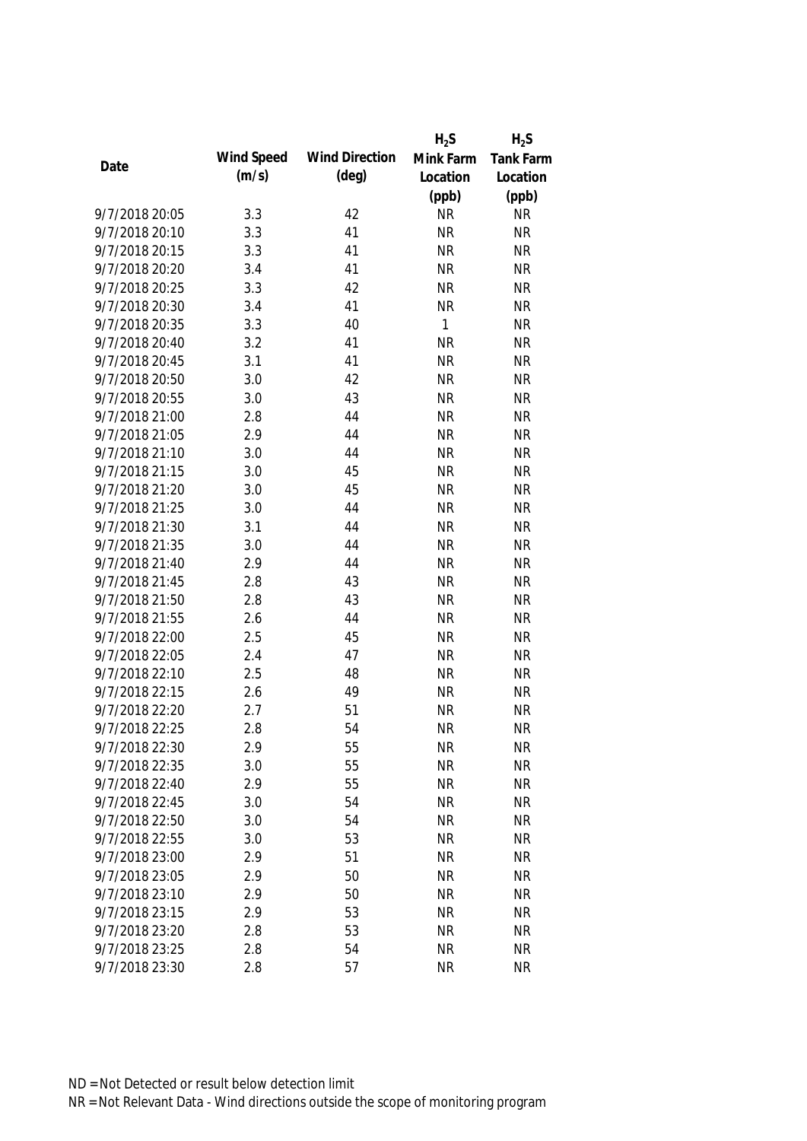|                |            |                       | $H_2S$       | $H_2S$           |
|----------------|------------|-----------------------|--------------|------------------|
|                | Wind Speed | <b>Wind Direction</b> | Mink Farm    | <b>Tank Farm</b> |
| Date           | (m/s)      | $(\text{deg})$        | Location     | Location         |
|                |            |                       | (ppb)        | (ppb)            |
| 9/7/2018 20:05 | 3.3        | 42                    | <b>NR</b>    | <b>NR</b>        |
| 9/7/2018 20:10 | 3.3        | 41                    | <b>NR</b>    | <b>NR</b>        |
| 9/7/2018 20:15 | 3.3        | 41                    | <b>NR</b>    | <b>NR</b>        |
| 9/7/2018 20:20 | 3.4        | 41                    | <b>NR</b>    | <b>NR</b>        |
| 9/7/2018 20:25 | 3.3        | 42                    | <b>NR</b>    | <b>NR</b>        |
| 9/7/2018 20:30 | 3.4        | 41                    | <b>NR</b>    | <b>NR</b>        |
| 9/7/2018 20:35 | 3.3        | 40                    | $\mathbf{1}$ | <b>NR</b>        |
| 9/7/2018 20:40 | 3.2        | 41                    | <b>NR</b>    | <b>NR</b>        |
| 9/7/2018 20:45 | 3.1        | 41                    | <b>NR</b>    | <b>NR</b>        |
| 9/7/2018 20:50 | 3.0        | 42                    | <b>NR</b>    | <b>NR</b>        |
| 9/7/2018 20:55 | 3.0        | 43                    | <b>NR</b>    | <b>NR</b>        |
| 9/7/2018 21:00 | 2.8        | 44                    | <b>NR</b>    | <b>NR</b>        |
| 9/7/2018 21:05 | 2.9        | 44                    | <b>NR</b>    | <b>NR</b>        |
| 9/7/2018 21:10 | 3.0        | 44                    | <b>NR</b>    | <b>NR</b>        |
| 9/7/2018 21:15 | 3.0        | 45                    | <b>NR</b>    | <b>NR</b>        |
| 9/7/2018 21:20 | 3.0        | 45                    | <b>NR</b>    | <b>NR</b>        |
| 9/7/2018 21:25 | 3.0        | 44                    | <b>NR</b>    | <b>NR</b>        |
| 9/7/2018 21:30 | 3.1        | 44                    | <b>NR</b>    | <b>NR</b>        |
| 9/7/2018 21:35 | 3.0        | 44                    | <b>NR</b>    | <b>NR</b>        |
| 9/7/2018 21:40 | 2.9        | 44                    | <b>NR</b>    | <b>NR</b>        |
| 9/7/2018 21:45 | 2.8        | 43                    | <b>NR</b>    | <b>NR</b>        |
| 9/7/2018 21:50 | 2.8        | 43                    | <b>NR</b>    | <b>NR</b>        |
| 9/7/2018 21:55 | 2.6        | 44                    | <b>NR</b>    | <b>NR</b>        |
| 9/7/2018 22:00 | 2.5        | 45                    | <b>NR</b>    | <b>NR</b>        |
| 9/7/2018 22:05 | 2.4        | 47                    | <b>NR</b>    | <b>NR</b>        |
| 9/7/2018 22:10 | 2.5        | 48                    | <b>NR</b>    | <b>NR</b>        |
| 9/7/2018 22:15 | 2.6        | 49                    | <b>NR</b>    | <b>NR</b>        |
| 9/7/2018 22:20 | 2.7        | 51                    | <b>NR</b>    | <b>NR</b>        |
| 9/7/2018 22:25 | 2.8        | 54                    | <b>NR</b>    | <b>NR</b>        |
| 9/7/2018 22:30 | 2.9        | 55                    | <b>NR</b>    | <b>NR</b>        |
| 9/7/2018 22:35 | 3.0        | 55                    | <b>NR</b>    | <b>NR</b>        |
| 9/7/2018 22:40 | 2.9        | 55                    | <b>NR</b>    | <b>NR</b>        |
| 9/7/2018 22:45 | 3.0        | 54                    | <b>NR</b>    | <b>NR</b>        |
| 9/7/2018 22:50 | 3.0        | 54                    | <b>NR</b>    | <b>NR</b>        |
| 9/7/2018 22:55 | 3.0        | 53                    | <b>NR</b>    | <b>NR</b>        |
| 9/7/2018 23:00 | 2.9        | 51                    | <b>NR</b>    | <b>NR</b>        |
| 9/7/2018 23:05 | 2.9        | 50                    | <b>NR</b>    | <b>NR</b>        |
| 9/7/2018 23:10 | 2.9        | 50                    | <b>NR</b>    | <b>NR</b>        |
| 9/7/2018 23:15 | 2.9        | 53                    | <b>NR</b>    | <b>NR</b>        |
| 9/7/2018 23:20 | 2.8        | 53                    | <b>NR</b>    | <b>NR</b>        |
| 9/7/2018 23:25 | 2.8        | 54                    | <b>NR</b>    | <b>NR</b>        |
| 9/7/2018 23:30 | 2.8        | 57                    | <b>NR</b>    | <b>NR</b>        |
|                |            |                       |              |                  |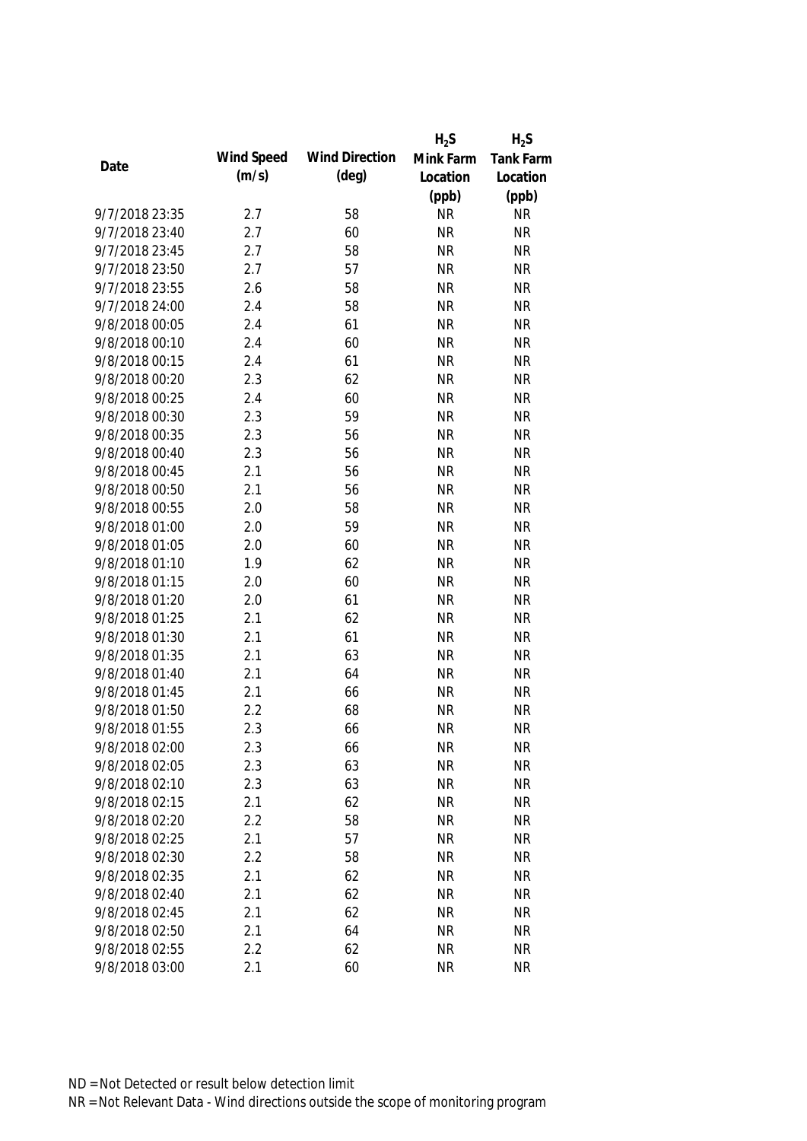|                |            |                       | $H_2S$    | $H_2S$           |
|----------------|------------|-----------------------|-----------|------------------|
|                | Wind Speed | <b>Wind Direction</b> | Mink Farm | <b>Tank Farm</b> |
| Date           | (m/s)      | $(\text{deg})$        | Location  | Location         |
|                |            |                       | (ppb)     | (ppb)            |
| 9/7/2018 23:35 | 2.7        | 58                    | <b>NR</b> | <b>NR</b>        |
| 9/7/2018 23:40 | 2.7        | 60                    | <b>NR</b> | <b>NR</b>        |
| 9/7/2018 23:45 | 2.7        | 58                    | <b>NR</b> | <b>NR</b>        |
| 9/7/2018 23:50 | 2.7        | 57                    | <b>NR</b> | <b>NR</b>        |
| 9/7/2018 23:55 | 2.6        | 58                    | <b>NR</b> | <b>NR</b>        |
| 9/7/2018 24:00 | 2.4        | 58                    | <b>NR</b> | <b>NR</b>        |
| 9/8/2018 00:05 | 2.4        | 61                    | <b>NR</b> | <b>NR</b>        |
| 9/8/2018 00:10 | 2.4        | 60                    | <b>NR</b> | <b>NR</b>        |
| 9/8/2018 00:15 | 2.4        | 61                    | <b>NR</b> | <b>NR</b>        |
| 9/8/2018 00:20 | 2.3        | 62                    | <b>NR</b> | <b>NR</b>        |
| 9/8/2018 00:25 | 2.4        | 60                    | <b>NR</b> | <b>NR</b>        |
| 9/8/2018 00:30 | 2.3        | 59                    | <b>NR</b> | <b>NR</b>        |
| 9/8/2018 00:35 | 2.3        | 56                    | <b>NR</b> | <b>NR</b>        |
| 9/8/2018 00:40 | 2.3        | 56                    | <b>NR</b> | <b>NR</b>        |
| 9/8/2018 00:45 | 2.1        | 56                    | <b>NR</b> | <b>NR</b>        |
| 9/8/2018 00:50 | 2.1        | 56                    | <b>NR</b> | <b>NR</b>        |
| 9/8/2018 00:55 | 2.0        | 58                    | <b>NR</b> | <b>NR</b>        |
| 9/8/2018 01:00 | 2.0        | 59                    | <b>NR</b> | <b>NR</b>        |
| 9/8/2018 01:05 | 2.0        | 60                    | <b>NR</b> | <b>NR</b>        |
| 9/8/2018 01:10 | 1.9        | 62                    | <b>NR</b> | <b>NR</b>        |
| 9/8/2018 01:15 | 2.0        | 60                    | <b>NR</b> | <b>NR</b>        |
| 9/8/2018 01:20 | 2.0        | 61                    | <b>NR</b> | <b>NR</b>        |
| 9/8/2018 01:25 | 2.1        | 62                    | <b>NR</b> | <b>NR</b>        |
| 9/8/2018 01:30 | 2.1        | 61                    | <b>NR</b> | <b>NR</b>        |
| 9/8/2018 01:35 | 2.1        | 63                    | <b>NR</b> | <b>NR</b>        |
| 9/8/2018 01:40 | 2.1        | 64                    | <b>NR</b> | <b>NR</b>        |
| 9/8/2018 01:45 | 2.1        | 66                    | <b>NR</b> | <b>NR</b>        |
| 9/8/2018 01:50 | 2.2        | 68                    | <b>NR</b> | <b>NR</b>        |
| 9/8/2018 01:55 | 2.3        | 66                    | <b>NR</b> | <b>NR</b>        |
| 9/8/2018 02:00 | 2.3        | 66                    | <b>NR</b> | <b>NR</b>        |
| 9/8/2018 02:05 | 2.3        | 63                    | <b>NR</b> | <b>NR</b>        |
| 9/8/2018 02:10 | 2.3        | 63                    | <b>NR</b> | <b>NR</b>        |
| 9/8/2018 02:15 | 2.1        | 62                    | <b>NR</b> | <b>NR</b>        |
| 9/8/2018 02:20 | 2.2        | 58                    | <b>NR</b> | <b>NR</b>        |
| 9/8/2018 02:25 | 2.1        | 57                    | <b>NR</b> | <b>NR</b>        |
| 9/8/2018 02:30 | 2.2        | 58                    | <b>NR</b> | <b>NR</b>        |
| 9/8/2018 02:35 | 2.1        | 62                    | <b>NR</b> | <b>NR</b>        |
| 9/8/2018 02:40 | 2.1        | 62                    | <b>NR</b> | <b>NR</b>        |
| 9/8/2018 02:45 | 2.1        | 62                    | <b>NR</b> | <b>NR</b>        |
| 9/8/2018 02:50 | 2.1        | 64                    | <b>NR</b> | <b>NR</b>        |
| 9/8/2018 02:55 | 2.2        | 62                    | <b>NR</b> | <b>NR</b>        |
| 9/8/2018 03:00 | 2.1        | 60                    | <b>NR</b> | <b>NR</b>        |
|                |            |                       |           |                  |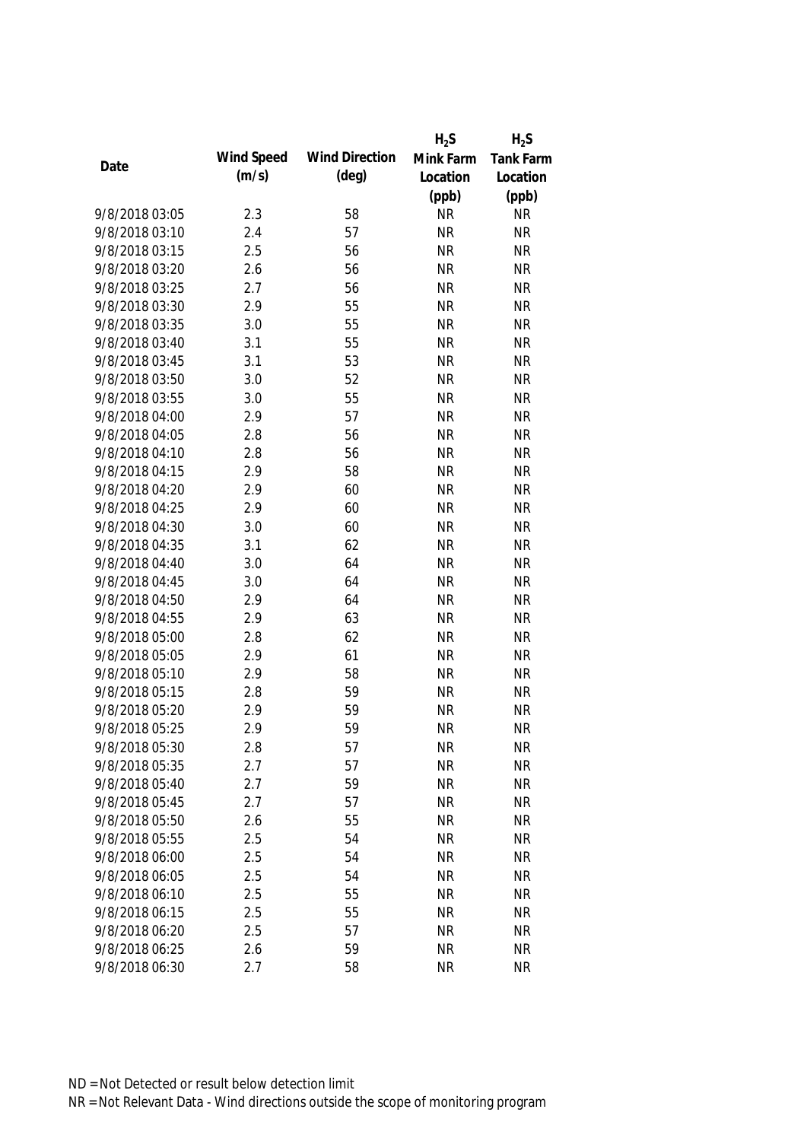|                |            |                       | $H_2S$    | $H_2S$           |
|----------------|------------|-----------------------|-----------|------------------|
| Date           | Wind Speed | <b>Wind Direction</b> | Mink Farm | <b>Tank Farm</b> |
|                | (m/s)      | $(\text{deg})$        | Location  | Location         |
|                |            |                       | (ppb)     | (ppb)            |
| 9/8/2018 03:05 | 2.3        | 58                    | <b>NR</b> | <b>NR</b>        |
| 9/8/2018 03:10 | 2.4        | 57                    | <b>NR</b> | <b>NR</b>        |
| 9/8/2018 03:15 | 2.5        | 56                    | <b>NR</b> | <b>NR</b>        |
| 9/8/2018 03:20 | 2.6        | 56                    | <b>NR</b> | <b>NR</b>        |
| 9/8/2018 03:25 | 2.7        | 56                    | <b>NR</b> | <b>NR</b>        |
| 9/8/2018 03:30 | 2.9        | 55                    | <b>NR</b> | <b>NR</b>        |
| 9/8/2018 03:35 | 3.0        | 55                    | <b>NR</b> | <b>NR</b>        |
| 9/8/2018 03:40 | 3.1        | 55                    | <b>NR</b> | <b>NR</b>        |
| 9/8/2018 03:45 | 3.1        | 53                    | <b>NR</b> | <b>NR</b>        |
| 9/8/2018 03:50 | 3.0        | 52                    | <b>NR</b> | <b>NR</b>        |
| 9/8/2018 03:55 | 3.0        | 55                    | <b>NR</b> | <b>NR</b>        |
| 9/8/2018 04:00 | 2.9        | 57                    | <b>NR</b> | <b>NR</b>        |
| 9/8/2018 04:05 | 2.8        | 56                    | <b>NR</b> | <b>NR</b>        |
| 9/8/2018 04:10 | 2.8        | 56                    | <b>NR</b> | <b>NR</b>        |
| 9/8/2018 04:15 | 2.9        | 58                    | <b>NR</b> | <b>NR</b>        |
| 9/8/2018 04:20 | 2.9        | 60                    | <b>NR</b> | <b>NR</b>        |
| 9/8/2018 04:25 | 2.9        | 60                    | <b>NR</b> | <b>NR</b>        |
| 9/8/2018 04:30 | 3.0        | 60                    | <b>NR</b> | <b>NR</b>        |
| 9/8/2018 04:35 | 3.1        | 62                    | <b>NR</b> | <b>NR</b>        |
| 9/8/2018 04:40 | 3.0        | 64                    | <b>NR</b> | <b>NR</b>        |
| 9/8/2018 04:45 | 3.0        | 64                    | <b>NR</b> | <b>NR</b>        |
| 9/8/2018 04:50 | 2.9        | 64                    | <b>NR</b> | <b>NR</b>        |
| 9/8/2018 04:55 | 2.9        | 63                    | <b>NR</b> | <b>NR</b>        |
| 9/8/2018 05:00 | 2.8        | 62                    | <b>NR</b> | <b>NR</b>        |
| 9/8/2018 05:05 | 2.9        | 61                    | <b>NR</b> | <b>NR</b>        |
| 9/8/2018 05:10 | 2.9        | 58                    | <b>NR</b> | <b>NR</b>        |
| 9/8/2018 05:15 | 2.8        | 59                    | <b>NR</b> | <b>NR</b>        |
| 9/8/2018 05:20 | 2.9        | 59                    | <b>NR</b> | <b>NR</b>        |
| 9/8/2018 05:25 | 2.9        | 59                    | <b>NR</b> | <b>NR</b>        |
| 9/8/2018 05:30 | 2.8        | 57                    | <b>NR</b> | <b>NR</b>        |
| 9/8/2018 05:35 | 2.7        | 57                    | <b>NR</b> | <b>NR</b>        |
| 9/8/2018 05:40 | 2.7        | 59                    | <b>NR</b> | <b>NR</b>        |
| 9/8/2018 05:45 | 2.7        | 57                    | <b>NR</b> | <b>NR</b>        |
| 9/8/2018 05:50 | 2.6        | 55                    | <b>NR</b> | <b>NR</b>        |
| 9/8/2018 05:55 | 2.5        | 54                    | <b>NR</b> | <b>NR</b>        |
| 9/8/2018 06:00 | 2.5        | 54                    | <b>NR</b> | <b>NR</b>        |
| 9/8/2018 06:05 | 2.5        | 54                    | <b>NR</b> | <b>NR</b>        |
| 9/8/2018 06:10 | 2.5        | 55                    | <b>NR</b> | <b>NR</b>        |
| 9/8/2018 06:15 | 2.5        | 55                    | <b>NR</b> | <b>NR</b>        |
| 9/8/2018 06:20 | 2.5        | 57                    | <b>NR</b> | <b>NR</b>        |
| 9/8/2018 06:25 | 2.6        | 59                    | <b>NR</b> | <b>NR</b>        |
| 9/8/2018 06:30 | 2.7        | 58                    | <b>NR</b> | <b>NR</b>        |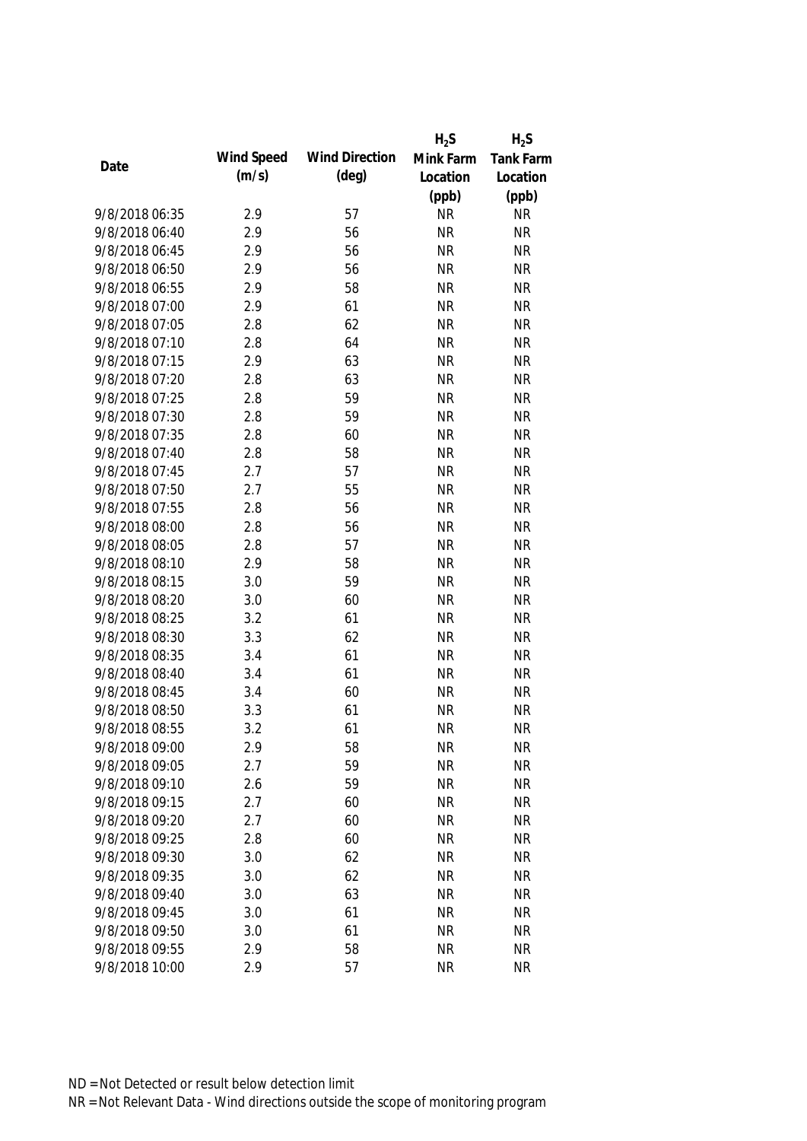|                |            |                       | $H_2S$    | $H_2S$           |
|----------------|------------|-----------------------|-----------|------------------|
| Date           | Wind Speed | <b>Wind Direction</b> | Mink Farm | <b>Tank Farm</b> |
|                | (m/s)      | $(\text{deg})$        | Location  | Location         |
|                |            |                       | (ppb)     | (ppb)            |
| 9/8/2018 06:35 | 2.9        | 57                    | <b>NR</b> | <b>NR</b>        |
| 9/8/2018 06:40 | 2.9        | 56                    | <b>NR</b> | <b>NR</b>        |
| 9/8/2018 06:45 | 2.9        | 56                    | <b>NR</b> | <b>NR</b>        |
| 9/8/2018 06:50 | 2.9        | 56                    | <b>NR</b> | <b>NR</b>        |
| 9/8/2018 06:55 | 2.9        | 58                    | <b>NR</b> | <b>NR</b>        |
| 9/8/2018 07:00 | 2.9        | 61                    | <b>NR</b> | <b>NR</b>        |
| 9/8/2018 07:05 | 2.8        | 62                    | <b>NR</b> | <b>NR</b>        |
| 9/8/2018 07:10 | 2.8        | 64                    | <b>NR</b> | <b>NR</b>        |
| 9/8/2018 07:15 | 2.9        | 63                    | <b>NR</b> | <b>NR</b>        |
| 9/8/2018 07:20 | 2.8        | 63                    | <b>NR</b> | <b>NR</b>        |
| 9/8/2018 07:25 | 2.8        | 59                    | <b>NR</b> | <b>NR</b>        |
| 9/8/2018 07:30 | 2.8        | 59                    | <b>NR</b> | <b>NR</b>        |
| 9/8/2018 07:35 | 2.8        | 60                    | <b>NR</b> | <b>NR</b>        |
| 9/8/2018 07:40 | 2.8        | 58                    | <b>NR</b> | <b>NR</b>        |
| 9/8/2018 07:45 | 2.7        | 57                    | <b>NR</b> | <b>NR</b>        |
| 9/8/2018 07:50 | 2.7        | 55                    | <b>NR</b> | <b>NR</b>        |
| 9/8/2018 07:55 | 2.8        | 56                    | <b>NR</b> | <b>NR</b>        |
| 9/8/2018 08:00 | 2.8        | 56                    | <b>NR</b> | <b>NR</b>        |
| 9/8/2018 08:05 | 2.8        | 57                    | <b>NR</b> | <b>NR</b>        |
| 9/8/2018 08:10 | 2.9        | 58                    | <b>NR</b> | <b>NR</b>        |
| 9/8/2018 08:15 | 3.0        | 59                    | <b>NR</b> | <b>NR</b>        |
| 9/8/2018 08:20 | 3.0        | 60                    | <b>NR</b> | <b>NR</b>        |
| 9/8/2018 08:25 | 3.2        | 61                    | <b>NR</b> | <b>NR</b>        |
| 9/8/2018 08:30 | 3.3        | 62                    | <b>NR</b> | <b>NR</b>        |
| 9/8/2018 08:35 | 3.4        | 61                    | <b>NR</b> | <b>NR</b>        |
| 9/8/2018 08:40 | 3.4        | 61                    | <b>NR</b> | <b>NR</b>        |
| 9/8/2018 08:45 | 3.4        | 60                    | <b>NR</b> | <b>NR</b>        |
| 9/8/2018 08:50 | 3.3        | 61                    | <b>NR</b> | <b>NR</b>        |
| 9/8/2018 08:55 | 3.2        | 61                    | <b>NR</b> | <b>NR</b>        |
| 9/8/2018 09:00 | 2.9        | 58                    | <b>NR</b> | <b>NR</b>        |
| 9/8/2018 09:05 | 2.7        | 59                    | <b>NR</b> | <b>NR</b>        |
| 9/8/2018 09:10 | 2.6        | 59                    | <b>NR</b> | <b>NR</b>        |
| 9/8/2018 09:15 | 2.7        | 60                    | <b>NR</b> | <b>NR</b>        |
| 9/8/2018 09:20 | 2.7        | 60                    | <b>NR</b> | <b>NR</b>        |
| 9/8/2018 09:25 | 2.8        | 60                    | <b>NR</b> | <b>NR</b>        |
| 9/8/2018 09:30 | 3.0        | 62                    | <b>NR</b> | <b>NR</b>        |
| 9/8/2018 09:35 | 3.0        | 62                    | <b>NR</b> | <b>NR</b>        |
| 9/8/2018 09:40 | 3.0        | 63                    | <b>NR</b> | <b>NR</b>        |
| 9/8/2018 09:45 | 3.0        | 61                    | <b>NR</b> | <b>NR</b>        |
| 9/8/2018 09:50 | 3.0        | 61                    | <b>NR</b> | <b>NR</b>        |
| 9/8/2018 09:55 | 2.9        | 58                    | <b>NR</b> | <b>NR</b>        |
| 9/8/2018 10:00 | 2.9        | 57                    | <b>NR</b> | <b>NR</b>        |
|                |            |                       |           |                  |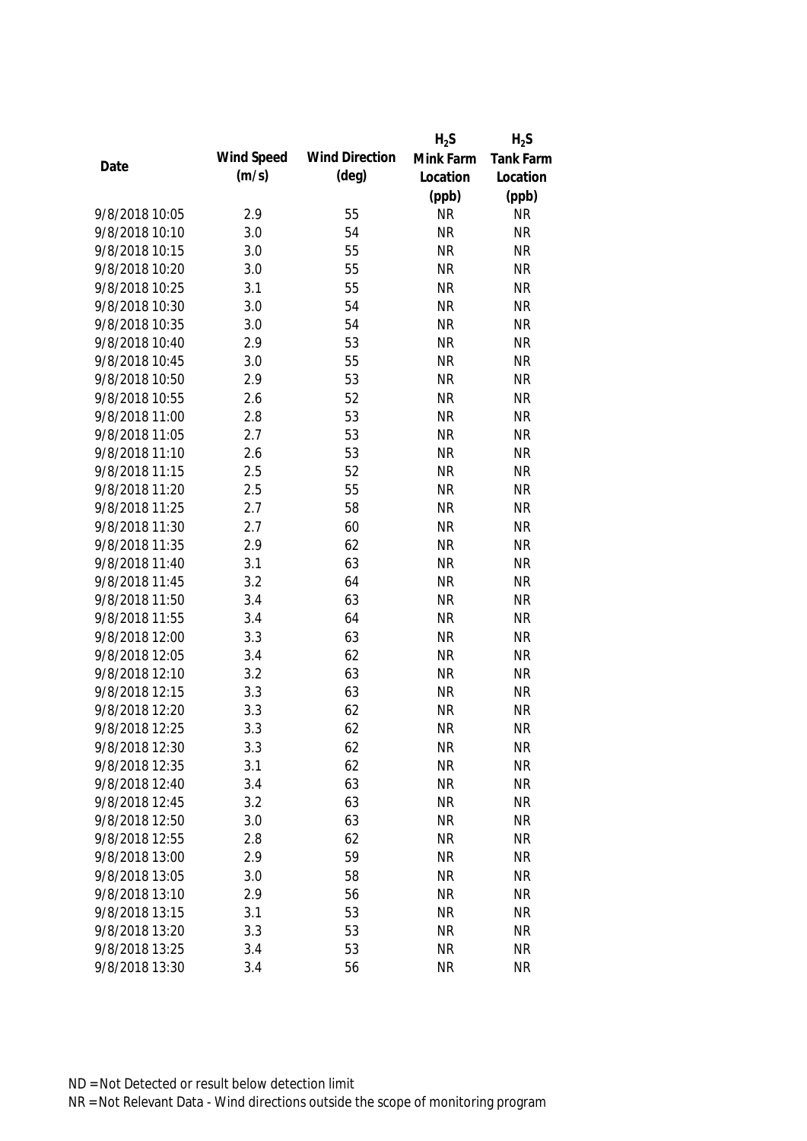|                |            |                       | $H_2S$    | $H_2S$    |
|----------------|------------|-----------------------|-----------|-----------|
|                | Wind Speed | <b>Wind Direction</b> | Mink Farm | Tank Farm |
| Date           | (m/s)      | $(\text{deg})$        | Location  | Location  |
|                |            |                       | (ppb)     | (ppb)     |
| 9/8/2018 10:05 | 2.9        | 55                    | <b>NR</b> | <b>NR</b> |
| 9/8/2018 10:10 | 3.0        | 54                    | <b>NR</b> | <b>NR</b> |
| 9/8/2018 10:15 | 3.0        | 55                    | <b>NR</b> | <b>NR</b> |
| 9/8/2018 10:20 | 3.0        | 55                    | <b>NR</b> | <b>NR</b> |
| 9/8/2018 10:25 | 3.1        | 55                    | <b>NR</b> | <b>NR</b> |
| 9/8/2018 10:30 | 3.0        | 54                    | <b>NR</b> | <b>NR</b> |
| 9/8/2018 10:35 | 3.0        | 54                    | <b>NR</b> | <b>NR</b> |
| 9/8/2018 10:40 | 2.9        | 53                    | <b>NR</b> | <b>NR</b> |
| 9/8/2018 10:45 | 3.0        | 55                    | <b>NR</b> | <b>NR</b> |
| 9/8/2018 10:50 | 2.9        | 53                    | <b>NR</b> | <b>NR</b> |
| 9/8/2018 10:55 | 2.6        | 52                    | <b>NR</b> | <b>NR</b> |
| 9/8/2018 11:00 | 2.8        | 53                    | <b>NR</b> | <b>NR</b> |
| 9/8/2018 11:05 | 2.7        | 53                    | <b>NR</b> | <b>NR</b> |
| 9/8/2018 11:10 | 2.6        | 53                    | <b>NR</b> | <b>NR</b> |
| 9/8/2018 11:15 | 2.5        | 52                    | <b>NR</b> | <b>NR</b> |
| 9/8/2018 11:20 | 2.5        | 55                    | <b>NR</b> | <b>NR</b> |
| 9/8/2018 11:25 | 2.7        | 58                    | <b>NR</b> | <b>NR</b> |
| 9/8/2018 11:30 | 2.7        | 60                    | <b>NR</b> | <b>NR</b> |
| 9/8/2018 11:35 | 2.9        | 62                    | <b>NR</b> | <b>NR</b> |
| 9/8/2018 11:40 | 3.1        | 63                    | <b>NR</b> | <b>NR</b> |
| 9/8/2018 11:45 | 3.2        | 64                    | <b>NR</b> | <b>NR</b> |
| 9/8/2018 11:50 | 3.4        | 63                    | <b>NR</b> | <b>NR</b> |
| 9/8/2018 11:55 | 3.4        | 64                    | <b>NR</b> | <b>NR</b> |
| 9/8/2018 12:00 | 3.3        | 63                    | <b>NR</b> | <b>NR</b> |
| 9/8/2018 12:05 | 3.4        | 62                    | <b>NR</b> | <b>NR</b> |
| 9/8/2018 12:10 | 3.2        | 63                    | <b>NR</b> | <b>NR</b> |
| 9/8/2018 12:15 | 3.3        | 63                    | <b>NR</b> | <b>NR</b> |
| 9/8/2018 12:20 | 3.3        | 62                    | <b>NR</b> | <b>NR</b> |
| 9/8/2018 12:25 | 3.3        | 62                    | <b>NR</b> | <b>NR</b> |
| 9/8/2018 12:30 | 3.3        | 62                    | <b>NR</b> | <b>NR</b> |
| 9/8/2018 12:35 | 3.1        | 62                    | <b>NR</b> | <b>NR</b> |
| 9/8/2018 12:40 | 3.4        | 63                    | <b>NR</b> | <b>NR</b> |
| 9/8/2018 12:45 | 3.2        | 63                    | <b>NR</b> | <b>NR</b> |
| 9/8/2018 12:50 | 3.0        | 63                    | <b>NR</b> | <b>NR</b> |
| 9/8/2018 12:55 | 2.8        | 62                    | <b>NR</b> | <b>NR</b> |
| 9/8/2018 13:00 | 2.9        | 59                    | <b>NR</b> | <b>NR</b> |
| 9/8/2018 13:05 | 3.0        | 58                    | <b>NR</b> | <b>NR</b> |
| 9/8/2018 13:10 | 2.9        | 56                    | <b>NR</b> | <b>NR</b> |
| 9/8/2018 13:15 | 3.1        | 53                    | <b>NR</b> | <b>NR</b> |
| 9/8/2018 13:20 | 3.3        | 53                    | <b>NR</b> | <b>NR</b> |
| 9/8/2018 13:25 | 3.4        | 53                    | <b>NR</b> | <b>NR</b> |
| 9/8/2018 13:30 | 3.4        | 56                    | <b>NR</b> | <b>NR</b> |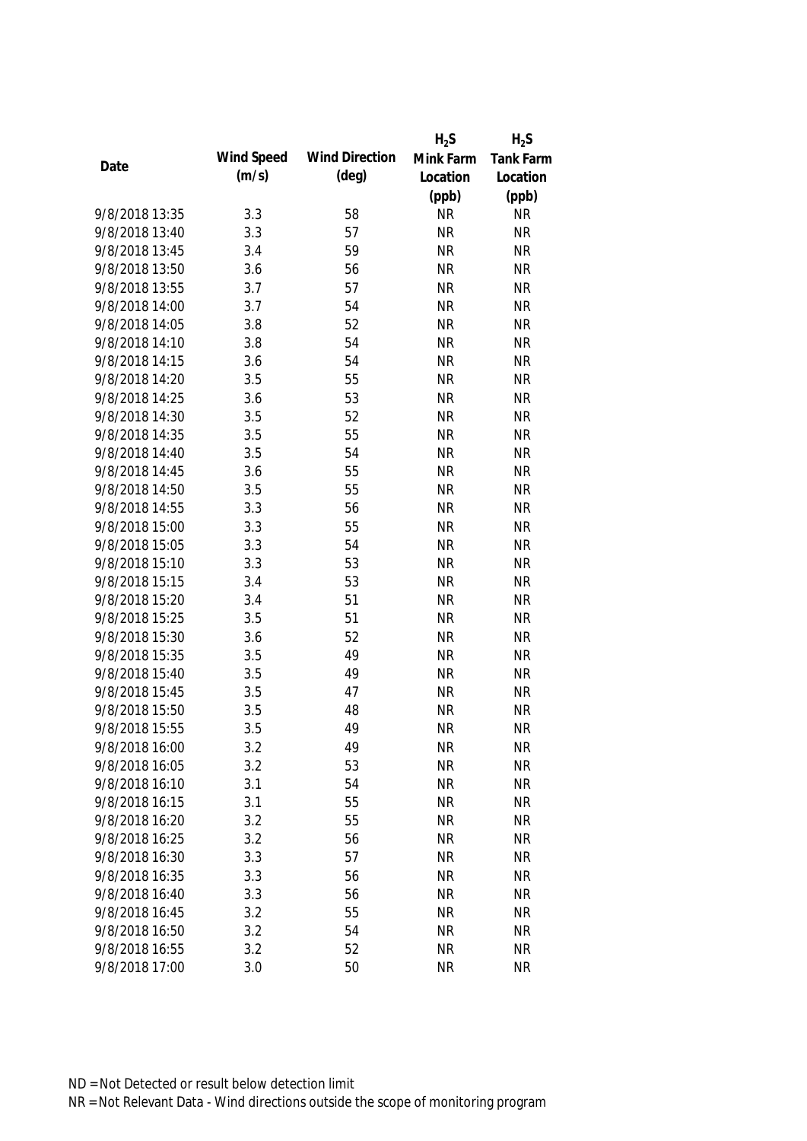|                |            |                       | $H_2S$    | $H_2S$           |
|----------------|------------|-----------------------|-----------|------------------|
| Date           | Wind Speed | <b>Wind Direction</b> | Mink Farm | <b>Tank Farm</b> |
|                | (m/s)      | $(\text{deg})$        | Location  | Location         |
|                |            |                       | (ppb)     | (ppb)            |
| 9/8/2018 13:35 | 3.3        | 58                    | <b>NR</b> | <b>NR</b>        |
| 9/8/2018 13:40 | 3.3        | 57                    | <b>NR</b> | <b>NR</b>        |
| 9/8/2018 13:45 | 3.4        | 59                    | <b>NR</b> | <b>NR</b>        |
| 9/8/2018 13:50 | 3.6        | 56                    | <b>NR</b> | <b>NR</b>        |
| 9/8/2018 13:55 | 3.7        | 57                    | <b>NR</b> | <b>NR</b>        |
| 9/8/2018 14:00 | 3.7        | 54                    | <b>NR</b> | <b>NR</b>        |
| 9/8/2018 14:05 | 3.8        | 52                    | <b>NR</b> | <b>NR</b>        |
| 9/8/2018 14:10 | 3.8        | 54                    | <b>NR</b> | <b>NR</b>        |
| 9/8/2018 14:15 | 3.6        | 54                    | <b>NR</b> | <b>NR</b>        |
| 9/8/2018 14:20 | 3.5        | 55                    | <b>NR</b> | <b>NR</b>        |
| 9/8/2018 14:25 | 3.6        | 53                    | <b>NR</b> | <b>NR</b>        |
| 9/8/2018 14:30 | 3.5        | 52                    | <b>NR</b> | <b>NR</b>        |
| 9/8/2018 14:35 | 3.5        | 55                    | <b>NR</b> | <b>NR</b>        |
| 9/8/2018 14:40 | 3.5        | 54                    | <b>NR</b> | <b>NR</b>        |
| 9/8/2018 14:45 | 3.6        | 55                    | <b>NR</b> | <b>NR</b>        |
| 9/8/2018 14:50 | 3.5        | 55                    | <b>NR</b> | <b>NR</b>        |
| 9/8/2018 14:55 | 3.3        | 56                    | <b>NR</b> | <b>NR</b>        |
| 9/8/2018 15:00 | 3.3        | 55                    | <b>NR</b> | <b>NR</b>        |
| 9/8/2018 15:05 | 3.3        | 54                    | <b>NR</b> | <b>NR</b>        |
| 9/8/2018 15:10 | 3.3        | 53                    | <b>NR</b> | <b>NR</b>        |
| 9/8/2018 15:15 | 3.4        | 53                    | <b>NR</b> | <b>NR</b>        |
| 9/8/2018 15:20 | 3.4        | 51                    | <b>NR</b> | <b>NR</b>        |
| 9/8/2018 15:25 | 3.5        | 51                    | <b>NR</b> | <b>NR</b>        |
| 9/8/2018 15:30 | 3.6        | 52                    | <b>NR</b> | <b>NR</b>        |
| 9/8/2018 15:35 | 3.5        | 49                    | <b>NR</b> | <b>NR</b>        |
| 9/8/2018 15:40 | 3.5        | 49                    | <b>NR</b> | <b>NR</b>        |
| 9/8/2018 15:45 | 3.5        | 47                    | <b>NR</b> | <b>NR</b>        |
| 9/8/2018 15:50 | 3.5        | 48                    | <b>NR</b> | <b>NR</b>        |
| 9/8/2018 15:55 | 3.5        | 49                    | <b>NR</b> | <b>NR</b>        |
| 9/8/2018 16:00 | 3.2        | 49                    | <b>NR</b> | <b>NR</b>        |
| 9/8/2018 16:05 | 3.2        | 53                    | <b>NR</b> | <b>NR</b>        |
| 9/8/2018 16:10 | 3.1        | 54                    | <b>NR</b> | <b>NR</b>        |
| 9/8/2018 16:15 | 3.1        | 55                    | <b>NR</b> | <b>NR</b>        |
| 9/8/2018 16:20 | 3.2        | 55                    | <b>NR</b> | <b>NR</b>        |
| 9/8/2018 16:25 | 3.2        | 56                    | <b>NR</b> | <b>NR</b>        |
| 9/8/2018 16:30 | 3.3        | 57                    | <b>NR</b> | <b>NR</b>        |
| 9/8/2018 16:35 | 3.3        | 56                    | <b>NR</b> | <b>NR</b>        |
| 9/8/2018 16:40 | 3.3        | 56                    | <b>NR</b> | <b>NR</b>        |
| 9/8/2018 16:45 | 3.2        | 55                    | <b>NR</b> | <b>NR</b>        |
| 9/8/2018 16:50 | 3.2        | 54                    | <b>NR</b> | <b>NR</b>        |
| 9/8/2018 16:55 | 3.2        | 52                    | <b>NR</b> | <b>NR</b>        |
| 9/8/2018 17:00 | 3.0        | 50                    | <b>NR</b> | <b>NR</b>        |
|                |            |                       |           |                  |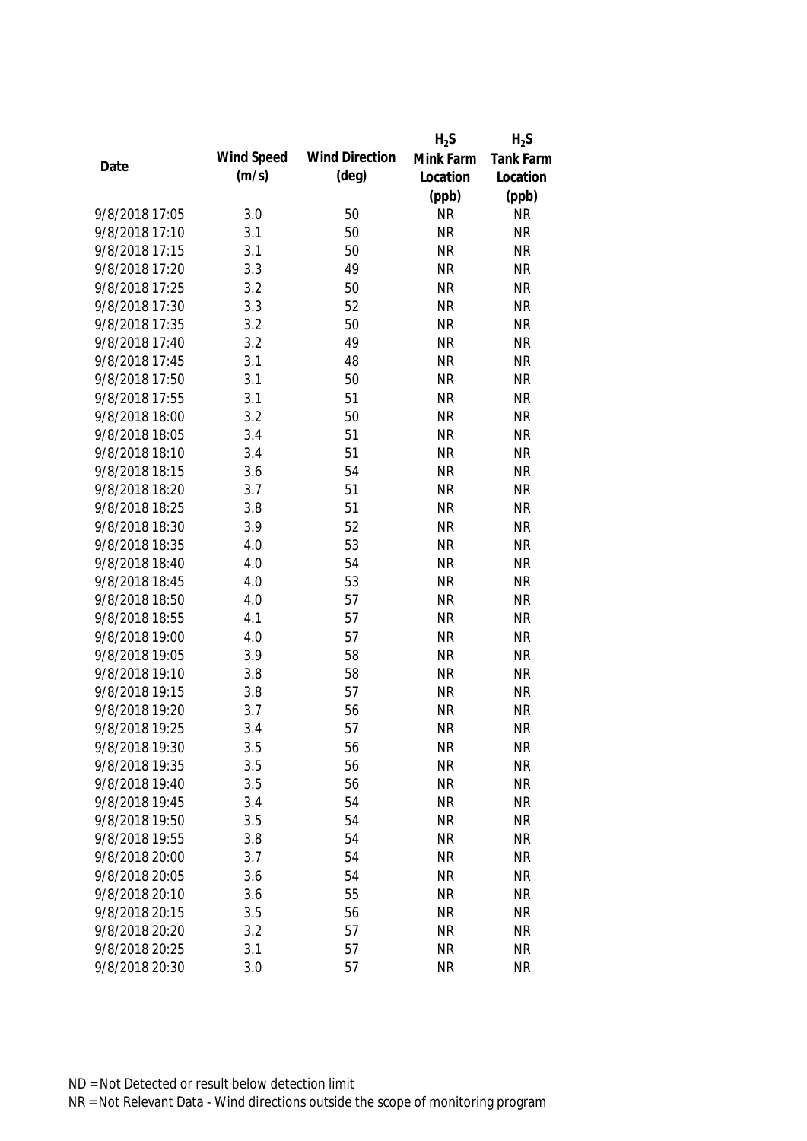|                |            |                       | $H_2S$    | $H_2S$    |
|----------------|------------|-----------------------|-----------|-----------|
|                | Wind Speed | <b>Wind Direction</b> | Mink Farm | Tank Farm |
| Date           | (m/s)      | $(\text{deg})$        | Location  | Location  |
|                |            |                       | (ppb)     | (ppb)     |
| 9/8/2018 17:05 | 3.0        | 50                    | <b>NR</b> | <b>NR</b> |
| 9/8/2018 17:10 | 3.1        | 50                    | <b>NR</b> | <b>NR</b> |
| 9/8/2018 17:15 | 3.1        | 50                    | <b>NR</b> | <b>NR</b> |
| 9/8/2018 17:20 | 3.3        | 49                    | <b>NR</b> | <b>NR</b> |
| 9/8/2018 17:25 | 3.2        | 50                    | <b>NR</b> | <b>NR</b> |
| 9/8/2018 17:30 | 3.3        | 52                    | <b>NR</b> | <b>NR</b> |
| 9/8/2018 17:35 | 3.2        | 50                    | <b>NR</b> | <b>NR</b> |
| 9/8/2018 17:40 | 3.2        | 49                    | <b>NR</b> | <b>NR</b> |
| 9/8/2018 17:45 | 3.1        | 48                    | <b>NR</b> | <b>NR</b> |
| 9/8/2018 17:50 | 3.1        | 50                    | <b>NR</b> | <b>NR</b> |
| 9/8/2018 17:55 | 3.1        | 51                    | <b>NR</b> | <b>NR</b> |
| 9/8/2018 18:00 | 3.2        | 50                    | <b>NR</b> | <b>NR</b> |
| 9/8/2018 18:05 | 3.4        | 51                    | <b>NR</b> | <b>NR</b> |
| 9/8/2018 18:10 | 3.4        | 51                    | <b>NR</b> | <b>NR</b> |
| 9/8/2018 18:15 | 3.6        | 54                    | <b>NR</b> | <b>NR</b> |
| 9/8/2018 18:20 | 3.7        | 51                    | <b>NR</b> | <b>NR</b> |
| 9/8/2018 18:25 | 3.8        | 51                    | <b>NR</b> | <b>NR</b> |
| 9/8/2018 18:30 | 3.9        | 52                    | <b>NR</b> | <b>NR</b> |
| 9/8/2018 18:35 | 4.0        | 53                    | <b>NR</b> | <b>NR</b> |
| 9/8/2018 18:40 | 4.0        | 54                    | <b>NR</b> | <b>NR</b> |
| 9/8/2018 18:45 | 4.0        | 53                    | <b>NR</b> | <b>NR</b> |
| 9/8/2018 18:50 | 4.0        | 57                    | <b>NR</b> | <b>NR</b> |
| 9/8/2018 18:55 | 4.1        | 57                    | <b>NR</b> | <b>NR</b> |
| 9/8/2018 19:00 | 4.0        | 57                    | <b>NR</b> | <b>NR</b> |
| 9/8/2018 19:05 | 3.9        | 58                    | <b>NR</b> | <b>NR</b> |
| 9/8/2018 19:10 | 3.8        | 58                    | <b>NR</b> | <b>NR</b> |
| 9/8/2018 19:15 | 3.8        | 57                    | <b>NR</b> | <b>NR</b> |
| 9/8/2018 19:20 | 3.7        | 56                    | <b>NR</b> | <b>NR</b> |
| 9/8/2018 19:25 | 3.4        | 57                    | <b>NR</b> | <b>NR</b> |
| 9/8/2018 19:30 | 3.5        | 56                    | <b>NR</b> | <b>NR</b> |
| 9/8/2018 19:35 | 3.5        | 56                    | <b>NR</b> | <b>NR</b> |
| 9/8/2018 19:40 | 3.5        | 56                    | <b>NR</b> | <b>NR</b> |
| 9/8/2018 19:45 | 3.4        | 54                    | <b>NR</b> | <b>NR</b> |
| 9/8/2018 19:50 | 3.5        | 54                    | <b>NR</b> | <b>NR</b> |
| 9/8/2018 19:55 | 3.8        | 54                    | <b>NR</b> | <b>NR</b> |
| 9/8/2018 20:00 | 3.7        | 54                    | <b>NR</b> | <b>NR</b> |
| 9/8/2018 20:05 | 3.6        | 54                    | <b>NR</b> | <b>NR</b> |
| 9/8/2018 20:10 | 3.6        | 55                    | <b>NR</b> | <b>NR</b> |
| 9/8/2018 20:15 | 3.5        | 56                    | <b>NR</b> | <b>NR</b> |
| 9/8/2018 20:20 | 3.2        | 57                    | <b>NR</b> | <b>NR</b> |
| 9/8/2018 20:25 | 3.1        | 57                    | <b>NR</b> | <b>NR</b> |
| 9/8/2018 20:30 | 3.0        | 57                    | <b>NR</b> | <b>NR</b> |